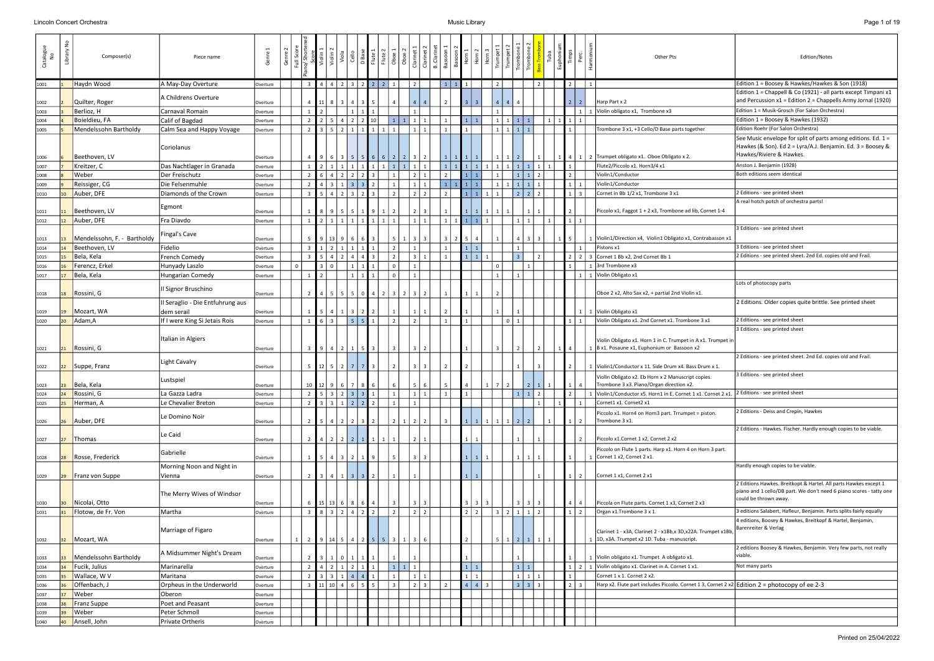| on<br>No | °<br>Library    | Composer(s)                 | Piece name                       | Genre    | Genre | $\overline{\overline{z}}$ |                         | Violin                                   | ල              |                          | Flute     | Oboe                                                 | $rac{6}{10}$ | B. Clarine<br>l ār | Bassoon        |                   | Horn 3    |              |         | Trombo<br>Trombo  |  | E<br>E         |                 | Other Pts                                                                                                 | Edition/Notes                                                                                                                                            |
|----------|-----------------|-----------------------------|----------------------------------|----------|-------|---------------------------|-------------------------|------------------------------------------|----------------|--------------------------|-----------|------------------------------------------------------|--------------|--------------------|----------------|-------------------|-----------|--------------|---------|-------------------|--|----------------|-----------------|-----------------------------------------------------------------------------------------------------------|----------------------------------------------------------------------------------------------------------------------------------------------------------|
| 1001     |                 | Haydn Wood                  | A May-Day Overture               | Overture |       |                           |                         | 4 4                                      |                | $3 \mid 2$               | $\vert$ 2 |                                                      |              |                    |                |                   |           |              |         |                   |  |                |                 |                                                                                                           | Edition 1 = Boosey & Hawkes/Hawkes & Son (1918)                                                                                                          |
| 1002     |                 | Quilter, Roger              | A Childrens Overture             | Overture |       |                           |                         |                                          |                |                          |           |                                                      |              |                    |                |                   |           |              |         |                   |  |                | $\vert$ 2       | Harp Part x 2                                                                                             | Edition 1 = Chappell & Co (1921) - all parts except Timpani x1<br>and Percussion $x1 =$ Edition 2 = Chappells Army Jornal (1920)                         |
| 1003     |                 | Berlioz, H                  | Carnaval Romain                  | Overture |       |                           |                         |                                          |                |                          |           |                                                      |              |                    |                |                   |           |              |         |                   |  |                | $1 \mid 1$      | Violin obligato x1, Trombone x3                                                                           | Edition 1 = Musik-Grosch (For Salon Orchestra)                                                                                                           |
| 1004     |                 | Boieldieu, FA               | Calif of Bagdad                  | Overture |       |                           |                         | $2 \mid 5$                               |                | $2 \mid 2 \mid 10$       |           | $\vert 1 \vert$                                      |              |                    | $\mathbf{1}$   | 111               |           | $\mathbf{1}$ |         | $1 \mid 1 \mid 1$ |  | 1 1 1 1 1 1    |                 |                                                                                                           | Edition 1 = Boosey & Hawkes (1932)                                                                                                                       |
| 1005     |                 | Mendelssohn Bartholdy       | Calm Sea and Happy Voyage        | Overture |       |                           |                         | $3 \mid 5$                               |                |                          |           |                                                      |              |                    |                |                   |           |              |         | $1 \mid 1 \mid 1$ |  |                |                 | Trombone 3 x1, +3 Cello/D Base parts together                                                             | Edition Roehr (For Salon Orchestra)                                                                                                                      |
| 1006     |                 | Beethoven, LV               | Coriolanus                       | Overture |       |                           | 916                     |                                          | 5 <sup>1</sup> |                          |           |                                                      |              |                    |                |                   |           |              |         |                   |  |                |                 | $\vert$ 4   1   2   Trumpet obligato x1. Oboe Obligato x 2.                                               | See Music envelope for split of parts among editions. Ed. 1 =<br>Hawkes (& Son). Ed 2 = Lyra/A.J. Benjamin. Ed. 3 = Boosey &<br>Hawkes/Riviere & Hawkes. |
| 1007     |                 | Kreitzer, C                 | Das Nachtlager in Granada        | Overture |       |                           |                         | $2 \mid 1$                               |                |                          |           | $\vert 1 \vert$<br>$\mathbf{1}$                      |              |                    | 1 <sup>1</sup> | $1$ 1 1           |           |              |         | $1 \mid 1 \mid 1$ |  |                |                 | Flute2/Piccolo x1. Horn3/4 x1                                                                             | Anston J. Benjamin (1928)                                                                                                                                |
| 1008     |                 | Weber                       | Der Freischutz                   | Overture |       |                           |                         |                                          |                |                          |           |                                                      |              |                    |                |                   |           |              |         |                   |  |                |                 | Violin1/Conductor                                                                                         | Both editions seem identical                                                                                                                             |
| 1009     |                 | Reissiger, CG               | Die Felsenmuhle                  | Overture |       |                           |                         | $4 \mid 3$                               |                |                          |           |                                                      |              |                    |                |                   |           |              |         | $1 \mid 1 \mid 1$ |  | 111            |                 | Violin1/Conductor                                                                                         |                                                                                                                                                          |
| 1010     |                 | Auber, DFE                  | Diamonds of the Crown            | Overture |       |                           |                         | $5 \mid 4$                               |                |                          |           |                                                      |              |                    |                | 111               |           |              |         | $2$   2           |  |                | $1 \mid 3 \mid$ | Cornet in Bb 1/2 x1, Trombone 3 x1                                                                        | 2 Editions - see printed sheet                                                                                                                           |
|          |                 |                             |                                  |          |       |                           |                         |                                          |                |                          |           |                                                      |              |                    |                |                   |           |              |         |                   |  |                |                 |                                                                                                           | A real hotch potch of orchestra parts!                                                                                                                   |
| 1011     |                 | Beethoven, LV               | Egmont                           | Overture |       |                           |                         | 89                                       | 5              |                          |           |                                                      |              |                    |                |                   |           |              |         |                   |  |                |                 | Piccolo x1, Faggot 1 + 2 x3, Trombone ad lib, Cornet 1-4                                                  |                                                                                                                                                          |
| 1012     |                 | Auber, DFE                  | Fra Diavdo                       | Overture |       |                           |                         | $2 \mid 1$                               |                |                          |           |                                                      |              |                    | $\mathbf{1}$   | $1 \mid 1 \mid 1$ |           |              |         |                   |  | 111            |                 |                                                                                                           |                                                                                                                                                          |
|          |                 |                             |                                  |          |       |                           |                         |                                          |                |                          |           |                                                      |              |                    |                |                   |           |              |         |                   |  |                |                 |                                                                                                           | 3 Editions - see printed sheet                                                                                                                           |
| 1013     |                 | Mendelssohn, F. - Bartholdy | Fingal's Cave                    | Overture |       | -5                        | 9 13                    |                                          | 6 I            |                          |           |                                                      |              |                    | 3              |                   |           |              |         |                   |  |                |                 | 1   Violin1/Direction x4, Violin1 Obligato x1, Contrabasson x1                                            |                                                                                                                                                          |
| 1014     |                 | Beethoven, LV               | Fidelio                          | Overture |       |                           |                         | $1 \mid 2$                               |                |                          |           | $\overline{2}$                                       |              |                    |                |                   |           |              |         |                   |  |                |                 | Pistons x1                                                                                                | 3 Editions - see printed sheet                                                                                                                           |
| 1015     |                 | Bela, Kela                  | <b>French Comedy</b>             | Overture |       |                           |                         | $5 \mid 4$                               |                |                          |           |                                                      |              |                    |                |                   | $\vert$ 1 |              |         |                   |  |                |                 | $2 \mid 3$ Cornet 1 Bb x2, 2nd Cornet Bb 1                                                                | 2 Editions - see printed sheet. 2nd Ed. copies old and Frail.                                                                                            |
| 1016     |                 | Ferencz, Erkel              | Hunyady Laszlo                   | Overture |       | $\mathbf{0}$              |                         | $3 \mid 0$                               |                |                          |           | $\Omega$                                             |              |                    |                |                   |           |              |         |                   |  |                |                 | 3rd Trombone x3                                                                                           |                                                                                                                                                          |
| 1017     |                 | Bela, Kela                  | Hungarian Comedy                 | Overture |       |                           |                         |                                          |                |                          |           |                                                      |              |                    |                |                   |           |              |         |                   |  |                |                 | 1 1 Violin Obligato x1                                                                                    |                                                                                                                                                          |
|          |                 |                             |                                  |          |       |                           |                         |                                          |                |                          |           |                                                      |              |                    |                |                   |           |              |         |                   |  |                |                 |                                                                                                           | Lots of photocopy parts                                                                                                                                  |
| 1018     |                 | Rossini, G                  | Il Signor Bruschino              | Overture |       |                           |                         | 5                                        |                | 50                       |           |                                                      |              |                    |                |                   |           |              |         |                   |  |                |                 | Oboe 2 x2, Alto Sax x2, + partial 2nd Violin x1.                                                          |                                                                                                                                                          |
|          |                 |                             | Il Seraglio - Die Entfuhrung aus |          |       |                           |                         |                                          |                |                          |           |                                                      |              |                    |                |                   |           |              |         |                   |  |                |                 |                                                                                                           | 2 Editions. Older copies quite brittle. See printed sheet                                                                                                |
| 1019     |                 | Mozart, WA                  | dem serail                       | Overture |       |                           |                         |                                          |                | $3 \mid 2 \mid$          |           |                                                      |              |                    |                |                   |           |              |         |                   |  |                |                 | 1 1 Violin Obligato x1                                                                                    |                                                                                                                                                          |
| 1020     |                 | Adam,A                      | If I were King Si Jetais Rois    | Overture |       |                           |                         | 6 3                                      |                | $5 \mid 5 \mid 1$        |           | $\overline{2}$                                       |              |                    | $\mathbf{1}$   |                   |           |              | $0$   1 |                   |  |                |                 | 1   1   Violin Obligato x1. 2nd Cornet x1. Trombone 3 x1                                                  | 2 Editions - see printed sheet                                                                                                                           |
|          |                 |                             |                                  |          |       |                           |                         |                                          |                |                          |           |                                                      |              |                    |                |                   |           |              |         |                   |  |                |                 |                                                                                                           | 3 Editions - see printed sheet                                                                                                                           |
|          |                 |                             | Italian in Algiers               |          |       |                           |                         |                                          |                |                          |           |                                                      |              |                    |                |                   |           |              |         |                   |  |                |                 |                                                                                                           |                                                                                                                                                          |
| 1021     | 21              | Rossini, G                  |                                  | Overture |       |                           |                         | 4                                        |                |                          |           |                                                      |              |                    |                |                   |           |              |         |                   |  |                |                 | Violin Obligato x1. Horn 1 in C. Trumpet in A x1. Trumpet in<br>B x1. Posaune x1, Euphonium or Bassoon x2 |                                                                                                                                                          |
|          |                 |                             |                                  |          |       |                           |                         |                                          |                |                          |           |                                                      |              |                    |                |                   |           |              |         |                   |  |                |                 |                                                                                                           | 2 Editions - see printed sheet. 2nd Ed. copies old and Frail.                                                                                            |
| 1022     | 22              | Suppe, Franz                | Light Cavalry                    | Overture |       | -5                        | $12$   5                |                                          |                | 7 7                      |           |                                                      |              |                    |                |                   |           |              |         |                   |  |                |                 | Violin1/Conductor x 11. Side Drum x4. Bass Drum x 1.                                                      |                                                                                                                                                          |
|          |                 |                             |                                  |          |       |                           |                         |                                          |                |                          |           |                                                      |              |                    |                |                   |           |              |         |                   |  |                |                 |                                                                                                           | 3 Editions - see printed sheet                                                                                                                           |
| 1023     | 23              | Bela, Kela                  | Lustspiel                        | Overture |       |                           | $10$ 12 9               |                                          | 6              | 7 8 6                    |           | 6                                                    |              |                    | -5             |                   |           |              |         | 2                 |  |                | 4               | Violin Obligato x2. Eb Horn x 2 Manuscript copies.<br>Trombone 3 x3. Piano/Organ direction x2.            |                                                                                                                                                          |
| 1024     |                 | Rossini, G                  | La Gazza Ladra                   | Overture |       |                           |                         |                                          |                |                          |           | $\vert 1 \vert$                                      | 111          |                    | 1              |                   |           |              |         | 1 1               |  |                |                 | 1 Violin1/Conductor x5. Horn1 in E. Cornet 1 x1. Cornet 2 x1.                                             | 2 Editions - see printed sheet                                                                                                                           |
| 1025     |                 | Herman, A                   | Le Chevalier Breton              | Overture |       | $\overline{\phantom{a}}$  |                         | 331222                                   |                |                          |           | $\overline{1}$                                       |              |                    |                |                   |           |              |         |                   |  |                |                 | Cornet1 x1. Cornet2 x1                                                                                    |                                                                                                                                                          |
|          |                 |                             |                                  |          |       |                           |                         |                                          |                |                          |           |                                                      |              |                    |                |                   |           |              |         |                   |  |                |                 |                                                                                                           | 2 Editions - Deiss and Crepin, Hawkes                                                                                                                    |
| 1026     |                 | Auber, DFE                  | Le Domino Noir                   | Overture |       |                           |                         | $\begin{array}{c} 4 \end{array}$         |                | $2 \mid 3$               |           |                                                      |              |                    |                |                   |           |              |         |                   |  |                | $\overline{2}$  | Piccolo x1. Horn4 on Horn3 part. Trrumpet = piston.<br>Trombone 3 x1.                                     |                                                                                                                                                          |
|          |                 |                             |                                  |          |       |                           |                         |                                          |                |                          |           |                                                      |              |                    |                |                   |           |              |         |                   |  |                |                 |                                                                                                           | 2 Editions - Hawkes. Fischer. Hardly enough copies to be viable.                                                                                         |
|          |                 | Thomas                      | Le Caid                          |          |       |                           |                         |                                          |                |                          |           |                                                      |              |                    |                |                   |           |              |         |                   |  |                |                 | Piccolo x1.Cornet 1 x2, Cornet 2 x2                                                                       |                                                                                                                                                          |
| 1027     |                 |                             |                                  | Overture |       |                           | $4 \mid 2 \mid$         |                                          |                | $2 \mid 2 \mid 1 \mid 1$ |           |                                                      |              |                    |                |                   |           |              |         |                   |  |                |                 |                                                                                                           |                                                                                                                                                          |
|          |                 | Rosse, Frederick            | Gabrielle                        |          |       |                           |                         | 4                                        | 2 <sup>1</sup> |                          |           |                                                      |              |                    |                |                   |           |              |         |                   |  |                |                 | Piccolo on Flute 1 parts. Harp x1. Horn 4 on Horn 3 part.<br>Cornet 1 x2, Cornet 2 x1.                    |                                                                                                                                                          |
| 1028     |                 |                             | Morning Noon and Night in        | Overture |       |                           |                         |                                          |                |                          |           |                                                      |              |                    |                |                   |           |              |         |                   |  |                |                 |                                                                                                           | Hardly enough copies to be viable.                                                                                                                       |
|          |                 | Franz von Suppe             | Vienna                           |          |       |                           | 1314                    |                                          |                |                          |           |                                                      |              |                    |                |                   |           |              |         |                   |  |                | 2               | Cornet 1 x1, Cornet 2 x1                                                                                  |                                                                                                                                                          |
| 1029     |                 |                             |                                  | Overture |       |                           |                         |                                          | $3 \mid$       |                          |           |                                                      |              |                    |                |                   |           |              |         |                   |  |                |                 |                                                                                                           | 2 Editions Hawkes. Breitkopt & Hartel. All parts Hawkes except 1                                                                                         |
|          |                 |                             | The Merry Wives of Windsor       |          |       |                           |                         |                                          |                |                          |           |                                                      |              |                    |                |                   |           |              |         |                   |  |                |                 |                                                                                                           | piano and 1 cello/DB part. We don't need 6 piano scores - tatty one                                                                                      |
|          |                 |                             |                                  |          |       |                           |                         |                                          |                |                          |           |                                                      |              |                    |                |                   |           |              |         |                   |  |                |                 | Piccola on Flute parts. Cornet 1 x3, Cornet 2 x3                                                          | could be thrown away.                                                                                                                                    |
| 1030     |                 | Nicolai, Otto               |                                  | Overture |       |                           |                         | $15 \mid 13 \mid 6 \mid 8 \mid 6 \mid 4$ |                | $4 \mid 2 \mid 2$        |           | $\overline{\mathbf{3}}$                              | $2$   2      |                    |                |                   |           |              | 32111   |                   |  |                | $\overline{4}$  | Organ x1.Trombone 3 x 1.                                                                                  | 3 editions Salabert, Hafleur, Benjamin. Parts splits fairly equally                                                                                      |
| 1031     |                 | Flotow, de Fr. Von          | Martha                           | Overture |       | ્ર                        |                         | 8 3 2                                    |                |                          |           | $\overline{2}$                                       |              |                    |                |                   | l 2       |              |         |                   |  |                | $\vert$ 2       |                                                                                                           | 4 editions, Boosey & Hawkes, Breitkopf & Hartel, Benjamin,                                                                                               |
|          |                 |                             |                                  |          |       |                           |                         |                                          |                |                          |           |                                                      |              |                    |                |                   |           |              |         |                   |  |                |                 |                                                                                                           | Barenreiter & Verlag                                                                                                                                     |
|          |                 |                             | Marriage of Figaro               |          |       |                           |                         |                                          |                |                          |           |                                                      |              |                    |                |                   |           |              |         |                   |  |                |                 | Clarinet 1 - x3A, Clarinet 2 - x1Bb, x 3D, x22A. Trumpet x1Bb,                                            |                                                                                                                                                          |
| 1032     | 32 <sup>2</sup> | Mozart, WA                  |                                  | Overture |       | 1                         |                         | 2 9 14 5 4 2 5 5 3                       |                |                          |           |                                                      |              |                    |                |                   |           | 5            |         | $1 \mid 2 \mid 1$ |  |                |                 | 1D, x3A. Trumpet x2 1D. Tuba - manuscript.                                                                | 2 editions Boosey & Hawkes, Benjamin. Very few parts, not really                                                                                         |
|          |                 |                             | A Midsummer Night's Dream        |          |       |                           |                         |                                          |                |                          |           |                                                      |              |                    |                |                   |           |              |         |                   |  |                |                 |                                                                                                           | viable.                                                                                                                                                  |
| 1033     |                 | Mendelssohn Bartholdy       |                                  | Overture |       |                           |                         |                                          |                |                          |           |                                                      |              |                    |                |                   |           |              |         |                   |  |                |                 | Violin obligato x1. Trumpet A obligato x1.                                                                |                                                                                                                                                          |
| 1034     |                 | Fucik, Julius               | Marinarella                      | Overture |       |                           | $\vert 4 \vert 2 \vert$ |                                          |                | $1 \mid 2 \mid 1 \mid 1$ |           | $\begin{array}{ c c c }\n\hline\n1 & 1\n\end{array}$ |              |                    |                | $1 \mid 1 \mid$   |           |              |         |                   |  |                |                 | $\vert 1 \vert 2 \vert 1 \vert$ Violin obligato x1. Clarinet in A. Cornet 1 x1.                           | Not many parts                                                                                                                                           |
| 1035     |                 | Wallace, W V                | Maritana                         | Overture |       |                           | $\vert 3 \vert 3 \vert$ |                                          |                | $1 \mid 4 \mid 4 \mid 1$ |           |                                                      |              |                    |                |                   | $\vert$ 1 |              |         | $1 \mid 1$        |  | $\overline{1}$ |                 | Cornet 1 x 1. Cornet 2 x2.                                                                                |                                                                                                                                                          |
| 1036     |                 | Offenbach, J                | Orpheus in the Underworld        | Overture |       | $\mathbf{R}$              |                         | $11 \mid 10 \mid 4 \mid 6 \mid 5 \mid 5$ |                |                          |           | 3                                                    | $2 \mid 3$   |                    | $2^{\circ}$    | $4 \mid 4 \mid 3$ |           |              |         | $3 \mid 3 \mid 3$ |  |                | 2 3             | Harp x2. Flute part includes Piccolo. Cornet 1 3, Cornet 2 x2 Edition 2 = photocopy of ee 2-3             |                                                                                                                                                          |
| 1037     |                 | <b>Weber</b>                | Oberon                           | Overture |       |                           |                         |                                          |                |                          |           |                                                      |              |                    |                |                   |           |              |         |                   |  |                |                 |                                                                                                           |                                                                                                                                                          |
| 1038     |                 | Franz Suppe                 | Poet and Peasant                 | Overture |       |                           |                         |                                          |                |                          |           |                                                      |              |                    |                |                   |           |              |         |                   |  |                |                 |                                                                                                           |                                                                                                                                                          |
| 1039     |                 | Weber                       | Peter Schmoll                    | Overture |       |                           |                         |                                          |                |                          |           |                                                      |              |                    |                |                   |           |              |         |                   |  |                |                 |                                                                                                           |                                                                                                                                                          |
| 1040     |                 | Ansell, John                | Private Ortheris                 | Overture |       |                           |                         |                                          |                |                          |           |                                                      |              |                    |                |                   |           |              |         |                   |  |                |                 |                                                                                                           |                                                                                                                                                          |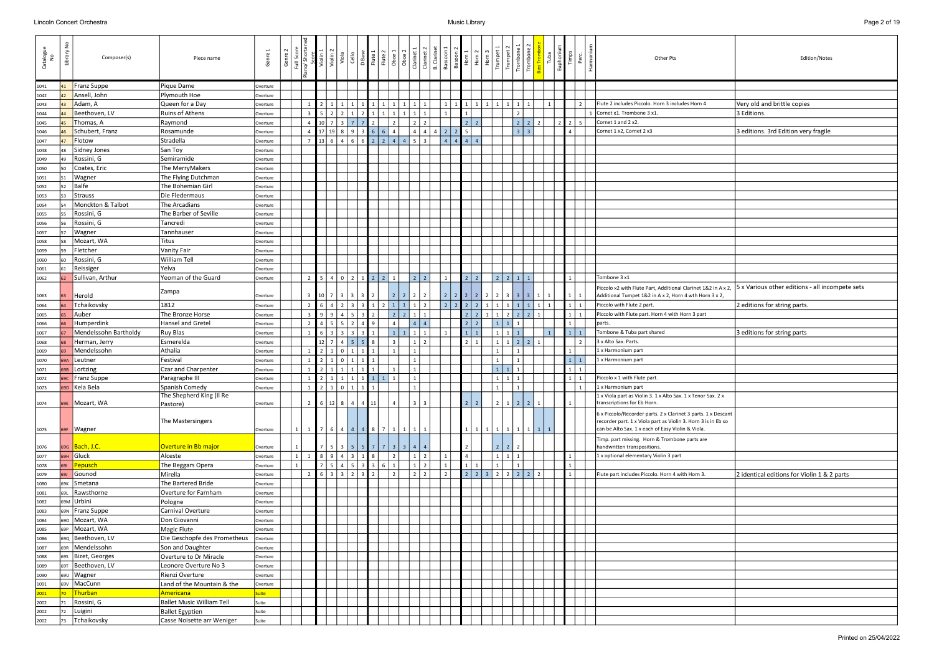|                            | Edition/Notes                                   |
|----------------------------|-------------------------------------------------|
|                            |                                                 |
|                            |                                                 |
|                            | Very old and brittle copies                     |
|                            | 3 Editions.                                     |
|                            |                                                 |
|                            | 3 editions. 3rd Edition very fragile            |
|                            |                                                 |
|                            |                                                 |
|                            |                                                 |
|                            |                                                 |
|                            |                                                 |
|                            |                                                 |
|                            |                                                 |
|                            |                                                 |
|                            |                                                 |
|                            |                                                 |
|                            |                                                 |
|                            |                                                 |
|                            |                                                 |
|                            |                                                 |
|                            |                                                 |
|                            |                                                 |
| &2 in A x 2,               | 5 x Various other editions - all incompete sets |
| rn 3 x 2,                  |                                                 |
|                            | 2 editions for string parts.                    |
|                            |                                                 |
|                            |                                                 |
|                            | 3 editions for string parts                     |
|                            |                                                 |
|                            |                                                 |
|                            |                                                 |
|                            |                                                 |
|                            |                                                 |
|                            |                                                 |
| Sax. $2x$                  |                                                 |
| 1 x Descant<br>is in Eb so |                                                 |
| e                          |                                                 |
|                            |                                                 |
|                            |                                                 |
|                            |                                                 |
|                            | 2 identical editions for Violin 1 & 2 parts     |
|                            |                                                 |
|                            |                                                 |
|                            |                                                 |
|                            |                                                 |
|                            |                                                 |
|                            |                                                 |
|                            |                                                 |
|                            |                                                 |
|                            |                                                 |
|                            |                                                 |
|                            |                                                 |
|                            |                                                 |
|                            |                                                 |
|                            |                                                 |
|                            |                                                 |
|                            |                                                 |

| Catalogue<br>No |     | Composer(s)           | Piece name                   | Genre    | Genre        | Full Score     | Violin 2<br>Score<br>Violin <sub>1</sub>    | viola           | Cello          |                                  |                                  |                |                   |            | $\begin{tabular}{ c c c } \hline \textbf{Base} & \textbf{Base} \\ \hline \textbf{Flute 1} & \textbf{Hute 2} \\ \hline \textbf{Flute 2} & \textbf{Obo} & \textbf{O} \\ \hline \textbf{D} & \textbf{Obo} & \textbf{I} \\ \hline \textbf{I} & \textbf{I} & \textbf{I} \\ \hline \textbf{I} & \textbf{I} & \textbf{I} \\ \hline \textbf{I} & \textbf{I} & \textbf{I} \\ \hline \textbf{I} & \textbf{I} & \textbf{I} \\ \hline \textbf{I} & \textbf{I} &$ | Bassoon                     | Basoon<br>Horn 1                                     | Horn            | Horn           | Trumpet<br>Trumpe             |                |       | <b>Fuba</b>    | Euphoniu       | Timps           | Harmoni<br>Perc          | Other Pts                                                                                                                                                                           | Edition/Notes                               |
|-----------------|-----|-----------------------|------------------------------|----------|--------------|----------------|---------------------------------------------|-----------------|----------------|----------------------------------|----------------------------------|----------------|-------------------|------------|------------------------------------------------------------------------------------------------------------------------------------------------------------------------------------------------------------------------------------------------------------------------------------------------------------------------------------------------------------------------------------------------------------------------------------------------------|-----------------------------|------------------------------------------------------|-----------------|----------------|-------------------------------|----------------|-------|----------------|----------------|-----------------|--------------------------|-------------------------------------------------------------------------------------------------------------------------------------------------------------------------------------|---------------------------------------------|
| 1041            | 41  | Franz Suppe           | Pique Dame                   | Overture |              |                |                                             |                 |                |                                  |                                  |                |                   |            |                                                                                                                                                                                                                                                                                                                                                                                                                                                      |                             |                                                      |                 |                |                               |                |       |                |                |                 |                          |                                                                                                                                                                                     |                                             |
| 1042            |     | Ansell, John          | Plymouth Hoe                 | Overture |              |                |                                             |                 |                |                                  |                                  |                |                   |            |                                                                                                                                                                                                                                                                                                                                                                                                                                                      |                             |                                                      |                 |                |                               |                |       |                |                |                 |                          |                                                                                                                                                                                     |                                             |
| 1043            |     | Adam, A               | Queen for a Day              | Overture |              |                |                                             |                 |                |                                  | $1 \mid 1$                       |                | 1   1             |            |                                                                                                                                                                                                                                                                                                                                                                                                                                                      |                             |                                                      |                 | $\mathbf{1}$   |                               |                |       |                |                |                 |                          | Flute 2 includes Piccolo. Horn 3 includes Horn 4                                                                                                                                    | Very old and brittle copies                 |
| 1044            |     | Beethoven, LV         | Ruins of Athens              | Overture |              | $\overline{3}$ | $\sqrt{2}$                                  | $\sqrt{2}$      |                | 2                                | $1 \mid$<br>$\overline{1}$       |                | $\overline{1}$    |            |                                                                                                                                                                                                                                                                                                                                                                                                                                                      |                             |                                                      |                 |                |                               |                |       |                |                |                 |                          | 1 Cornet x1. Trombone 3 x1.                                                                                                                                                         | 3 Editions.                                 |
| 1045            |     | Thomas, A             | Raymond                      | Overture |              | $\overline{4}$ | 10 7                                        | l 3             |                |                                  |                                  |                |                   |            |                                                                                                                                                                                                                                                                                                                                                                                                                                                      |                             | $\vert$ 2                                            | $\vert$ 2       |                |                               | $2 \mid 2$     |       |                | $\overline{2}$ | $\vert$ 2       | - 5                      | Cornet 1 and 2 x2.                                                                                                                                                                  |                                             |
| 1046            |     | Schubert, Franz       | Rosamunde                    | Overture |              | $\overline{4}$ | $17$   19   8                               |                 | 9              | 3 6                              | 6                                |                |                   |            | $\overline{4}$                                                                                                                                                                                                                                                                                                                                                                                                                                       | $\vert$ 2<br>$\overline{2}$ | $5\phantom{.0}$                                      |                 |                |                               | $3 \mid 3$     |       |                |                | $\overline{4}$  |                          | Cornet 1 x2, Cornet 2 x3                                                                                                                                                            | 3 editions. 3rd Edition very fragile        |
| 1047            |     | Flotow                | Stradella                    | Overture |              |                | $\vert 13 \vert 6 \vert 4$                  |                 | 6              |                                  | 2<br>2                           | $\overline{4}$ | 4                 | - 5 I      |                                                                                                                                                                                                                                                                                                                                                                                                                                                      | $\overline{a}$              | 4   4   4                                            |                 |                |                               |                |       |                |                |                 |                          |                                                                                                                                                                                     |                                             |
| 1048            |     | Sidney Jones          | San Toy                      | Overture |              |                |                                             |                 |                |                                  |                                  |                |                   |            |                                                                                                                                                                                                                                                                                                                                                                                                                                                      |                             |                                                      |                 |                |                               |                |       |                |                |                 |                          |                                                                                                                                                                                     |                                             |
| 1049            | 49  | Rossini, G            | Semiramide                   | Overture |              |                |                                             |                 |                |                                  |                                  |                |                   |            |                                                                                                                                                                                                                                                                                                                                                                                                                                                      |                             |                                                      |                 |                |                               |                |       |                |                |                 |                          |                                                                                                                                                                                     |                                             |
| 1050            |     | Coates, Eric          | The MerryMakers              | Overture |              |                |                                             |                 |                |                                  |                                  |                |                   |            |                                                                                                                                                                                                                                                                                                                                                                                                                                                      |                             |                                                      |                 |                |                               |                |       |                |                |                 |                          |                                                                                                                                                                                     |                                             |
| 1051            |     | Wagner                | The Flying Dutchman          | Overture |              |                |                                             |                 |                |                                  |                                  |                |                   |            |                                                                                                                                                                                                                                                                                                                                                                                                                                                      |                             |                                                      |                 |                |                               |                |       |                |                |                 |                          |                                                                                                                                                                                     |                                             |
| 1052            |     | <b>Balfe</b>          | The Bohemian Girl            | Overture |              |                |                                             |                 |                |                                  |                                  |                |                   |            |                                                                                                                                                                                                                                                                                                                                                                                                                                                      |                             |                                                      |                 |                |                               |                |       |                |                |                 |                          |                                                                                                                                                                                     |                                             |
| 1053            |     | Strauss               | Die Fledermaus               | Overture |              |                |                                             |                 |                |                                  |                                  |                |                   |            |                                                                                                                                                                                                                                                                                                                                                                                                                                                      |                             |                                                      |                 |                |                               |                |       |                |                |                 |                          |                                                                                                                                                                                     |                                             |
| 1054            |     | Monckton & Talbot     | The Arcadians                | Overture |              |                |                                             |                 |                |                                  |                                  |                |                   |            |                                                                                                                                                                                                                                                                                                                                                                                                                                                      |                             |                                                      |                 |                |                               |                |       |                |                |                 |                          |                                                                                                                                                                                     |                                             |
| 1055            |     | Rossini, G            | The Barber of Seville        | Overture |              |                |                                             |                 |                |                                  |                                  |                |                   |            |                                                                                                                                                                                                                                                                                                                                                                                                                                                      |                             |                                                      |                 |                |                               |                |       |                |                |                 |                          |                                                                                                                                                                                     |                                             |
| 1056            |     | Rossini, G            | Tancredi                     | Overture |              |                |                                             |                 |                |                                  |                                  |                |                   |            |                                                                                                                                                                                                                                                                                                                                                                                                                                                      |                             |                                                      |                 |                |                               |                |       |                |                |                 |                          |                                                                                                                                                                                     |                                             |
| 1057            |     | Wagner                | Tannhauser                   | Overture |              |                |                                             |                 |                |                                  |                                  |                |                   |            |                                                                                                                                                                                                                                                                                                                                                                                                                                                      |                             |                                                      |                 |                |                               |                |       |                |                |                 |                          |                                                                                                                                                                                     |                                             |
| 1058            |     | Mozart, WA            | Titus                        | Overture |              |                |                                             |                 |                |                                  |                                  |                |                   |            |                                                                                                                                                                                                                                                                                                                                                                                                                                                      |                             |                                                      |                 |                |                               |                |       |                |                |                 |                          |                                                                                                                                                                                     |                                             |
| 1059            |     | Fletcher              | <b>Vanity Fair</b>           | Overture |              |                |                                             |                 |                |                                  |                                  |                |                   |            |                                                                                                                                                                                                                                                                                                                                                                                                                                                      |                             |                                                      |                 |                |                               |                |       |                |                |                 |                          |                                                                                                                                                                                     |                                             |
| 1060            |     | Rossini, G            | <b>William Tell</b>          | Overture |              |                |                                             |                 |                |                                  |                                  |                |                   |            |                                                                                                                                                                                                                                                                                                                                                                                                                                                      |                             |                                                      |                 |                |                               |                |       |                |                |                 |                          |                                                                                                                                                                                     |                                             |
| 1061            |     | Reissiger             | Yelva                        | Overture |              |                |                                             |                 |                |                                  |                                  |                |                   |            |                                                                                                                                                                                                                                                                                                                                                                                                                                                      |                             |                                                      |                 |                |                               |                |       |                |                |                 |                          |                                                                                                                                                                                     |                                             |
| 1062            |     | Sullivan, Arthur      | Yeoman of the Guard          | Overture |              | 2              | 5   4   0                                   |                 | 2              |                                  | $1 \mid 2 \mid 2 \mid$           |                |                   | $2$   2    |                                                                                                                                                                                                                                                                                                                                                                                                                                                      |                             |                                                      | 2 2             |                | $22111$                       |                |       |                |                |                 |                          | Tombone 3 x1                                                                                                                                                                        |                                             |
| 1063            | 63  | Herold                | Zampa                        | Overture |              | $\overline{3}$ | $\vert 10 \vert$ 7                          | $\vert$ 3       | 3              | 3                                |                                  | 2 <sub>1</sub> | $2 \mid 2 \mid 2$ |            |                                                                                                                                                                                                                                                                                                                                                                                                                                                      | $\overline{2}$              | $2$   2                                              | $\vert 2 \vert$ | 2 <sup>1</sup> | 231                           |                | 3 3 1 |                |                | $\vert 1 \vert$ | -1                       | Piccolo x2 with Flute Part, Additional Clarinet 1&2 in A x 2,<br>Additional Tumpet 1&2 in A x 2, Horn 4 wth Horn 3 x 2,                                                             | 5 x Various other editions - all incompete  |
| 1064            |     | Tchaikovsky           | 1812                         | Overture |              | $\overline{2}$ | $\vert$ 4                                   | $\overline{2}$  | $\overline{3}$ | $\vert$ 3                        | 1 <sup>1</sup><br>$\overline{2}$ |                | $1 \mid 1 \mid$   | $1 \mid 2$ |                                                                                                                                                                                                                                                                                                                                                                                                                                                      | $\overline{2}$              | $\begin{array}{ c c c }\n\hline\n2 & 2\n\end{array}$ | $\overline{2}$  | $\mathbf{1}$   |                               |                |       | 1 1 1 1 1 1 1  |                | 1               | $\mathbf{1}$             | Piccolo with Flute 2 part.                                                                                                                                                          | 2 editions for string parts.                |
| 1065            |     | Auber                 | The Bronze Horse             | Overture |              | $\overline{3}$ | 9<br>  9                                    | $\overline{4}$  |                | $\overline{2}$<br>$\overline{3}$ |                                  |                | 2                 |            |                                                                                                                                                                                                                                                                                                                                                                                                                                                      |                             | $\overline{2}$                                       | $\overline{2}$  | $\mathbf{1}$   | 2 <sup>1</sup>                | 22             |       |                |                | 1               | $\overline{1}$           | Piccolo with Flute part. Horn 4 with Horn 3 part                                                                                                                                    |                                             |
| 1066            |     | Humperdink            | Hansel and Gretel            | Overture |              | $\overline{2}$ | $\vert$ 4<br>$\vert$ 5                      | $5\overline{5}$ |                |                                  | 9                                |                |                   |            |                                                                                                                                                                                                                                                                                                                                                                                                                                                      |                             | $\vert$ 2                                            | $\overline{2}$  |                | 1                             |                |       |                |                | $\mathbf 1$     |                          | parts.                                                                                                                                                                              |                                             |
| 1067            |     | Mendelssohn Bartholdy | <b>Ruy Blas</b>              | Overture |              |                | 6 3                                         | $\vert$ 3       | $\overline{3}$ | $\overline{3}$                   |                                  |                | $\vert$ 1         |            |                                                                                                                                                                                                                                                                                                                                                                                                                                                      |                             |                                                      | $1 \mid 1$      |                |                               |                |       | $\overline{1}$ |                | $\mathbf{1}$    | $\mathbf{1}$             | Tombone & Tuba part shared                                                                                                                                                          | 3 editions for string parts                 |
| 1068            |     | Herman, Jerry         | Esmerelda                    | Overture |              |                | 12 7 4                                      |                 | 5 <sup>5</sup> | 5 <sub>1</sub>                   | 8 <sup>1</sup>                   |                |                   | $1 \mid 2$ |                                                                                                                                                                                                                                                                                                                                                                                                                                                      |                             | $\overline{2}$                                       | $\overline{1}$  |                | $1 \mid 1 \mid 2 \mid 2 \mid$ |                |       |                |                |                 | $\overline{\phantom{a}}$ | 3 x Alto Sax. Parts.                                                                                                                                                                |                                             |
| 1069            |     | Mendelssohn           | Athalia                      | Overture |              |                | $2$ 1                                       | $\overline{0}$  | 1              | $1 \mid 1 \mid$                  |                                  |                |                   |            |                                                                                                                                                                                                                                                                                                                                                                                                                                                      |                             |                                                      |                 |                | $\mathbf{1}$                  | $\overline{1}$ |       |                |                | 1               |                          | 1 x Harmonium part                                                                                                                                                                  |                                             |
| 1070            | 59A | Leutner               | Festival                     | Overture |              |                | 2 1 0                                       |                 | 1              | $1 \mid 1 \mid$                  |                                  |                |                   |            |                                                                                                                                                                                                                                                                                                                                                                                                                                                      |                             |                                                      |                 |                |                               | $\mathbf{1}$   |       |                |                | $1 \mid 1$      |                          | 1 x Harmonium part                                                                                                                                                                  |                                             |
| 1071            |     | Lortzing              | Czar and Charpenter          | Overture |              |                | $2   1   1$                                 |                 | $1\vert$       | $1\vert$                         | 1                                |                |                   |            |                                                                                                                                                                                                                                                                                                                                                                                                                                                      |                             |                                                      |                 |                | $1 \mid 1 \mid 1$             |                |       |                |                | $1 \mid 1$      |                          |                                                                                                                                                                                     |                                             |
| 1072            | 59C | Franz Suppe           | Paragraphe III               | Overture |              |                | $2   1   1$                                 |                 | 1              |                                  | $1 \mid 1 \mid 1$                |                |                   |            |                                                                                                                                                                                                                                                                                                                                                                                                                                                      |                             |                                                      |                 |                |                               | $1 \mid 1$     |       |                |                | 1 <sup>1</sup>  | $\overline{1}$           | Piccolo x 1 with Flute part.                                                                                                                                                        |                                             |
| 1073            | 69D | Kela Bela             | Spanish Comedy               | Overture |              |                | $\lceil 2 \rceil$ 1                         | $\overline{0}$  | $\mathbf{1}$   | $\vert$ 1                        | 1 <sup>1</sup>                   |                |                   |            |                                                                                                                                                                                                                                                                                                                                                                                                                                                      |                             |                                                      |                 |                |                               |                |       |                |                |                 | $\overline{1}$           | 1 x Harmonium part                                                                                                                                                                  |                                             |
|                 |     |                       | The Shepherd King (Il Re     |          |              |                |                                             |                 |                |                                  |                                  |                |                   |            |                                                                                                                                                                                                                                                                                                                                                                                                                                                      |                             |                                                      |                 |                |                               |                |       |                |                |                 |                          | 1 x Viola part as Violin 3. 1 x Alto Sax. 1 x Tenor Sax. 2 x                                                                                                                        |                                             |
| 1074            | 69E | Mozart, WA            | Pastore)                     | Overture |              | $\overline{2}$ | 6   12   8                                  |                 | $\overline{4}$ | 11                               |                                  |                |                   |            |                                                                                                                                                                                                                                                                                                                                                                                                                                                      |                             |                                                      | $\overline{2}$  |                |                               | 2 <sup>1</sup> |       |                |                |                 |                          | transcriptions for Eb Horn.                                                                                                                                                         |                                             |
| 1075            |     | 69F   Wagner          | The Mastersingers            | Overture | $\mathbf{1}$ | $\mathbf{1}$   | 7 6 4 4 4 8 7 1                             |                 |                |                                  |                                  |                | $1 \mid 1$        |            |                                                                                                                                                                                                                                                                                                                                                                                                                                                      |                             |                                                      |                 | 1              |                               |                |       | $1 \mid 1$     |                |                 |                          | 6 x Piccolo/Recorder parts. 2 x Clarinet 3 parts. 1 x Descant<br>recorder part. 1 x Viola part as Violin 3. Horn 3 is in Eb so<br>can be Alto Sax. 1 x each of Easy Violin & Viola. |                                             |
|                 |     |                       |                              |          |              |                |                                             |                 |                |                                  |                                  |                |                   |            |                                                                                                                                                                                                                                                                                                                                                                                                                                                      |                             |                                                      |                 |                |                               |                |       |                |                |                 |                          | Timp. part missing. Horn & Trombone parts are                                                                                                                                       |                                             |
| 1076            |     | 69G   Bach, J.C.      | Overture in Bb major         | Overture |              |                | $7$ $5$ $3$ $5$ $5$ $7$ $7$ $3$ $3$ $4$ $4$ |                 |                |                                  |                                  |                |                   |            |                                                                                                                                                                                                                                                                                                                                                                                                                                                      |                             |                                                      |                 |                | $\vert 2 \vert$<br>2          |                |       |                |                |                 |                          | handwritten transpositions.                                                                                                                                                         |                                             |
| 1077            | 69H | Gluck                 | Alceste                      | Overture | $\mathbf{1}$ |                | 8943                                        |                 |                | $\boxed{1}$ 8                    |                                  | 2 <sup>1</sup> |                   | $1 \mid 2$ |                                                                                                                                                                                                                                                                                                                                                                                                                                                      |                             | $\overline{4}$                                       |                 |                | $1 \mid 1 \mid 1$             |                |       |                |                | $\mathbf 1$     |                          | 1 x optional elementary Violin 3 part                                                                                                                                               |                                             |
| 1078            | 691 | Pepusch               | The Beggars Opera            | Overture |              |                | 7 5 4 5 3 3 6                               |                 |                |                                  |                                  |                |                   | $1 \mid 2$ |                                                                                                                                                                                                                                                                                                                                                                                                                                                      |                             | $\mathbf{1}$                                         |                 |                |                               |                |       |                |                | $\mathbf 1$     |                          |                                                                                                                                                                                     |                                             |
| 1079            | 69J | Gounod                | Mirella                      | Overture |              | $\overline{2}$ | $6 \mid 3 \mid 3$                           |                 | $\overline{2}$ | $\overline{\phantom{a}}$ 3       | $\overline{2}$                   | $\mathfrak{p}$ |                   | $2 \mid 2$ |                                                                                                                                                                                                                                                                                                                                                                                                                                                      | $\overline{\phantom{a}}$    |                                                      |                 |                |                               |                |       |                |                | $\mathbf{1}$    |                          | Flute part includes Piccolo. Horn 4 with Horn 3.                                                                                                                                    | 2 identical editions for Violin 1 & 2 parts |
| 1080            | 69K | Smetana               | The Bartered Bride           | Overture |              |                |                                             |                 |                |                                  |                                  |                |                   |            |                                                                                                                                                                                                                                                                                                                                                                                                                                                      |                             |                                                      |                 |                |                               |                |       |                |                |                 |                          |                                                                                                                                                                                     |                                             |
| 1081            | 69L | Rawsthorne            | Overture for Farnham         | Overture |              |                |                                             |                 |                |                                  |                                  |                |                   |            |                                                                                                                                                                                                                                                                                                                                                                                                                                                      |                             |                                                      |                 |                |                               |                |       |                |                |                 |                          |                                                                                                                                                                                     |                                             |
| 1082            |     | 69M Urbini            | Pologne                      | Overture |              |                |                                             |                 |                |                                  |                                  |                |                   |            |                                                                                                                                                                                                                                                                                                                                                                                                                                                      |                             |                                                      |                 |                |                               |                |       |                |                |                 |                          |                                                                                                                                                                                     |                                             |
| 1083            |     | 69N   Franz Suppe     | Carnival Overture            | Overture |              |                |                                             |                 |                |                                  |                                  |                |                   |            |                                                                                                                                                                                                                                                                                                                                                                                                                                                      |                             |                                                      |                 |                |                               |                |       |                |                |                 |                          |                                                                                                                                                                                     |                                             |
| 1084            |     | 690 Mozart, WA        | Don Giovanni                 | Overture |              |                |                                             |                 |                |                                  |                                  |                |                   |            |                                                                                                                                                                                                                                                                                                                                                                                                                                                      |                             |                                                      |                 |                |                               |                |       |                |                |                 |                          |                                                                                                                                                                                     |                                             |
| 1085            | 69P | Mozart, WA            | <b>Magic Flute</b>           | Overture |              |                |                                             |                 |                |                                  |                                  |                |                   |            |                                                                                                                                                                                                                                                                                                                                                                                                                                                      |                             |                                                      |                 |                |                               |                |       |                |                |                 |                          |                                                                                                                                                                                     |                                             |
| 1086            |     | 690 Beethoven, LV     | Die Geschopfe des Prometheus | Overture |              |                |                                             |                 |                |                                  |                                  |                |                   |            |                                                                                                                                                                                                                                                                                                                                                                                                                                                      |                             |                                                      |                 |                |                               |                |       |                |                |                 |                          |                                                                                                                                                                                     |                                             |
| 1087            | 69R | Mendelssohn           | Son and Daughter             | Overture |              |                |                                             |                 |                |                                  |                                  |                |                   |            |                                                                                                                                                                                                                                                                                                                                                                                                                                                      |                             |                                                      |                 |                |                               |                |       |                |                |                 |                          |                                                                                                                                                                                     |                                             |
| 1088            | 69S | Bizet, Georges        | Overture to Dr Miracle       | Overture |              |                |                                             |                 |                |                                  |                                  |                |                   |            |                                                                                                                                                                                                                                                                                                                                                                                                                                                      |                             |                                                      |                 |                |                               |                |       |                |                |                 |                          |                                                                                                                                                                                     |                                             |
| 1089            | 691 | Beethoven, LV         | Leonore Overture No 3        | Overture |              |                |                                             |                 |                |                                  |                                  |                |                   |            |                                                                                                                                                                                                                                                                                                                                                                                                                                                      |                             |                                                      |                 |                |                               |                |       |                |                |                 |                          |                                                                                                                                                                                     |                                             |
| 1090            | 69U | Wagner                | Rienzi Overture              | Overture |              |                |                                             |                 |                |                                  |                                  |                |                   |            |                                                                                                                                                                                                                                                                                                                                                                                                                                                      |                             |                                                      |                 |                |                               |                |       |                |                |                 |                          |                                                                                                                                                                                     |                                             |
| 1091            | 69V | MacCunn               | Land of the Mountain & the   | Overture |              |                |                                             |                 |                |                                  |                                  |                |                   |            |                                                                                                                                                                                                                                                                                                                                                                                                                                                      |                             |                                                      |                 |                |                               |                |       |                |                |                 |                          |                                                                                                                                                                                     |                                             |
| <b>2001</b>     |     | Thurban               | Americana                    | Suite    |              |                |                                             |                 |                |                                  |                                  |                |                   |            |                                                                                                                                                                                                                                                                                                                                                                                                                                                      |                             |                                                      |                 |                |                               |                |       |                |                |                 |                          |                                                                                                                                                                                     |                                             |
| 2002            |     | Rossini, G            | Ballet Music William Tell    | Suite    |              |                |                                             |                 |                |                                  |                                  |                |                   |            |                                                                                                                                                                                                                                                                                                                                                                                                                                                      |                             |                                                      |                 |                |                               |                |       |                |                |                 |                          |                                                                                                                                                                                     |                                             |
| 2002            | 72  | Luigini               | <b>Ballet Egyptien</b>       | Suite    |              |                |                                             |                 |                |                                  |                                  |                |                   |            |                                                                                                                                                                                                                                                                                                                                                                                                                                                      |                             |                                                      |                 |                |                               |                |       |                |                |                 |                          |                                                                                                                                                                                     |                                             |
| 2002            | 73  | Tchaikovsky           | Casse Noisette arr Weniger   | Suite    |              |                |                                             |                 |                |                                  |                                  |                |                   |            |                                                                                                                                                                                                                                                                                                                                                                                                                                                      |                             |                                                      |                 |                |                               |                |       |                |                |                 |                          |                                                                                                                                                                                     |                                             |
|                 |     |                       |                              |          |              |                |                                             |                 |                |                                  |                                  |                |                   |            |                                                                                                                                                                                                                                                                                                                                                                                                                                                      |                             |                                                      |                 |                |                               |                |       |                |                |                 |                          |                                                                                                                                                                                     |                                             |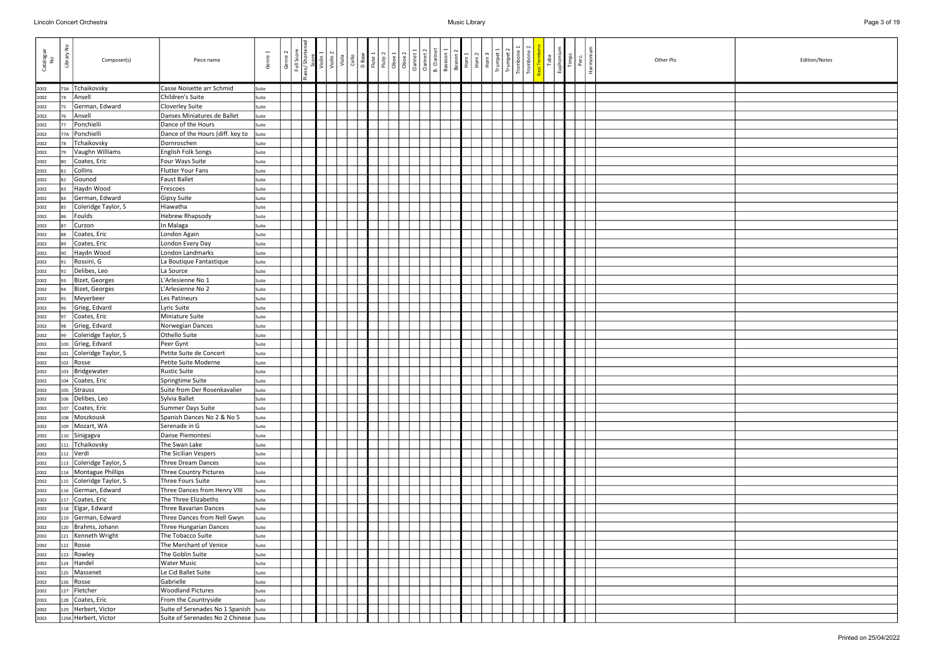| Catalogue<br>No | š<br>Library | Composer(s)                                      | Piece name                                          | Genre 1        | Genre 2 | Full Scor | Violin <sup>2</sup><br>Viola | Cello | D Base<br>Flute 1 | Flute 2<br>Oboe 1 | Oboe 2 | Clarinet 1 | <b>B.</b> Clarinet<br>Clarinet 2 | Bassoon 1 | Basoon 2<br>Horn 1 | Horn <sub>2</sub> | Horn | Trumpet | Trombor<br>Trombol | Euphoniu<br>Tuba | Timps | Harmoni<br>Perc | Other Pts | Edition/Notes |
|-----------------|--------------|--------------------------------------------------|-----------------------------------------------------|----------------|---------|-----------|------------------------------|-------|-------------------|-------------------|--------|------------|----------------------------------|-----------|--------------------|-------------------|------|---------|--------------------|------------------|-------|-----------------|-----------|---------------|
| 2002            | 73A          | Tchaikovsky                                      | Casse Noisette arr Schmid                           | Suite          |         |           |                              |       |                   |                   |        |            |                                  |           |                    |                   |      |         |                    |                  |       |                 |           |               |
| 2002            | 74           | Ansell                                           | Children's Suite                                    | Suite          |         |           |                              |       |                   |                   |        |            |                                  |           |                    |                   |      |         |                    |                  |       |                 |           |               |
| 2002            | 75           | German, Edward                                   | Cloverley Suite                                     | Suite          |         |           |                              |       |                   |                   |        |            |                                  |           |                    |                   |      |         |                    |                  |       |                 |           |               |
| 2002            | 76           | Ansell                                           | Danses Miniatures de Ballet                         | Suite          |         |           |                              |       |                   |                   |        |            |                                  |           |                    |                   |      |         |                    |                  |       |                 |           |               |
| 2002            | 77           | Ponchielli                                       | Dance of the Hours                                  | Suite          |         |           |                              |       |                   |                   |        |            |                                  |           |                    |                   |      |         |                    |                  |       |                 |           |               |
| 2002            | 77A          | Ponchielli                                       | Dance of the Hours (diff. key to                    | Suite          |         |           |                              |       |                   |                   |        |            |                                  |           |                    |                   |      |         |                    |                  |       |                 |           |               |
| 2002            | 78           | Tchaikovsky                                      | Dornroschen                                         | Suite          |         |           |                              |       |                   |                   |        |            |                                  |           |                    |                   |      |         |                    |                  |       |                 |           |               |
| 2002            | 79           | Vaughn Williams                                  | English Folk Songs                                  | Suite          |         |           |                              |       |                   |                   |        |            |                                  |           |                    |                   |      |         |                    |                  |       |                 |           |               |
| 2002            | 80           | Coates, Eric                                     | Four Ways Suite                                     | Suite          |         |           |                              |       |                   |                   |        |            |                                  |           |                    |                   |      |         |                    |                  |       |                 |           |               |
| 2002            | 81           | Collins                                          | Flutter Your Fans                                   | Suite          |         |           |                              |       |                   |                   |        |            |                                  |           |                    |                   |      |         |                    |                  |       |                 |           |               |
| 2002            | 82           | Gounod                                           | <b>Faust Ballet</b>                                 | Suite          |         |           |                              |       |                   |                   |        |            |                                  |           |                    |                   |      |         |                    |                  |       |                 |           |               |
| 2002            | 83           | Haydn Wood                                       | Frescoes                                            | Suite          |         |           |                              |       |                   |                   |        |            |                                  |           |                    |                   |      |         |                    |                  |       |                 |           |               |
| 2002            | 84           | German, Edward                                   | Gipsy Suite                                         | Suite          |         |           |                              |       |                   |                   |        |            |                                  |           |                    |                   |      |         |                    |                  |       |                 |           |               |
| 2002            | 85           | Coleridge Taylor, S                              | Hiawatha                                            | Suite          |         |           |                              |       |                   |                   |        |            |                                  |           |                    |                   |      |         |                    |                  |       |                 |           |               |
| 2002            | 86           | Foulds                                           | Hebrew Rhapsody                                     | Suite          |         |           |                              |       |                   |                   |        |            |                                  |           |                    |                   |      |         |                    |                  |       |                 |           |               |
| 2002            | 87           | Curzon                                           | In Malaga                                           | Suite          |         |           |                              |       |                   |                   |        |            |                                  |           |                    |                   |      |         |                    |                  |       |                 |           |               |
| 2002            | 88<br>89     | Coates, Eric<br>Coates, Eric                     | London Again                                        | Suite          |         |           |                              |       |                   |                   |        |            |                                  |           |                    |                   |      |         |                    |                  |       |                 |           |               |
| 2002<br>2002    | 90           | Haydn Wood                                       | London Every Day<br>London Landmarks                | Suite          |         |           |                              |       |                   |                   |        |            |                                  |           |                    |                   |      |         |                    |                  |       |                 |           |               |
| 2002            | 91           | Rossini, G                                       | La Boutique Fantastique                             | Suite<br>Suite |         |           |                              |       |                   |                   |        |            |                                  |           |                    |                   |      |         |                    |                  |       |                 |           |               |
| 2002            | 92           | Delibes, Leo                                     | La Source                                           | Suite          |         |           |                              |       |                   |                   |        |            |                                  |           |                    |                   |      |         |                    |                  |       |                 |           |               |
| 2002            | 93           | Bizet, Georges                                   | L'Arlesienne No 1                                   | Suite          |         |           |                              |       |                   |                   |        |            |                                  |           |                    |                   |      |         |                    |                  |       |                 |           |               |
| 2002            | 94           | Bizet, Georges                                   | L'Arlesienne No 2                                   | Suite          |         |           |                              |       |                   |                   |        |            |                                  |           |                    |                   |      |         |                    |                  |       |                 |           |               |
| 2002            | 95           | Meyerbeer                                        | Les Patineurs                                       | Suite          |         |           |                              |       |                   |                   |        |            |                                  |           |                    |                   |      |         |                    |                  |       |                 |           |               |
| 2002            | 96           | Grieg, Edvard                                    | Lyric Suite                                         | Suite          |         |           |                              |       |                   |                   |        |            |                                  |           |                    |                   |      |         |                    |                  |       |                 |           |               |
| 2002            | 97           | Coates, Eric                                     | Miniature Suite                                     | Suite          |         |           |                              |       |                   |                   |        |            |                                  |           |                    |                   |      |         |                    |                  |       |                 |           |               |
| 2002            | 98           | Grieg, Edvard                                    | Norwegian Dances                                    | Suite          |         |           |                              |       |                   |                   |        |            |                                  |           |                    |                   |      |         |                    |                  |       |                 |           |               |
| 2002            | 99           | Coleridge Taylor, S                              | Othello Suite                                       | Suite          |         |           |                              |       |                   |                   |        |            |                                  |           |                    |                   |      |         |                    |                  |       |                 |           |               |
| 2002            | 100          | Grieg, Edvard                                    | Peer Gynt                                           | Suite          |         |           |                              |       |                   |                   |        |            |                                  |           |                    |                   |      |         |                    |                  |       |                 |           |               |
| 2002            | 101          | Coleridge Taylor, S                              | Petite Suite de Concert                             | Suite          |         |           |                              |       |                   |                   |        |            |                                  |           |                    |                   |      |         |                    |                  |       |                 |           |               |
| 2002            | 102          | Rosse                                            | Petite Suite Moderne                                | Suite          |         |           |                              |       |                   |                   |        |            |                                  |           |                    |                   |      |         |                    |                  |       |                 |           |               |
| 2002            | 103          | Bridgewater                                      | Rustic Suite                                        | Suite          |         |           |                              |       |                   |                   |        |            |                                  |           |                    |                   |      |         |                    |                  |       |                 |           |               |
| 2002            | 104          | Coates, Eric                                     | Springtime Suite                                    | Suite          |         |           |                              |       |                   |                   |        |            |                                  |           |                    |                   |      |         |                    |                  |       |                 |           |               |
| 2002            |              | 105 Strauss                                      | Suite from Der Rosenkavalier                        | Suite          |         |           |                              |       |                   |                   |        |            |                                  |           |                    |                   |      |         |                    |                  |       |                 |           |               |
| 2002            | 106          | Delibes, Leo                                     | Sylvia Ballet                                       | Suite          |         |           |                              |       |                   |                   |        |            |                                  |           |                    |                   |      |         |                    |                  |       |                 |           |               |
| 2002            | 107          | Coates, Eric                                     | Summer Days Suite                                   | Suite          |         |           |                              |       |                   |                   |        |            |                                  |           |                    |                   |      |         |                    |                  |       |                 |           |               |
| 2002            | 108          | Moszkousk                                        | Spanish Dances No 2 & No 5                          | Suite          |         |           |                              |       |                   |                   |        |            |                                  |           |                    |                   |      |         |                    |                  |       |                 |           |               |
| 2002            | 109          | Mozart, WA                                       | Serenade in G                                       | Suite          |         |           |                              |       |                   |                   |        |            |                                  |           |                    |                   |      |         |                    |                  |       |                 |           |               |
| 2002            | 110          | Sinigagva                                        | Danse Piemontesi                                    | Suite          |         |           |                              |       |                   |                   |        |            |                                  |           |                    |                   |      |         |                    |                  |       |                 |           |               |
| 2002            | 111          | Tchaikovsky                                      | The Swan Lake                                       | Suite          |         |           |                              |       |                   |                   |        |            |                                  |           |                    |                   |      |         |                    |                  |       |                 |           |               |
| 2002            |              | 112 Verdi                                        | The Sicilian Vespers                                | Suite          |         |           |                              |       |                   |                   |        |            |                                  |           |                    |                   |      |         |                    |                  |       |                 |           |               |
| 2002            |              | 113 Coleridge Taylor, S<br>114 Montague Phillips | Three Dream Dances<br><b>Three Country Pictures</b> | Suite          |         |           |                              |       |                   |                   |        |            |                                  |           |                    |                   |      |         |                    |                  |       |                 |           |               |
| 2002            |              | 115 Coleridge Taylor, S                          | Three Fours Suite                                   | Suite          |         |           |                              |       |                   |                   |        |            |                                  |           |                    |                   |      |         |                    |                  |       |                 |           |               |
| 2002<br>2002    |              | 116 German, Edward                               | Three Dances from Henry VIII                        | Suite<br>Suite |         |           |                              |       |                   |                   |        |            |                                  |           |                    |                   |      |         |                    |                  |       |                 |           |               |
| 2002            | 117          | Coates, Eric                                     | The Three Elizabeths                                | Suite          |         |           |                              |       |                   |                   |        |            |                                  |           |                    |                   |      |         |                    |                  |       |                 |           |               |
| 2002            |              | 118 Elgar, Edward                                | Three Bavarian Dances                               | Suite          |         |           |                              |       |                   |                   |        |            |                                  |           |                    |                   |      |         |                    |                  |       |                 |           |               |
| 2002            |              | 119 German, Edward                               | Three Dances from Nell Gwyn                         | Suite          |         |           |                              |       |                   |                   |        |            |                                  |           |                    |                   |      |         |                    |                  |       |                 |           |               |
| 2002            |              | 120   Brahms, Johann                             | Three Hungarian Dances                              | Suite          |         |           |                              |       |                   |                   |        |            |                                  |           |                    |                   |      |         |                    |                  |       |                 |           |               |
| 2002            |              | 121   Kenneth Wright                             | The Tobacco Suite                                   | Suite          |         |           |                              |       |                   |                   |        |            |                                  |           |                    |                   |      |         |                    |                  |       |                 |           |               |
| 2002            | 122          | Rosse                                            | The Merchant of Venice                              | Suite          |         |           |                              |       |                   |                   |        |            |                                  |           |                    |                   |      |         |                    |                  |       |                 |           |               |
| 2002            | 123          | Rowley                                           | The Goblin Suite                                    | Suite          |         |           |                              |       |                   |                   |        |            |                                  |           |                    |                   |      |         |                    |                  |       |                 |           |               |
| 2002            | 124          | Handel                                           | <b>Water Music</b>                                  | Suite          |         |           |                              |       |                   |                   |        |            |                                  |           |                    |                   |      |         |                    |                  |       |                 |           |               |
| 2002            | 125          | Massenet                                         | Le Cid Ballet Suite                                 | Suite          |         |           |                              |       |                   |                   |        |            |                                  |           |                    |                   |      |         |                    |                  |       |                 |           |               |
| 2002            | 126          | Rosse                                            | Gabrielle                                           | Suite          |         |           |                              |       |                   |                   |        |            |                                  |           |                    |                   |      |         |                    |                  |       |                 |           |               |
| 2002            | 127          | Fletcher                                         | <b>Woodland Pictures</b>                            | Suite          |         |           |                              |       |                   |                   |        |            |                                  |           |                    |                   |      |         |                    |                  |       |                 |           |               |
| 2002            | 128          | Coates, Eric                                     | From the Countryside                                | Suite          |         |           |                              |       |                   |                   |        |            |                                  |           |                    |                   |      |         |                    |                  |       |                 |           |               |
| 2002            | 129          | Herbert, Victor                                  | Suite of Serenades No 1 Spanish Suite               |                |         |           |                              |       |                   |                   |        |            |                                  |           |                    |                   |      |         |                    |                  |       |                 |           |               |
| 2002            |              | 129A Herbert, Victor                             | Suite of Serenades No 2 Chinese   Suite             |                |         |           |                              |       |                   |                   |        |            |                                  |           |                    |                   |      |         |                    |                  |       |                 |           |               |

| Edition/Notes |
|---------------|
|               |
|               |
|               |
|               |
|               |
|               |
|               |
|               |
|               |
|               |
|               |
|               |
|               |
|               |
|               |
|               |
|               |
|               |
|               |
|               |
|               |
|               |
|               |
|               |
|               |
|               |
|               |
|               |
|               |
|               |
|               |
|               |
|               |
|               |
|               |
|               |
|               |
|               |
|               |
|               |
|               |
|               |
|               |
|               |
|               |
|               |
|               |
|               |
|               |
|               |
|               |
|               |
|               |
|               |
|               |
|               |
|               |
|               |
|               |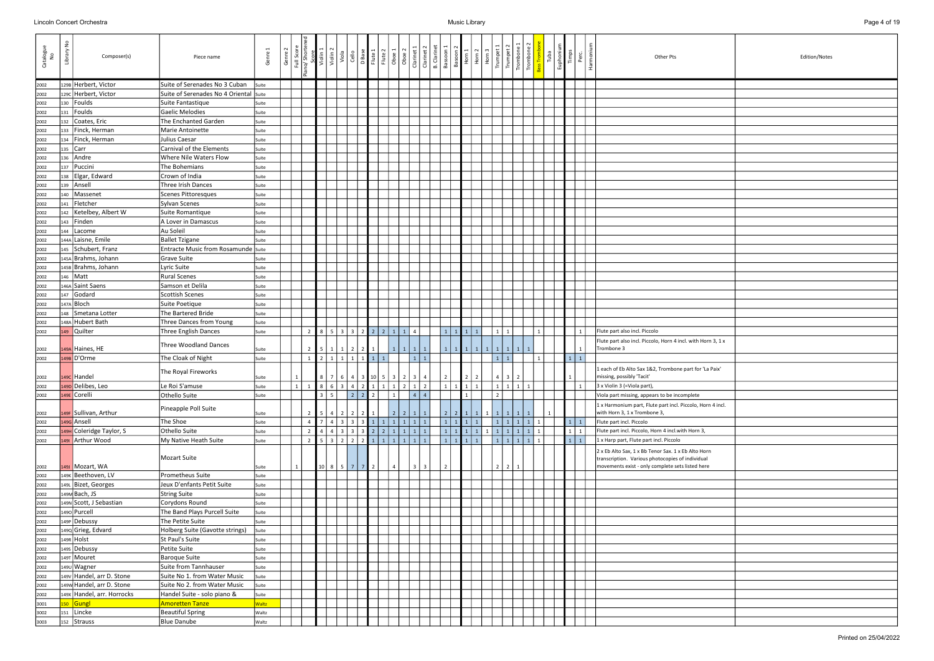| Catalogue<br>No | š<br>Library | Composer(s)                | Piece name                             | Genre        | Genre | Full Scon      |                | violin<br>Violin<br>violin | Viola             | Cello | D Base                                       | Flute <sub>2</sub><br>Flute 1 | Oboe 1          | Oboe 2                     | Clarinet                                              | Clarinet 2<br><b>B.</b> Clarinet | Bassoon        | Basoon 2        | Horn 1            | $\frac{10 \text{ m} \cdot \text{m}}{\text{H} \cdot \text{m} \cdot \text{m} \cdot \text{m}}$ |                  |  |                | Tuba | Euphoniur | Timps<br>Perc           | Harmon | Other Pts<br>Edition/Notes                                                                                                                                  |
|-----------------|--------------|----------------------------|----------------------------------------|--------------|-------|----------------|----------------|----------------------------|-------------------|-------|----------------------------------------------|-------------------------------|-----------------|----------------------------|-------------------------------------------------------|----------------------------------|----------------|-----------------|-------------------|---------------------------------------------------------------------------------------------|------------------|--|----------------|------|-----------|-------------------------|--------|-------------------------------------------------------------------------------------------------------------------------------------------------------------|
| 2002            |              | 129B Herbert, Victor       | Suite of Serenades No 3 Cuban          | Suite        |       |                |                |                            |                   |       |                                              |                               |                 |                            |                                                       |                                  |                |                 |                   |                                                                                             |                  |  |                |      |           |                         |        |                                                                                                                                                             |
| 2002            |              | 129c Herbert, Victor       | Suite of Serenades No 4 Oriental Suite |              |       |                |                |                            |                   |       |                                              |                               |                 |                            |                                                       |                                  |                |                 |                   |                                                                                             |                  |  |                |      |           |                         |        |                                                                                                                                                             |
| 2002            | 130          | Foulds                     | Suite Fantastique                      | Suite        |       |                |                |                            |                   |       |                                              |                               |                 |                            |                                                       |                                  |                |                 |                   |                                                                                             |                  |  |                |      |           |                         |        |                                                                                                                                                             |
| 2002            | 131          | Foulds                     | Gaelic Melodies                        | Suite        |       |                |                |                            |                   |       |                                              |                               |                 |                            |                                                       |                                  |                |                 |                   |                                                                                             |                  |  |                |      |           |                         |        |                                                                                                                                                             |
| 2002            | 132          | Coates, Eric               | The Enchanted Garden                   | Suite        |       |                |                |                            |                   |       |                                              |                               |                 |                            |                                                       |                                  |                |                 |                   |                                                                                             |                  |  |                |      |           |                         |        |                                                                                                                                                             |
| 2002            | 133          | Finck, Herman              | Marie Antoinette                       | Suite        |       |                |                |                            |                   |       |                                              |                               |                 |                            |                                                       |                                  |                |                 |                   |                                                                                             |                  |  |                |      |           |                         |        |                                                                                                                                                             |
| 2002            | 134          | Finck, Herman              | Julius Caesar                          | Suite        |       |                |                |                            |                   |       |                                              |                               |                 |                            |                                                       |                                  |                |                 |                   |                                                                                             |                  |  |                |      |           |                         |        |                                                                                                                                                             |
| 2002            |              | 135   Carr                 | Carnival of the Elements               | Suite        |       |                |                |                            |                   |       |                                              |                               |                 |                            |                                                       |                                  |                |                 |                   |                                                                                             |                  |  |                |      |           |                         |        |                                                                                                                                                             |
| 2002            | 136          | Andre                      | Where Nile Waters Flow                 | Suite        |       |                |                |                            |                   |       |                                              |                               |                 |                            |                                                       |                                  |                |                 |                   |                                                                                             |                  |  |                |      |           |                         |        |                                                                                                                                                             |
| 2002            | 137          | Puccini                    | The Bohemians                          | Suite        |       |                |                |                            |                   |       |                                              |                               |                 |                            |                                                       |                                  |                |                 |                   |                                                                                             |                  |  |                |      |           |                         |        |                                                                                                                                                             |
| 2002            | 138          | Elgar, Edward              | Crown of India                         | Suite        |       |                |                |                            |                   |       |                                              |                               |                 |                            |                                                       |                                  |                |                 |                   |                                                                                             |                  |  |                |      |           |                         |        |                                                                                                                                                             |
|                 |              | 139 Ansell                 | Three Irish Dances                     |              |       |                |                |                            |                   |       |                                              |                               |                 |                            |                                                       |                                  |                |                 |                   |                                                                                             |                  |  |                |      |           |                         |        |                                                                                                                                                             |
| 2002            |              | 140   Massenet             | Scenes Pittoresques                    | Suite        |       |                |                |                            |                   |       |                                              |                               |                 |                            |                                                       |                                  |                |                 |                   |                                                                                             |                  |  |                |      |           |                         |        |                                                                                                                                                             |
| 2002            |              | Fletcher                   |                                        | Suite        |       |                |                |                            |                   |       |                                              |                               |                 |                            |                                                       |                                  |                |                 |                   |                                                                                             |                  |  |                |      |           |                         |        |                                                                                                                                                             |
| 2002            | 141          |                            | Sylvan Scenes                          | Suite        |       |                |                |                            |                   |       |                                              |                               |                 |                            |                                                       |                                  |                |                 |                   |                                                                                             |                  |  |                |      |           |                         |        |                                                                                                                                                             |
| 2002            | 142          | Ketelbey, Albert W         | Suite Romantique                       | Suite        |       |                |                |                            |                   |       |                                              |                               |                 |                            |                                                       |                                  |                |                 |                   |                                                                                             |                  |  |                |      |           |                         |        |                                                                                                                                                             |
| 2002            |              | $143$ Finden               | A Lover in Damascus                    | Suite        |       |                |                |                            |                   |       |                                              |                               |                 |                            |                                                       |                                  |                |                 |                   |                                                                                             |                  |  |                |      |           |                         |        |                                                                                                                                                             |
| 2002            | 144          | Lacome                     | Au Soleil                              | Suite        |       |                |                |                            |                   |       |                                              |                               |                 |                            |                                                       |                                  |                |                 |                   |                                                                                             |                  |  |                |      |           |                         |        |                                                                                                                                                             |
| 2002            |              | 144A Laisne, Emile         | <b>Ballet Tzigane</b>                  | Suite        |       |                |                |                            |                   |       |                                              |                               |                 |                            |                                                       |                                  |                |                 |                   |                                                                                             |                  |  |                |      |           |                         |        |                                                                                                                                                             |
| 2002            |              | 145 Schubert, Franz        | Entracte Music from Rosamunde Suite    |              |       |                |                |                            |                   |       |                                              |                               |                 |                            |                                                       |                                  |                |                 |                   |                                                                                             |                  |  |                |      |           |                         |        |                                                                                                                                                             |
| 2002            |              | 145A Brahms, Johann        | <b>Grave Suite</b>                     | Suite        |       |                |                |                            |                   |       |                                              |                               |                 |                            |                                                       |                                  |                |                 |                   |                                                                                             |                  |  |                |      |           |                         |        |                                                                                                                                                             |
| 2002            |              | 145B Brahms, Johann        | Lyric Suite                            | Suite        |       |                |                |                            |                   |       |                                              |                               |                 |                            |                                                       |                                  |                |                 |                   |                                                                                             |                  |  |                |      |           |                         |        |                                                                                                                                                             |
| 2002            |              | 146   Matt                 | <b>Rural Scenes</b>                    | Suite        |       |                |                |                            |                   |       |                                              |                               |                 |                            |                                                       |                                  |                |                 |                   |                                                                                             |                  |  |                |      |           |                         |        |                                                                                                                                                             |
| 2002            |              | 146A Saint Saens           | Samson et Delila                       | Suite        |       |                |                |                            |                   |       |                                              |                               |                 |                            |                                                       |                                  |                |                 |                   |                                                                                             |                  |  |                |      |           |                         |        |                                                                                                                                                             |
| 2002            |              | $147$ Godard               | Scottish Scenes                        | Suite        |       |                |                |                            |                   |       |                                              |                               |                 |                            |                                                       |                                  |                |                 |                   |                                                                                             |                  |  |                |      |           |                         |        |                                                                                                                                                             |
| 2002            |              | 147A Bloch                 | Suite Poetique                         | Suite        |       |                |                |                            |                   |       |                                              |                               |                 |                            |                                                       |                                  |                |                 |                   |                                                                                             |                  |  |                |      |           |                         |        |                                                                                                                                                             |
| 2002            | 148          | Smetana Lotter             | The Bartered Bride                     | Suite        |       |                |                |                            |                   |       |                                              |                               |                 |                            |                                                       |                                  |                |                 |                   |                                                                                             |                  |  |                |      |           |                         |        |                                                                                                                                                             |
| 2002            |              | 148A Hubert Bath           | Three Dances from Young                | Suite        |       |                |                |                            |                   |       |                                              |                               |                 |                            |                                                       |                                  |                |                 |                   |                                                                                             |                  |  |                |      |           |                         |        |                                                                                                                                                             |
| 2002            |              | 149 Quilter                | Three English Dances                   | Suite        |       |                | $\overline{2}$ |                            |                   |       |                                              |                               |                 | 85332221114                |                                                       |                                  | $1 \vert$      |                 | $1 \mid 1 \mid 1$ |                                                                                             |                  |  |                |      |           | $\mathbf{1}$            |        | Flute part also incl. Piccolo                                                                                                                               |
| 2002            |              | 149A Haines, HE            | Three Woodland Dances                  | Suite        |       |                | $\overline{2}$ |                            | 5   1   1   2   2 |       |                                              |                               | $\vert 1 \vert$ | $1 \mid 1 \mid$            |                                                       | $1 \mid$                         |                |                 |                   |                                                                                             | 1111111111111111 |  |                |      |           |                         |        | Flute part also incl. Piccolo, Horn 4 incl. with Horn 3, 1 x<br>Trombone 3                                                                                  |
| 2002            |              | 149B D'Orme                | The Cloak of Night                     | Suite        |       |                | $\mathbf{1}$   |                            |                   |       | $2 \mid 1 \mid 1 \mid 1 \mid 1 \mid 1$       | $\overline{1}$                |                 |                            | 1 1                                                   |                                  |                |                 |                   |                                                                                             | $1 \mid 1$       |  | $\overline{1}$ |      |           | $1 \mid 1$              |        |                                                                                                                                                             |
|                 |              |                            |                                        |              |       |                |                |                            |                   |       |                                              |                               |                 |                            |                                                       |                                  |                |                 |                   |                                                                                             |                  |  |                |      |           |                         |        |                                                                                                                                                             |
| 2002            |              | $149C$ Handel              | The Royal Fireworks                    | Suite        |       |                |                |                            | $8 \mid 7 \mid 6$ |       |                                              |                               |                 | 4   3   10   5   3   2   3 |                                                       | 4                                | $\overline{2}$ |                 | $\vert$ 2         | $2 \mid$                                                                                    | 4 3              |  |                |      |           |                         |        | 1 each of Eb Alto Sax 1&2, Trombone part for 'La Paix'<br>missing, possibly 'Tacit'                                                                         |
| 2002            |              | 1490 Delibes, Leo          | Le Roi S'amuse                         | Suite        |       | 1 <sup>1</sup> |                | $\overline{8}$             | $6 \mid 3$        |       | 421                                          |                               | 1<br>1          | 2 1                        |                                                       | 2                                | $1\vert$       | $1 \mid 1 \mid$ |                   | $1 \vert$                                                                                   | $1$   1          |  |                |      |           | $\overline{1}$          |        | 3 x Violin 3 (=Viola part),                                                                                                                                 |
| 2002            |              | 149E Corelli               | Othello Suite                          | Suite        |       |                |                | $3 \mid 5$                 |                   | 2 2   |                                              | $\vert$ 2                     | $\mathbf{1}$    |                            | $\begin{array}{ c c c c c } \hline 4 & 4 \end{array}$ |                                  |                |                 |                   |                                                                                             |                  |  |                |      |           |                         |        | Viola part missing, appears to be incomplete                                                                                                                |
| 2002            |              | 149F Sullivan, Arthur      | Pineapple Poll Suite                   | Suite        |       |                | $\overline{2}$ |                            |                   |       | 5   4   2   2   2   1                        |                               |                 | $2211$                     |                                                       | $1 \mid$                         |                |                 |                   |                                                                                             |                  |  |                |      |           |                         |        | 1 x Harmonium part, Flute part incl. Piccolo, Horn 4 incl.<br>with Horn 3, 1 x Trombone 3,                                                                  |
| 2002            |              | 149G Ansell                | The Shoe                               | Suite        |       |                | $\overline{4}$ |                            |                   |       |                                              |                               |                 | 743331111111               |                                                       |                                  |                |                 | 11111             |                                                                                             | 1111111          |  |                |      |           | $1 \mid 1$              |        | Flute part incl. Piccolo                                                                                                                                    |
| 2002            |              | 149H Coleridge Taylor, S   | Othello Suite                          | Suite        |       |                | $\overline{2}$ |                            |                   |       |                                              |                               |                 | 4 4 3 3 3 2 2 1 1 1 1      |                                                       |                                  |                |                 |                   |                                                                                             |                  |  |                |      |           | $1 \mid 1$              |        | Flute part incl. Piccolo, Horn 4 incl.with Horn 3,                                                                                                          |
| 2002            |              | 1491 Arthur Wood           | My Native Heath Suite                  | Suite        |       |                | $\overline{2}$ |                            |                   |       |                                              |                               |                 |                            |                                                       |                                  |                |                 | $1 1 1 1$         |                                                                                             |                  |  |                |      |           | $\boxed{1}$ $\boxed{1}$ |        | 1 x Harp part, Flute part incl. Piccolo                                                                                                                     |
| 2002            |              | 149J Mozart, WA            | Mozart Suite                           | Suite        |       | 1              |                |                            |                   |       | $10 \mid 8 \mid 5 \mid 7 \mid 7 \mid 2 \mid$ |                               | $\overline{4}$  |                            | 3 <sup>1</sup>                                        | 3                                | $\overline{2}$ |                 |                   |                                                                                             | $2 \mid 2$       |  |                |      |           |                         |        | 2 x Eb Alto Sax, 1 x Bb Tenor Sax. 1 x Eb Alto Horn<br>transcription. Various photocopies of individual<br>movements exist - only complete sets listed here |
| 2002            |              | 149K Beethoven, LV         | Prometheus Suite                       | Suite        |       |                |                |                            |                   |       |                                              |                               |                 |                            |                                                       |                                  |                |                 |                   |                                                                                             |                  |  |                |      |           |                         |        |                                                                                                                                                             |
|                 |              | 149L Bizet, Georges        |                                        |              |       |                |                |                            |                   |       |                                              |                               |                 |                            |                                                       |                                  |                |                 |                   |                                                                                             |                  |  |                |      |           |                         |        |                                                                                                                                                             |
| 2002            |              | 149M Bach, JS              | Jeux D'enfants Petit Suite             | Suite        |       |                |                |                            |                   |       |                                              |                               |                 |                            |                                                       |                                  |                |                 |                   |                                                                                             |                  |  |                |      |           |                         |        |                                                                                                                                                             |
| 2002            |              |                            | <b>String Suite</b>                    | Suite        |       |                |                |                            |                   |       |                                              |                               |                 |                            |                                                       |                                  |                |                 |                   |                                                                                             |                  |  |                |      |           |                         |        |                                                                                                                                                             |
| 2002            |              | 149N Scott, J Sebastian    | Corydons Round                         | Suite        |       |                |                |                            |                   |       |                                              |                               |                 |                            |                                                       |                                  |                |                 |                   |                                                                                             |                  |  |                |      |           |                         |        |                                                                                                                                                             |
| 2002            |              | 1490 Purcell               | The Band Plays Purcell Suite           | Suite        |       |                |                |                            |                   |       |                                              |                               |                 |                            |                                                       |                                  |                |                 |                   |                                                                                             |                  |  |                |      |           |                         |        |                                                                                                                                                             |
| 2002            |              | 149P Debussy               | The Petite Suite                       | Suite        |       |                |                |                            |                   |       |                                              |                               |                 |                            |                                                       |                                  |                |                 |                   |                                                                                             |                  |  |                |      |           |                         |        |                                                                                                                                                             |
| 2002            |              | 1490 Grieg, Edvard         | Holberg Suite (Gavotte strings)        | Suite        |       |                |                |                            |                   |       |                                              |                               |                 |                            |                                                       |                                  |                |                 |                   |                                                                                             |                  |  |                |      |           |                         |        |                                                                                                                                                             |
| 2002            |              | 149R Holst                 | St Paul's Suite                        | Suite        |       |                |                |                            |                   |       |                                              |                               |                 |                            |                                                       |                                  |                |                 |                   |                                                                                             |                  |  |                |      |           |                         |        |                                                                                                                                                             |
| 2002            |              | 1495 Debussy               | Petite Suite                           | Suite        |       |                |                |                            |                   |       |                                              |                               |                 |                            |                                                       |                                  |                |                 |                   |                                                                                             |                  |  |                |      |           |                         |        |                                                                                                                                                             |
| 2002            |              | 149T Mouret                | <b>Baroque Suite</b>                   | Suite        |       |                |                |                            |                   |       |                                              |                               |                 |                            |                                                       |                                  |                |                 |                   |                                                                                             |                  |  |                |      |           |                         |        |                                                                                                                                                             |
| 2002            |              | 1490 Wagner                | Suite from Tannhauser                  | Suite        |       |                |                |                            |                   |       |                                              |                               |                 |                            |                                                       |                                  |                |                 |                   |                                                                                             |                  |  |                |      |           |                         |        |                                                                                                                                                             |
| 2002            |              | 149v Handel, arr D. Stone  | Suite No 1. from Water Music           | Suite        |       |                |                |                            |                   |       |                                              |                               |                 |                            |                                                       |                                  |                |                 |                   |                                                                                             |                  |  |                |      |           |                         |        |                                                                                                                                                             |
| 2002            |              | 149W Handel, arr D. Stone  | Suite No 2. from Water Music           | Suite        |       |                |                |                            |                   |       |                                              |                               |                 |                            |                                                       |                                  |                |                 |                   |                                                                                             |                  |  |                |      |           |                         |        |                                                                                                                                                             |
| 2002            |              | 149x Handel, arr. Horrocks | Handel Suite - solo piano &            | Suite        |       |                |                |                            |                   |       |                                              |                               |                 |                            |                                                       |                                  |                |                 |                   |                                                                                             |                  |  |                |      |           |                         |        |                                                                                                                                                             |
| 3001            |              | 150 Gungl                  | <b>Amoretten Tanze</b>                 | <b>Waltz</b> |       |                |                |                            |                   |       |                                              |                               |                 |                            |                                                       |                                  |                |                 |                   |                                                                                             |                  |  |                |      |           |                         |        |                                                                                                                                                             |
| 3002            |              | 151 Lincke                 | <b>Beautiful Spring</b>                | Waltz        |       |                |                |                            |                   |       |                                              |                               |                 |                            |                                                       |                                  |                |                 |                   |                                                                                             |                  |  |                |      |           |                         |        |                                                                                                                                                             |
| 3003            |              | 152 Strauss                | <b>Blue Danube</b>                     | Waltz        |       |                |                |                            |                   |       |                                              |                               |                 |                            |                                                       |                                  |                |                 |                   |                                                                                             |                  |  |                |      |           |                         |        |                                                                                                                                                             |

|            | Edition/Notes |
|------------|---------------|
|            |               |
|            |               |
|            |               |
|            |               |
|            |               |
|            |               |
|            |               |
|            |               |
|            |               |
|            |               |
|            |               |
|            |               |
|            |               |
|            |               |
|            |               |
|            |               |
|            |               |
|            |               |
|            |               |
|            |               |
|            |               |
|            |               |
|            |               |
|            |               |
|            |               |
| rn 3, 1 x  |               |
|            |               |
|            |               |
| a Paix'    |               |
|            |               |
|            |               |
| rn 4 incl. |               |
|            |               |
|            |               |
|            |               |
| rn         |               |
| L          |               |
| e          |               |
|            |               |
|            |               |
|            |               |
|            |               |
|            |               |
|            |               |
|            |               |
|            |               |
|            |               |
|            |               |
|            |               |
|            |               |
|            |               |
|            |               |
|            |               |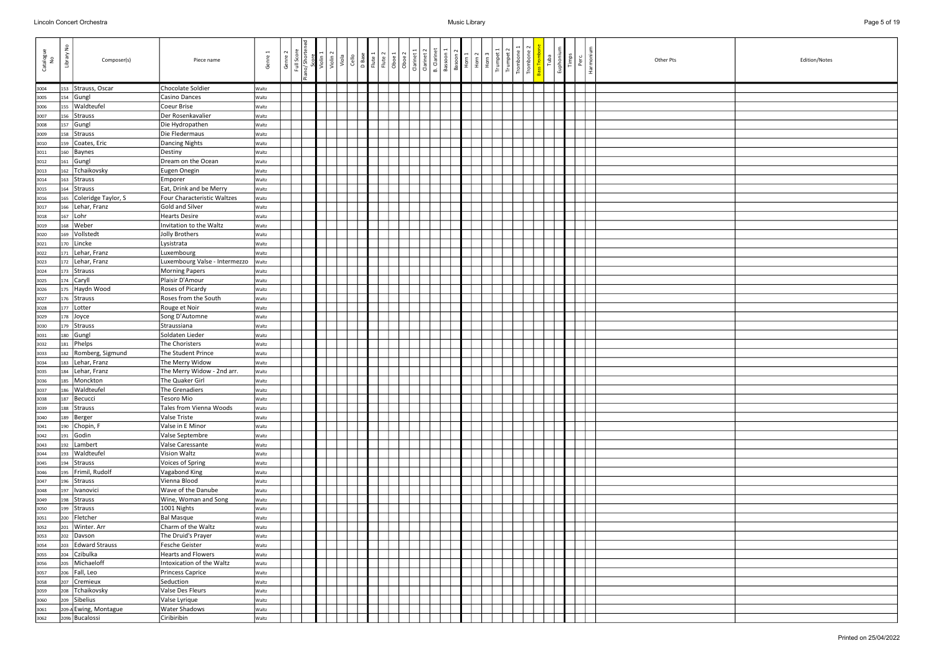| Catalogue<br>No | $\epsilon$<br>Library | Composer(s)              | Piece name                              | Genre 1      | Genre 2 | Full Scor | Violin <sup>2</sup><br>Viola | Cello | D Base<br>Flute 1 | Flute 2<br>Oboe 1 | Oboe 2 | Clarinet: | <b>B.</b> Clarinet<br>Clarinet 2 | Bassoon 1 | Basoon 2<br>Horn 1 | Horn <sub>2</sub> | Horn | Trumpet<br>Trump | $\begin{tabular}{c c} \hline \texttt{I} \texttt{combine} \\ \hline \texttt{I} \texttt{remove} \\ \hline \end{tabular}$ | ε<br>Euphoniu<br>Tuba | Timps | Harmoni<br>Perc | Other Pts |  |  | Edition/Notes |
|-----------------|-----------------------|--------------------------|-----------------------------------------|--------------|---------|-----------|------------------------------|-------|-------------------|-------------------|--------|-----------|----------------------------------|-----------|--------------------|-------------------|------|------------------|------------------------------------------------------------------------------------------------------------------------|-----------------------|-------|-----------------|-----------|--|--|---------------|
| 3004            |                       | 153 Strauss, Oscar       | Chocolate Soldier                       | Waltz        |         |           |                              |       |                   |                   |        |           |                                  |           |                    |                   |      |                  |                                                                                                                        |                       |       |                 |           |  |  |               |
| 3005            | 154                   | Gungl                    | Casino Dances                           | Waltz        |         |           |                              |       |                   |                   |        |           |                                  |           |                    |                   |      |                  |                                                                                                                        |                       |       |                 |           |  |  |               |
| 3006            | 155                   | Waldteufel               | Coeur Brise                             | Waltz        |         |           |                              |       |                   |                   |        |           |                                  |           |                    |                   |      |                  |                                                                                                                        |                       |       |                 |           |  |  |               |
| 3007            | 156                   | Strauss                  | Der Rosenkavalier                       | Waltz        |         |           |                              |       |                   |                   |        |           |                                  |           |                    |                   |      |                  |                                                                                                                        |                       |       |                 |           |  |  |               |
| 3008            | 157                   | Gungl                    | Die Hydropathen                         | Waltz        |         |           |                              |       |                   |                   |        |           |                                  |           |                    |                   |      |                  |                                                                                                                        |                       |       |                 |           |  |  |               |
| 3009            | 158                   | Strauss                  | Die Fledermaus                          | Waltz        |         |           |                              |       |                   |                   |        |           |                                  |           |                    |                   |      |                  |                                                                                                                        |                       |       |                 |           |  |  |               |
| 3010            | 159                   | Coates, Eric             | Dancing Nights                          | Waltz        |         |           |                              |       |                   |                   |        |           |                                  |           |                    |                   |      |                  |                                                                                                                        |                       |       |                 |           |  |  |               |
| 3011            | 160                   | Baynes                   | Destiny                                 | Waltz        |         |           |                              |       |                   |                   |        |           |                                  |           |                    |                   |      |                  |                                                                                                                        |                       |       |                 |           |  |  |               |
| 3012            | 161                   | Gungl                    | Dream on the Ocean                      | Waltz        |         |           |                              |       |                   |                   |        |           |                                  |           |                    |                   |      |                  |                                                                                                                        |                       |       |                 |           |  |  |               |
| 3013            | 162                   | Tchaikovsky              | Eugen Onegin                            | Waltz        |         |           |                              |       |                   |                   |        |           |                                  |           |                    |                   |      |                  |                                                                                                                        |                       |       |                 |           |  |  |               |
| 3014            | 163                   | Strauss                  | Emporer                                 | Waltz        |         |           |                              |       |                   |                   |        |           |                                  |           |                    |                   |      |                  |                                                                                                                        |                       |       |                 |           |  |  |               |
| 3015            | 164                   | Strauss                  | Eat, Drink and be Merry                 | Waltz        |         |           |                              |       |                   |                   |        |           |                                  |           |                    |                   |      |                  |                                                                                                                        |                       |       |                 |           |  |  |               |
| 3016            | 165                   | Coleridge Taylor, S      | Four Characteristic Waltzes             | Waltz        |         |           |                              |       |                   |                   |        |           |                                  |           |                    |                   |      |                  |                                                                                                                        |                       |       |                 |           |  |  |               |
| 3017            | 166                   | Lehar, Franz             | Gold and Silver                         | Waltz        |         |           |                              |       |                   |                   |        |           |                                  |           |                    |                   |      |                  |                                                                                                                        |                       |       |                 |           |  |  |               |
| 3018            | 167                   | Lohr                     | Hearts Desire                           | <b>Waltz</b> |         |           |                              |       |                   |                   |        |           |                                  |           |                    |                   |      |                  |                                                                                                                        |                       |       |                 |           |  |  |               |
| 3019            | 168                   | Weber                    | Invitation to the Waltz                 | Waltz        |         |           |                              |       |                   |                   |        |           |                                  |           |                    |                   |      |                  |                                                                                                                        |                       |       |                 |           |  |  |               |
| 3020            | 169                   | Vollstedt                | Jolly Brothers                          | Waltz        |         |           |                              |       |                   |                   |        |           |                                  |           |                    |                   |      |                  |                                                                                                                        |                       |       |                 |           |  |  |               |
| 3021            | 170                   | Lincke                   | Lysistrata                              | Waltz        |         |           |                              |       |                   |                   |        |           |                                  |           |                    |                   |      |                  |                                                                                                                        |                       |       |                 |           |  |  |               |
| 3022            | 171                   | Lehar, Franz             | Luxembourg                              | Waltz        |         |           |                              |       |                   |                   |        |           |                                  |           |                    |                   |      |                  |                                                                                                                        |                       |       |                 |           |  |  |               |
| 3023            | 172                   | Lehar, Franz             | Luxembourg Valse - Intermezzo           | Waltz        |         |           |                              |       |                   |                   |        |           |                                  |           |                    |                   |      |                  |                                                                                                                        |                       |       |                 |           |  |  |               |
| 3024            | 173                   | Strauss                  | <b>Morning Papers</b>                   | Waltz        |         |           |                              |       |                   |                   |        |           |                                  |           |                    |                   |      |                  |                                                                                                                        |                       |       |                 |           |  |  |               |
| 3025            | 174                   | Caryll                   | Plaisir D'Amour                         | Waltz        |         |           |                              |       |                   |                   |        |           |                                  |           |                    |                   |      |                  |                                                                                                                        |                       |       |                 |           |  |  |               |
| 3026            | 175                   | Haydn Wood               | Roses of Picardy                        | Waltz        |         |           |                              |       |                   |                   |        |           |                                  |           |                    |                   |      |                  |                                                                                                                        |                       |       |                 |           |  |  |               |
| 3027            | 176                   | Strauss                  | Roses from the South                    | Waltz        |         |           |                              |       |                   |                   |        |           |                                  |           |                    |                   |      |                  |                                                                                                                        |                       |       |                 |           |  |  |               |
| 3028            | 177                   | Lotter                   | Rouge et Noir                           | Waltz        |         |           |                              |       |                   |                   |        |           |                                  |           |                    |                   |      |                  |                                                                                                                        |                       |       |                 |           |  |  |               |
| 3029            | 178                   | Joyce                    | Song D'Automne                          | Waltz        |         |           |                              |       |                   |                   |        |           |                                  |           |                    |                   |      |                  |                                                                                                                        |                       |       |                 |           |  |  |               |
| 3030            | 179                   | Strauss                  | Straussiana                             | Waltz        |         |           |                              |       |                   |                   |        |           |                                  |           |                    |                   |      |                  |                                                                                                                        |                       |       |                 |           |  |  |               |
| 3031            | 180                   | Gungl                    | Soldaten Lieder                         | Waltz        |         |           |                              |       |                   |                   |        |           |                                  |           |                    |                   |      |                  |                                                                                                                        |                       |       |                 |           |  |  |               |
| 3032            | 181                   | Phelps                   | The Choristers                          | Waltz        |         |           |                              |       |                   |                   |        |           |                                  |           |                    |                   |      |                  |                                                                                                                        |                       |       |                 |           |  |  |               |
| 3033            | 182                   | Romberg, Sigmund         | The Student Prince                      | Waltz        |         |           |                              |       |                   |                   |        |           |                                  |           |                    |                   |      |                  |                                                                                                                        |                       |       |                 |           |  |  |               |
| 3034            | 183                   | Lehar, Franz             | The Merry Widow                         | Waltz        |         |           |                              |       |                   |                   |        |           |                                  |           |                    |                   |      |                  |                                                                                                                        |                       |       |                 |           |  |  |               |
| 3035            | 184                   | Lehar, Franz             | The Merry Widow - 2nd arr.              | <b>Waltz</b> |         |           |                              |       |                   |                   |        |           |                                  |           |                    |                   |      |                  |                                                                                                                        |                       |       |                 |           |  |  |               |
| 3036            | 185                   | Monckton                 | The Quaker Girl                         | Waltz        |         |           |                              |       |                   |                   |        |           |                                  |           |                    |                   |      |                  |                                                                                                                        |                       |       |                 |           |  |  |               |
| 3037            |                       | 186 Waldteufel           | The Grenadiers                          | Waltz        |         |           |                              |       |                   |                   |        |           |                                  |           |                    |                   |      |                  |                                                                                                                        |                       |       |                 |           |  |  |               |
| 3038            | 187                   | Becucci                  | Tesoro Mio                              | Waltz        |         |           |                              |       |                   |                   |        |           |                                  |           |                    |                   |      |                  |                                                                                                                        |                       |       |                 |           |  |  |               |
| 3039            | 188                   | Strauss                  | Tales from Vienna Woods                 | Waltz        |         |           |                              |       |                   |                   |        |           |                                  |           |                    |                   |      |                  |                                                                                                                        |                       |       |                 |           |  |  |               |
| 3040            | 189                   | Berger                   | Valse Triste                            | Waltz        |         |           |                              |       |                   |                   |        |           |                                  |           |                    |                   |      |                  |                                                                                                                        |                       |       |                 |           |  |  |               |
| 3041            | 190                   | Chopin, F                | Valse in E Minor                        | Waltz        |         |           |                              |       |                   |                   |        |           |                                  |           |                    |                   |      |                  |                                                                                                                        |                       |       |                 |           |  |  |               |
| 3042            | 191                   | Godin                    | Valse Septembre                         | Waltz        |         |           |                              |       |                   |                   |        |           |                                  |           |                    |                   |      |                  |                                                                                                                        |                       |       |                 |           |  |  |               |
| 3043            | 192                   | Lambert                  | Valse Caressante                        | Waltz        |         |           |                              |       |                   |                   |        |           |                                  |           |                    |                   |      |                  |                                                                                                                        |                       |       |                 |           |  |  |               |
| 3044            | 193                   | Waldteufel               | Vision Waltz                            | Waltz        |         |           |                              |       |                   |                   |        |           |                                  |           |                    |                   |      |                  |                                                                                                                        |                       |       |                 |           |  |  |               |
| 3045            | 194                   | Strauss                  | Voices of Spring                        | Waltz        |         |           |                              |       |                   |                   |        |           |                                  |           |                    |                   |      |                  |                                                                                                                        |                       |       |                 |           |  |  |               |
| 3046            | 195                   | Frimil, Rudolf           | Vagabond King                           | Waltz        |         |           |                              |       |                   |                   |        |           |                                  |           |                    |                   |      |                  |                                                                                                                        |                       |       |                 |           |  |  |               |
| 3047            |                       | 196 Strauss              | Vienna Blood                            | Waltz        |         |           |                              |       |                   |                   |        |           |                                  |           |                    |                   |      |                  |                                                                                                                        |                       |       |                 |           |  |  |               |
| 3048            | 197                   | Ivanovici                | Wave of the Danube                      | Waltz        |         |           |                              |       |                   |                   |        |           |                                  |           |                    |                   |      |                  |                                                                                                                        |                       |       |                 |           |  |  |               |
| 3049            | 198                   | Strauss                  | Wine, Woman and Song                    | Waltz        |         |           |                              |       |                   |                   |        |           |                                  |           |                    |                   |      |                  |                                                                                                                        |                       |       |                 |           |  |  |               |
| 3050            |                       | 199 Strauss              | 1001 Nights                             | Waltz        |         |           |                              |       |                   |                   |        |           |                                  |           |                    |                   |      |                  |                                                                                                                        |                       |       |                 |           |  |  |               |
| 3051            | 200                   | Fletcher<br>Winter. Arr  | <b>Bal Masque</b><br>Charm of the Waltz | <b>Waltz</b> |         |           |                              |       |                   |                   |        |           |                                  |           |                    |                   |      |                  |                                                                                                                        |                       |       |                 |           |  |  |               |
| 3052            | 201                   |                          |                                         | Waltz        |         |           |                              |       |                   |                   |        |           |                                  |           |                    |                   |      |                  |                                                                                                                        |                       |       |                 |           |  |  |               |
| 3053            | 202                   | Davson<br>Edward Strauss | The Druid's Prayer<br>Fesche Geister    | Waltz        |         |           |                              |       |                   |                   |        |           |                                  |           |                    |                   |      |                  |                                                                                                                        |                       |       |                 |           |  |  |               |
| 3054            | 203                   |                          | Hearts and Flowers                      | Waltz        |         |           |                              |       |                   |                   |        |           |                                  |           |                    |                   |      |                  |                                                                                                                        |                       |       |                 |           |  |  |               |
| 3055            | 204                   | Czibulka<br>Michaeloff   | Intoxication of the Waltz               | Waltz        |         |           |                              |       |                   |                   |        |           |                                  |           |                    |                   |      |                  |                                                                                                                        |                       |       |                 |           |  |  |               |
| 3056            | 205                   | Fall, Leo                | Princess Caprice                        | Waltz        |         |           |                              |       |                   |                   |        |           |                                  |           |                    |                   |      |                  |                                                                                                                        |                       |       |                 |           |  |  |               |
| 3057            | 206                   |                          |                                         | Waltz        |         |           |                              |       |                   |                   |        |           |                                  |           |                    |                   |      |                  |                                                                                                                        |                       |       |                 |           |  |  |               |
| 3058            | 207<br>208            | Cremieux<br>Tchaikovsky  | Seduction<br>Valse Des Fleurs           | Waltz        |         |           |                              |       |                   |                   |        |           |                                  |           |                    |                   |      |                  |                                                                                                                        |                       |       |                 |           |  |  |               |
| 3059            | 209                   | Sibelius                 |                                         | Waltz        |         |           |                              |       |                   |                   |        |           |                                  |           |                    |                   |      |                  |                                                                                                                        |                       |       |                 |           |  |  |               |
| 3060            |                       | 209-A Ewing, Montague    | Valse Lyrique<br><b>Water Shadows</b>   | Waltz        |         |           |                              |       |                   |                   |        |           |                                  |           |                    |                   |      |                  |                                                                                                                        |                       |       |                 |           |  |  |               |
| 3061            |                       | 209b Bucalossi           |                                         | Waltz        |         |           |                              |       |                   |                   |        |           |                                  |           |                    |                   |      |                  |                                                                                                                        |                       |       |                 |           |  |  |               |
| 3062            |                       |                          | Ciribiribin                             | Waltz        |         |           |                              |       |                   |                   |        |           |                                  |           |                    |                   |      |                  |                                                                                                                        |                       |       |                 |           |  |  |               |

| Edition/Notes |
|---------------|
|               |
|               |
|               |
|               |
|               |
|               |
|               |
|               |
|               |
|               |
|               |
|               |
|               |
|               |
|               |
|               |
|               |
|               |
|               |
|               |
|               |
|               |
|               |
|               |
|               |
|               |
|               |
|               |
|               |
|               |
|               |
|               |
|               |
|               |
|               |
|               |
|               |
|               |
|               |
|               |
|               |
|               |
|               |
|               |
|               |
|               |
|               |
|               |
|               |
|               |
|               |
|               |
|               |
|               |
|               |
|               |
|               |
|               |
|               |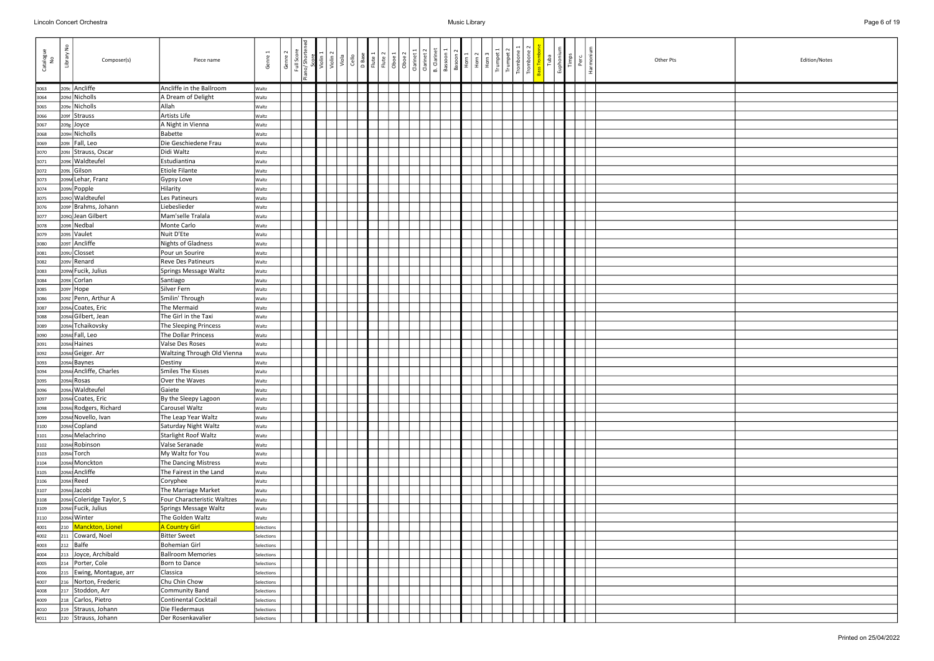| Catalogue<br>No | $\frac{9}{2}$<br>Library | Composer(s)                  | Piece name                            | $\overline{ }$<br>Genre | Genre | Full Scor | Violin 2 | Violin 2 | Cello<br>Viola | D Base | Flute 1 | Oboe 1<br>Flute 2 | Oboe <sub>2</sub> | Clarinet 1 | B. Clarinet<br>Clarinet 2 | Bassoon 1 | Basoon <sub>2</sub><br>Horn 1 | $\frac{10 \text{ m}^2}{10 \text{ m}^3}$ | Horn<br>Trumpe | Trump | Tromboi<br>Tromboi | Tuba | Euphoniu | Timps<br>Perc | Harmoni | Other Pts<br>Edition/Notes |
|-----------------|--------------------------|------------------------------|---------------------------------------|-------------------------|-------|-----------|----------|----------|----------------|--------|---------|-------------------|-------------------|------------|---------------------------|-----------|-------------------------------|-----------------------------------------|----------------|-------|--------------------|------|----------|---------------|---------|----------------------------|
| 3063            |                          | 209c Ancliffe                | Ancliffe in the Ballroom              | Waltz                   |       |           |          |          |                |        |         |                   |                   |            |                           |           |                               |                                         |                |       |                    |      |          |               |         |                            |
| 3064            |                          | 209d Nicholls                | A Dream of Delight                    | Waltz                   |       |           |          |          |                |        |         |                   |                   |            |                           |           |                               |                                         |                |       |                    |      |          |               |         |                            |
| 3065            | 209e l                   | Nicholls                     | Allah                                 | Waltz                   |       |           |          |          |                |        |         |                   |                   |            |                           |           |                               |                                         |                |       |                    |      |          |               |         |                            |
| 3066            |                          | 209f Strauss                 | Artists Life                          | <b>Waltz</b>            |       |           |          |          |                |        |         |                   |                   |            |                           |           |                               |                                         |                |       |                    |      |          |               |         |                            |
| 3067            |                          | $209g$ Joyce                 | A Night in Vienna                     | Waltz                   |       |           |          |          |                |        |         |                   |                   |            |                           |           |                               |                                         |                |       |                    |      |          |               |         |                            |
| 3068            |                          | 209H Nicholls                | <b>Babette</b>                        | Waltz                   |       |           |          |          |                |        |         |                   |                   |            |                           |           |                               |                                         |                |       |                    |      |          |               |         |                            |
| 3069            | 2091                     | Fall, Leo                    | Die Geschiedene Frau                  | Waltz                   |       |           |          |          |                |        |         |                   |                   |            |                           |           |                               |                                         |                |       |                    |      |          |               |         |                            |
| 3070            |                          | 209J Strauss, Oscar          | Didi Waltz                            | Waltz                   |       |           |          |          |                |        |         |                   |                   |            |                           |           |                               |                                         |                |       |                    |      |          |               |         |                            |
| 3071            |                          | 209K Waldteufel              | Estudiantina                          | Waltz                   |       |           |          |          |                |        |         |                   |                   |            |                           |           |                               |                                         |                |       |                    |      |          |               |         |                            |
| 3072            |                          | 209L Gilson                  | <b>Etiole Filante</b>                 | Waltz                   |       |           |          |          |                |        |         |                   |                   |            |                           |           |                               |                                         |                |       |                    |      |          |               |         |                            |
| 3073            |                          | 209M Lehar, Franz            | Gypsy Love                            | Waltz                   |       |           |          |          |                |        |         |                   |                   |            |                           |           |                               |                                         |                |       |                    |      |          |               |         |                            |
| 3074            |                          | 209N Popple                  | Hilarity                              | Waltz                   |       |           |          |          |                |        |         |                   |                   |            |                           |           |                               |                                         |                |       |                    |      |          |               |         |                            |
| 3075            |                          | 2090 Waldteufel              | Les Patineurs                         | Waltz                   |       |           |          |          |                |        |         |                   |                   |            |                           |           |                               |                                         |                |       |                    |      |          |               |         |                            |
| 3076            |                          | 209P Brahms, Johann          | Liebeslieder                          | Waltz                   |       |           |          |          |                |        |         |                   |                   |            |                           |           |                               |                                         |                |       |                    |      |          |               |         |                            |
| 3077            |                          | 2090 Jean Gilbert            | Mam'selle Tralala                     | Waltz                   |       |           |          |          |                |        |         |                   |                   |            |                           |           |                               |                                         |                |       |                    |      |          |               |         |                            |
| 3078            |                          | 209R Nedbal                  | Monte Carlo                           | Waltz                   |       |           |          |          |                |        |         |                   |                   |            |                           |           |                               |                                         |                |       |                    |      |          |               |         |                            |
| 3079            |                          | 2095 Vaulet<br>209T Ancliffe | Nuit D'Ete                            | Waltz                   |       |           |          |          |                |        |         |                   |                   |            |                           |           |                               |                                         |                |       |                    |      |          |               |         |                            |
| 3080            |                          | 209U Closset                 | <b>Nights of Gladness</b>             | Waltz                   |       |           |          |          |                |        |         |                   |                   |            |                           |           |                               |                                         |                |       |                    |      |          |               |         |                            |
| 3081<br>3082    |                          | 209v Renard                  | Pour un Sourire<br>Reve Des Patineurs | Waltz<br>Waltz          |       |           |          |          |                |        |         |                   |                   |            |                           |           |                               |                                         |                |       |                    |      |          |               |         |                            |
| 3083            |                          | 209W Fucik, Julius           | Springs Message Waltz                 | Waltz                   |       |           |          |          |                |        |         |                   |                   |            |                           |           |                               |                                         |                |       |                    |      |          |               |         |                            |
| 3084            |                          | 209x Corlan                  | Santiago                              | Waltz                   |       |           |          |          |                |        |         |                   |                   |            |                           |           |                               |                                         |                |       |                    |      |          |               |         |                            |
| 3085            |                          | 209Y Hope                    | Silver Fern                           | Waltz                   |       |           |          |          |                |        |         |                   |                   |            |                           |           |                               |                                         |                |       |                    |      |          |               |         |                            |
| 3086            |                          | 209Z Penn, Arthur A          | Smilin' Through                       | Waltz                   |       |           |          |          |                |        |         |                   |                   |            |                           |           |                               |                                         |                |       |                    |      |          |               |         |                            |
| 3087            |                          | 209A Coates, Eric            | The Mermaid                           | Waltz                   |       |           |          |          |                |        |         |                   |                   |            |                           |           |                               |                                         |                |       |                    |      |          |               |         |                            |
| 3088            |                          | 209Al Gilbert, Jean          | The Girl in the Taxi                  | Waltz                   |       |           |          |          |                |        |         |                   |                   |            |                           |           |                               |                                         |                |       |                    |      |          |               |         |                            |
| 3089            |                          | 209A Tchaikovsky             | The Sleeping Princess                 | Waltz                   |       |           |          |          |                |        |         |                   |                   |            |                           |           |                               |                                         |                |       |                    |      |          |               |         |                            |
| 3090            |                          | 209Al Fall, Leo              | The Dollar Princess                   | Waltz                   |       |           |          |          |                |        |         |                   |                   |            |                           |           |                               |                                         |                |       |                    |      |          |               |         |                            |
| 3091            |                          | 209A Haines                  | Valse Des Roses                       | Waltz                   |       |           |          |          |                |        |         |                   |                   |            |                           |           |                               |                                         |                |       |                    |      |          |               |         |                            |
| 3092            |                          | 209A Geiger. Arr             | Waltzing Through Old Vienna           | Waltz                   |       |           |          |          |                |        |         |                   |                   |            |                           |           |                               |                                         |                |       |                    |      |          |               |         |                            |
| 3093            |                          | 209A Baynes                  | Destiny                               | Waltz                   |       |           |          |          |                |        |         |                   |                   |            |                           |           |                               |                                         |                |       |                    |      |          |               |         |                            |
| 3094            |                          | 209Al Ancliffe, Charles      | Smiles The Kisses                     | Waltz                   |       |           |          |          |                |        |         |                   |                   |            |                           |           |                               |                                         |                |       |                    |      |          |               |         |                            |
| 3095            |                          | 209Al Rosas                  | Over the Waves                        | Waltz                   |       |           |          |          |                |        |         |                   |                   |            |                           |           |                               |                                         |                |       |                    |      |          |               |         |                            |
| 3096            |                          | 209A Waldteufel              | Gaiete                                | Waltz                   |       |           |          |          |                |        |         |                   |                   |            |                           |           |                               |                                         |                |       |                    |      |          |               |         |                            |
| 3097            |                          | 209Al Coates, Eric           | By the Sleepy Lagoon                  | Waltz                   |       |           |          |          |                |        |         |                   |                   |            |                           |           |                               |                                         |                |       |                    |      |          |               |         |                            |
| 3098            |                          | 209Al Rodgers, Richard       | Carousel Waltz                        | Waltz                   |       |           |          |          |                |        |         |                   |                   |            |                           |           |                               |                                         |                |       |                    |      |          |               |         |                            |
| 3099            |                          | 209Al Novello, Ivan          | The Leap Year Waltz                   | Waltz                   |       |           |          |          |                |        |         |                   |                   |            |                           |           |                               |                                         |                |       |                    |      |          |               |         |                            |
| 3100            |                          | 209Al Copland                | Saturday Night Waltz                  | Waltz                   |       |           |          |          |                |        |         |                   |                   |            |                           |           |                               |                                         |                |       |                    |      |          |               |         |                            |
| 3101            |                          | 209A Melachrino              | <b>Starlight Roof Waltz</b>           | Waltz                   |       |           |          |          |                |        |         |                   |                   |            |                           |           |                               |                                         |                |       |                    |      |          |               |         |                            |
| 3102            |                          | 209A Robinson                | Valse Seranade                        | Waltz                   |       |           |          |          |                |        |         |                   |                   |            |                           |           |                               |                                         |                |       |                    |      |          |               |         |                            |
| 3103            |                          | 209A Torch                   | My Waltz for You                      | Waltz                   |       |           |          |          |                |        |         |                   |                   |            |                           |           |                               |                                         |                |       |                    |      |          |               |         |                            |
| 3104            |                          | 209A Monckton                | The Dancing Mistress                  | Waltz                   |       |           |          |          |                |        |         |                   |                   |            |                           |           |                               |                                         |                |       |                    |      |          |               |         |                            |
| 3105            |                          | 209A Ancliffe<br>209A Reed   | The Fairest in the Land               | Waltz                   |       |           |          |          |                |        |         |                   |                   |            |                           |           |                               |                                         |                |       |                    |      |          |               |         |                            |
| 3106            |                          | 209A Jacobi                  | Coryphee<br>The Marriage Market       | Waltz                   |       |           |          |          |                |        |         |                   |                   |            |                           |           |                               |                                         |                |       |                    |      |          |               |         |                            |
| 3107<br>3108    |                          | 209A Coleridge Taylor, S     | Four Characteristic Waltzes           | Waltz<br>Waltz          |       |           |          |          |                |        |         |                   |                   |            |                           |           |                               |                                         |                |       |                    |      |          |               |         |                            |
| 3109            |                          | 209A Fucik, Julius           | Springs Message Waltz                 | Waltz                   |       |           |          |          |                |        |         |                   |                   |            |                           |           |                               |                                         |                |       |                    |      |          |               |         |                            |
| 3110            |                          | 209A Winter                  | The Golden Waltz                      | Waltz                   |       |           |          |          |                |        |         |                   |                   |            |                           |           |                               |                                         |                |       |                    |      |          |               |         |                            |
| 4001            |                          | 210 Manckton, Lionel         | A Country Girl                        | Selections              |       |           |          |          |                |        |         |                   |                   |            |                           |           |                               |                                         |                |       |                    |      |          |               |         |                            |
| 4002            |                          | 211 Coward, Noel             | <b>Bitter Sweet</b>                   | Selections              |       |           |          |          |                |        |         |                   |                   |            |                           |           |                               |                                         |                |       |                    |      |          |               |         |                            |
| 4003            |                          | 212 Balfe                    | <b>Bohemian Girl</b>                  | Selections              |       |           |          |          |                |        |         |                   |                   |            |                           |           |                               |                                         |                |       |                    |      |          |               |         |                            |
| 4004            | 213                      | Joyce, Archibald             | <b>Ballroom Memories</b>              | Selections              |       |           |          |          |                |        |         |                   |                   |            |                           |           |                               |                                         |                |       |                    |      |          |               |         |                            |
| 4005            | 214                      | Porter, Cole                 | Born to Dance                         | Selections              |       |           |          |          |                |        |         |                   |                   |            |                           |           |                               |                                         |                |       |                    |      |          |               |         |                            |
| 4006            |                          | 215   Ewing, Montague, arr   | Classica                              | Selections              |       |           |          |          |                |        |         |                   |                   |            |                           |           |                               |                                         |                |       |                    |      |          |               |         |                            |
| 4007            | 216                      | Norton, Frederic             | Chu Chin Chow                         | Selections              |       |           |          |          |                |        |         |                   |                   |            |                           |           |                               |                                         |                |       |                    |      |          |               |         |                            |
| 4008            | 217                      | Stoddon, Arr                 | Community Band                        | Selections              |       |           |          |          |                |        |         |                   |                   |            |                           |           |                               |                                         |                |       |                    |      |          |               |         |                            |
| 4009            |                          | 218 Carlos, Pietro           | Continental Cocktail                  | Selections              |       |           |          |          |                |        |         |                   |                   |            |                           |           |                               |                                         |                |       |                    |      |          |               |         |                            |
| 4010            |                          | 219 Strauss, Johann          | Die Fledermaus                        | Selections              |       |           |          |          |                |        |         |                   |                   |            |                           |           |                               |                                         |                |       |                    |      |          |               |         |                            |
| 4011            |                          | 220 Strauss, Johann          | Der Rosenkavalier                     | Selections              |       |           |          |          |                |        |         |                   |                   |            |                           |           |                               |                                         |                |       |                    |      |          |               |         |                            |

| Edition/Notes |
|---------------|
|               |
|               |
|               |
|               |
|               |
|               |
|               |
|               |
|               |
|               |
|               |
|               |
|               |
|               |
|               |
|               |
|               |
|               |
|               |
|               |
|               |
|               |
|               |
|               |
|               |
|               |
|               |
|               |
|               |
|               |
|               |
|               |
|               |
|               |
|               |
|               |
|               |
|               |
|               |
|               |
|               |
|               |
|               |
|               |
|               |
|               |
|               |
|               |
|               |
|               |
|               |
|               |
|               |
|               |
|               |
|               |
|               |
|               |
|               |
|               |
|               |
|               |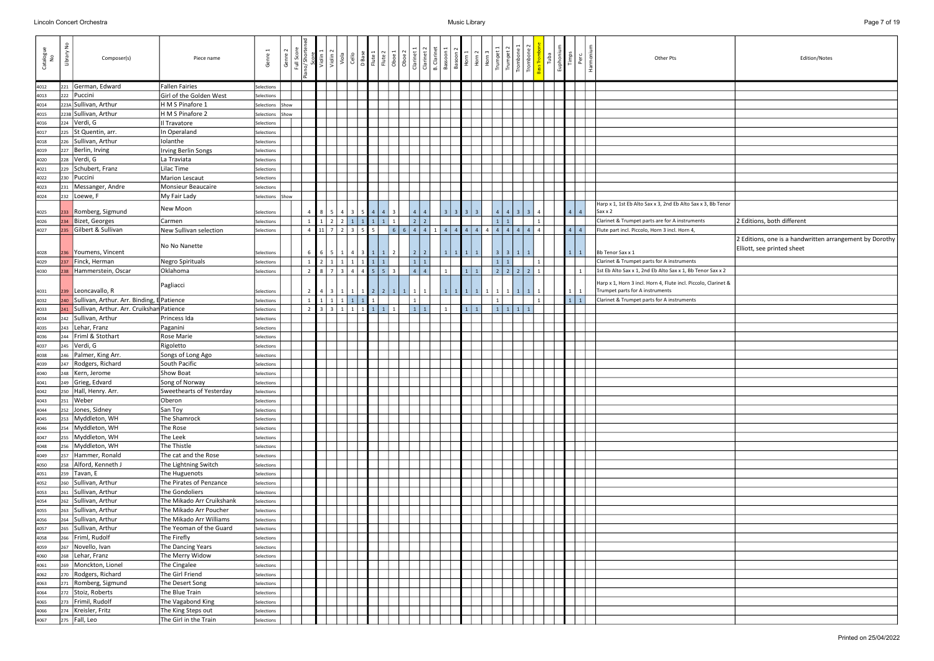|             | Edition/Notes                                                                         |
|-------------|---------------------------------------------------------------------------------------|
|             |                                                                                       |
|             |                                                                                       |
|             |                                                                                       |
|             |                                                                                       |
|             |                                                                                       |
|             |                                                                                       |
|             |                                                                                       |
|             |                                                                                       |
|             |                                                                                       |
| 3, Bb Tenor |                                                                                       |
|             | 2 Editions, both different                                                            |
|             | 2 Editions, one is a handwritten arrangement by Dorothy<br>Elliott, see printed sheet |
| or Sax x 2  |                                                                                       |
| Clarinet &  |                                                                                       |
|             |                                                                                       |
|             |                                                                                       |
|             |                                                                                       |
|             |                                                                                       |
|             |                                                                                       |
|             |                                                                                       |
|             |                                                                                       |
|             |                                                                                       |
|             |                                                                                       |
|             |                                                                                       |
|             |                                                                                       |
|             |                                                                                       |
|             |                                                                                       |
|             |                                                                                       |
|             |                                                                                       |
|             |                                                                                       |
|             |                                                                                       |
|             |                                                                                       |
|             |                                                                                       |
|             |                                                                                       |
|             |                                                                                       |
|             |                                                                                       |
|             |                                                                                       |
|             |                                                                                       |
|             |                                                                                       |
|             |                                                                                       |

| Catalogue<br>No | š<br>Library | Composer(s)                                | Piece name                | Genre           | Genre | Full Scor |                |         | Violin<br>Viola   | Cello                    | D Base                                                                  | Flute 2<br>Flute 1 | $\overline{O}$                                                  | Oboe 2          | Clarinet                | <b>B.</b> Clarinet<br>Clarinet: | Bassoon         | Basoon<br>Horn      | Horn <sub>2</sub> | Horn      |                   |       | $T$ rombo      | Tuba | Euphoniu<br>Timps | Perc           | Harmon | Edition/Notes<br>Other Pts                                                                        |
|-----------------|--------------|--------------------------------------------|---------------------------|-----------------|-------|-----------|----------------|---------|-------------------|--------------------------|-------------------------------------------------------------------------|--------------------|-----------------------------------------------------------------|-----------------|-------------------------|---------------------------------|-----------------|---------------------|-------------------|-----------|-------------------|-------|----------------|------|-------------------|----------------|--------|---------------------------------------------------------------------------------------------------|
| 4012            | 221          | German, Edward                             | <b>Fallen Fairies</b>     | Selections      |       |           |                |         |                   |                          |                                                                         |                    |                                                                 |                 |                         |                                 |                 |                     |                   |           |                   |       |                |      |                   |                |        |                                                                                                   |
| 4013            | 222          | Puccini                                    | Girl of the Golden West   | Selections      |       |           |                |         |                   |                          |                                                                         |                    |                                                                 |                 |                         |                                 |                 |                     |                   |           |                   |       |                |      |                   |                |        |                                                                                                   |
| 4014            |              | 223A Sullivan, Arthur                      | H M S Pinafore 1          | Selections      | Show  |           |                |         |                   |                          |                                                                         |                    |                                                                 |                 |                         |                                 |                 |                     |                   |           |                   |       |                |      |                   |                |        |                                                                                                   |
| 4015            |              | 223B Sullivan, Arthur                      | H M S Pinafore 2          | Selections      | ihow  |           |                |         |                   |                          |                                                                         |                    |                                                                 |                 |                         |                                 |                 |                     |                   |           |                   |       |                |      |                   |                |        |                                                                                                   |
| 4016            | 224          | Verdi, G                                   | Il Travatore              | Selections      |       |           |                |         |                   |                          |                                                                         |                    |                                                                 |                 |                         |                                 |                 |                     |                   |           |                   |       |                |      |                   |                |        |                                                                                                   |
| 4017            | 225          | St Quentin, arr.                           | In Operaland              | Selections      |       |           |                |         |                   |                          |                                                                         |                    |                                                                 |                 |                         |                                 |                 |                     |                   |           |                   |       |                |      |                   |                |        |                                                                                                   |
| 4018            | 226          | Sullivan, Arthur                           | Iolanthe                  | Selections      |       |           |                |         |                   |                          |                                                                         |                    |                                                                 |                 |                         |                                 |                 |                     |                   |           |                   |       |                |      |                   |                |        |                                                                                                   |
| 4019            | 227          | Berlin, Irving                             | Irving Berlin Songs       | Selections      |       |           |                |         |                   |                          |                                                                         |                    |                                                                 |                 |                         |                                 |                 |                     |                   |           |                   |       |                |      |                   |                |        |                                                                                                   |
| 4020            | 228          | Verdi, G                                   | La Traviata               | Selections      |       |           |                |         |                   |                          |                                                                         |                    |                                                                 |                 |                         |                                 |                 |                     |                   |           |                   |       |                |      |                   |                |        |                                                                                                   |
| 4021            | 229          | Schubert, Franz                            | Lilac Time                | Selections      |       |           |                |         |                   |                          |                                                                         |                    |                                                                 |                 |                         |                                 |                 |                     |                   |           |                   |       |                |      |                   |                |        |                                                                                                   |
| 4022            | 230          | Puccini                                    | Marion Lescaut            | Selections      |       |           |                |         |                   |                          |                                                                         |                    |                                                                 |                 |                         |                                 |                 |                     |                   |           |                   |       |                |      |                   |                |        |                                                                                                   |
| 4023            | 231          | Messanger, Andre                           | Monsieur Beaucaire        | Selections      |       |           |                |         |                   |                          |                                                                         |                    |                                                                 |                 |                         |                                 |                 |                     |                   |           |                   |       |                |      |                   |                |        |                                                                                                   |
| 4024            | 232          | Loewe, F                                   | My Fair Lady              | Selections Show |       |           |                |         |                   |                          |                                                                         |                    |                                                                 |                 |                         |                                 |                 |                     |                   |           |                   |       |                |      |                   |                |        |                                                                                                   |
|                 |              |                                            | New Moon                  |                 |       |           |                |         |                   |                          |                                                                         |                    |                                                                 |                 |                         |                                 |                 |                     |                   |           |                   |       |                |      |                   |                |        | Harp x 1, 1st Eb Alto Sax x 3, 2nd Eb Alto Sax x 3, Bb Tenor                                      |
| 4025            | 233          | Romberg, Sigmund                           |                           | Selections      |       |           | 4              |         | $5 \mid 4 \mid$   | $\vert$ 3                | $5 \mid 4$                                                              |                    | $4 \mid 3$                                                      |                 | $\overline{4}$          | $\overline{4}$                  | $\vert$ 3       | $3 \mid 3$          | 3 <sup>1</sup>    |           | 4 <sup>1</sup>    |       | $3 \mid 4$     |      | $\overline{4}$    | $\overline{4}$ |        | Sax x 2                                                                                           |
| 4026            | 234          | Bizet, Georges                             | Carmen                    | Selections      |       |           | 1              |         |                   |                          | $2$ $2$ $1$ $1$ $1$                                                     |                    | $1$ 1                                                           |                 | 22                      |                                 |                 |                     |                   |           | $\vert 1 \vert$   |       | 1              |      |                   |                |        | Clarinet & Trumpet parts are for A instruments<br>2 Editions, both different                      |
| 4027            | 235          | Gilbert & Sullivan                         | New Sullivan selection    | Selections      |       |           | $\overline{4}$ |         | 7   2             | $\overline{\phantom{a}}$ | 5                                                                       | $5\overline{)}$    | 6                                                               | $6\overline{6}$ | $4 \mid 4 \mid$         |                                 | $1 \mid 4$      | 4 <sup>1</sup><br>4 |                   |           | 4   4   4   4     |       | $4$   4   4    |      | $\overline{4}$    | $\overline{4}$ |        | Flute part incl. Piccolo, Horn 3 incl. Horn 4,                                                    |
|                 |              |                                            | No No Nanette             |                 |       |           |                |         |                   |                          |                                                                         |                    |                                                                 |                 |                         |                                 |                 |                     |                   |           |                   |       |                |      |                   |                |        | 2 Editions, one is a handwritten ar                                                               |
| 4028            | 236          | Youmens, Vincent                           |                           | Selections      |       |           | 6              |         | 5   1   4         |                          | $3 \mid 1$                                                              | $\vert$ 1          | $\overline{2}$                                                  |                 | $2 \mid 2 \mid$         |                                 | 1               | $1$   $1$           | $\vert$ 1         |           | $3 \mid 3 \mid 1$ |       |                |      | 1                 | $\mathbf{1}$   |        | Elliott, see printed sheet<br>Bb Tenor Sax x 1                                                    |
| 4029            | 237          | Finck, Herman                              | Negro Spirituals          | Selections      |       |           | 1              |         | $1 \mid 1 \mid 1$ |                          | $1 \mid 1$                                                              | $\mathbf{1}$       |                                                                 |                 |                         |                                 |                 |                     |                   |           | 1 1               |       | $\vert$ 1      |      |                   |                |        | Clarinet & Trumpet parts for A instruments                                                        |
| 4030            | 238          | Hammerstein, Oscar                         | Oklahoma                  | Selections      |       |           | $\overline{2}$ |         | $7 \mid 3$        | $\overline{4}$           | $\begin{array}{ c c c c c } \hline 4 & 5 & 5 & 3 \\ \hline \end{array}$ |                    |                                                                 |                 | 4 4                     |                                 | $\vert 1 \vert$ |                     | $1 \mid 1 \mid$   |           |                   |       | 2 2 2 2 1      |      |                   | 1              |        | 1st Eb Alto Sax x 1, 2nd Eb Alto Sax x 1, Bb Tenor Sax x 2                                        |
| 4031            | 239          | Leoncavallo, R                             | Pagliacci                 | Selections      |       |           | $\overline{2}$ |         | 3   1             | $\vert$ 1                | $1 \mid 2$                                                              |                    |                                                                 | 2   1   1   1   | $\mathbf{1}$            |                                 | $\vert 1 \vert$ | $1 \mid 1 \mid$     |                   | 1   1   1 |                   |       | $1 \mid 1$     |      | 1                 |                |        | Harp x 1, Horn 3 incl. Horn 4, Flute incl. Piccolo, Clarinet &<br>Trumpet parts for A instruments |
| 4032            | 240          | Sullivan, Arthur. Arr. Binding, E Patience |                           | Selections      |       |           | $\mathbf{1}$   |         |                   |                          | $\begin{array}{ c c c c c c }\n\hline\n1 & 1 & 1\n\end{array}$          |                    |                                                                 |                 |                         |                                 |                 |                     |                   |           |                   |       | $\overline{1}$ |      |                   | $1 \mid 1$     |        | Clarinet & Trumpet parts for A instruments                                                        |
| 4033            | 241          | Sullivan, Arthur. Arr. Cruikshan Patience  |                           | Selections      |       |           | 2              | 3311111 |                   |                          |                                                                         |                    | $\begin{array}{ c c c c c } \hline 1 & 1 \\ \hline \end{array}$ |                 | $\vert 1 \vert 1 \vert$ |                                 | $\vert$ 1       |                     | $1 \mid 1 \mid$   |           |                   | 11111 |                |      |                   |                |        |                                                                                                   |
| 4034            | 242          | Sullivan, Arthur                           | Princess Ida              | Selections      |       |           |                |         |                   |                          |                                                                         |                    |                                                                 |                 |                         |                                 |                 |                     |                   |           |                   |       |                |      |                   |                |        |                                                                                                   |
| 4035            |              | 243 Lehar, Franz                           | Paganini                  | Selections      |       |           |                |         |                   |                          |                                                                         |                    |                                                                 |                 |                         |                                 |                 |                     |                   |           |                   |       |                |      |                   |                |        |                                                                                                   |
| 4036            | 244          | Friml & Stothart                           | Rose Marie                | Selections      |       |           |                |         |                   |                          |                                                                         |                    |                                                                 |                 |                         |                                 |                 |                     |                   |           |                   |       |                |      |                   |                |        |                                                                                                   |
| 4037            |              | $245$ Verdi, G                             | Rigoletto                 | Selections      |       |           |                |         |                   |                          |                                                                         |                    |                                                                 |                 |                         |                                 |                 |                     |                   |           |                   |       |                |      |                   |                |        |                                                                                                   |
| 4038            | 246          | Palmer, King Arr.                          | Songs of Long Ago         | Selections      |       |           |                |         |                   |                          |                                                                         |                    |                                                                 |                 |                         |                                 |                 |                     |                   |           |                   |       |                |      |                   |                |        |                                                                                                   |
| 4039            | 247          | Rodgers, Richard                           | South Pacific             | Selections      |       |           |                |         |                   |                          |                                                                         |                    |                                                                 |                 |                         |                                 |                 |                     |                   |           |                   |       |                |      |                   |                |        |                                                                                                   |
| 4040            | 248          | Kern, Jerome                               | Show Boat                 | Selections      |       |           |                |         |                   |                          |                                                                         |                    |                                                                 |                 |                         |                                 |                 |                     |                   |           |                   |       |                |      |                   |                |        |                                                                                                   |
| 4041            | 249          | Grieg, Edvard                              | Song of Norway            | Selections      |       |           |                |         |                   |                          |                                                                         |                    |                                                                 |                 |                         |                                 |                 |                     |                   |           |                   |       |                |      |                   |                |        |                                                                                                   |
| 4042            |              | 250   Hall, Henry. Arr.                    | Sweethearts of Yesterday  | Selections      |       |           |                |         |                   |                          |                                                                         |                    |                                                                 |                 |                         |                                 |                 |                     |                   |           |                   |       |                |      |                   |                |        |                                                                                                   |
| 4043            | 251          | Weber                                      | Oberon                    | Selections      |       |           |                |         |                   |                          |                                                                         |                    |                                                                 |                 |                         |                                 |                 |                     |                   |           |                   |       |                |      |                   |                |        |                                                                                                   |
| 4044            | 252          | Jones, Sidney                              | San Toy                   | Selections      |       |           |                |         |                   |                          |                                                                         |                    |                                                                 |                 |                         |                                 |                 |                     |                   |           |                   |       |                |      |                   |                |        |                                                                                                   |
| 4045            | 253          | Myddleton, WH                              | The Shamrock              | Selections      |       |           |                |         |                   |                          |                                                                         |                    |                                                                 |                 |                         |                                 |                 |                     |                   |           |                   |       |                |      |                   |                |        |                                                                                                   |
| 4046            | 254          | Myddleton, WH                              | The Rose                  | Selections      |       |           |                |         |                   |                          |                                                                         |                    |                                                                 |                 |                         |                                 |                 |                     |                   |           |                   |       |                |      |                   |                |        |                                                                                                   |
| 4047            | 255          | Myddleton, WH                              | The Leek                  | Selections      |       |           |                |         |                   |                          |                                                                         |                    |                                                                 |                 |                         |                                 |                 |                     |                   |           |                   |       |                |      |                   |                |        |                                                                                                   |
| 4048            | 256          | Myddleton, WH                              | The Thistle               | Selections      |       |           |                |         |                   |                          |                                                                         |                    |                                                                 |                 |                         |                                 |                 |                     |                   |           |                   |       |                |      |                   |                |        |                                                                                                   |
| 4049            | 257          | Hammer, Ronald                             | The cat and the Rose      | Selections      |       |           |                |         |                   |                          |                                                                         |                    |                                                                 |                 |                         |                                 |                 |                     |                   |           |                   |       |                |      |                   |                |        |                                                                                                   |
| 4050            | 258          | Alford, Kenneth J                          | The Lightning Switch      | Selections      |       |           |                |         |                   |                          |                                                                         |                    |                                                                 |                 |                         |                                 |                 |                     |                   |           |                   |       |                |      |                   |                |        |                                                                                                   |
| 4051            | 259          | Tavan, E                                   | The Huguenots             | Selections      |       |           |                |         |                   |                          |                                                                         |                    |                                                                 |                 |                         |                                 |                 |                     |                   |           |                   |       |                |      |                   |                |        |                                                                                                   |
| 4052            |              | 260 Sullivan, Arthur                       | The Pirates of Penzance   | Selections      |       |           |                |         |                   |                          |                                                                         |                    |                                                                 |                 |                         |                                 |                 |                     |                   |           |                   |       |                |      |                   |                |        |                                                                                                   |
| 4053            | 261          | Sullivan, Arthur                           | The Gondoliers            | Selections      |       |           |                |         |                   |                          |                                                                         |                    |                                                                 |                 |                         |                                 |                 |                     |                   |           |                   |       |                |      |                   |                |        |                                                                                                   |
| 4054            |              | 262 Sullivan, Arthur                       | The Mikado Arr Cruikshank | Selections      |       |           |                |         |                   |                          |                                                                         |                    |                                                                 |                 |                         |                                 |                 |                     |                   |           |                   |       |                |      |                   |                |        |                                                                                                   |
| 4055            |              | 263 Sullivan, Arthur                       | The Mikado Arr Poucher    | Selections      |       |           |                |         |                   |                          |                                                                         |                    |                                                                 |                 |                         |                                 |                 |                     |                   |           |                   |       |                |      |                   |                |        |                                                                                                   |
| 4056            | 264          | Sullivan, Arthur                           | The Mikado Arr Williams   | Selections      |       |           |                |         |                   |                          |                                                                         |                    |                                                                 |                 |                         |                                 |                 |                     |                   |           |                   |       |                |      |                   |                |        |                                                                                                   |
| 4057            | 265          | Sullivan, Arthur                           | The Yeoman of the Guard   | Selections      |       |           |                |         |                   |                          |                                                                         |                    |                                                                 |                 |                         |                                 |                 |                     |                   |           |                   |       |                |      |                   |                |        |                                                                                                   |
| 4058            | 266          | Friml, Rudolf                              | The Firefly               | Selections      |       |           |                |         |                   |                          |                                                                         |                    |                                                                 |                 |                         |                                 |                 |                     |                   |           |                   |       |                |      |                   |                |        |                                                                                                   |
| 4059            | 267          | Novello, Ivan                              | The Dancing Years         | Selections      |       |           |                |         |                   |                          |                                                                         |                    |                                                                 |                 |                         |                                 |                 |                     |                   |           |                   |       |                |      |                   |                |        |                                                                                                   |
| 4060            | 268          | Lehar, Franz                               | The Merry Widow           | Selections      |       |           |                |         |                   |                          |                                                                         |                    |                                                                 |                 |                         |                                 |                 |                     |                   |           |                   |       |                |      |                   |                |        |                                                                                                   |
| 4061            | 269          | Monckton, Lionel                           | The Cingalee              | Selections      |       |           |                |         |                   |                          |                                                                         |                    |                                                                 |                 |                         |                                 |                 |                     |                   |           |                   |       |                |      |                   |                |        |                                                                                                   |
| 4062            | 270          | Rodgers, Richard                           | The Girl Friend           | Selections      |       |           |                |         |                   |                          |                                                                         |                    |                                                                 |                 |                         |                                 |                 |                     |                   |           |                   |       |                |      |                   |                |        |                                                                                                   |
| 4063            | 271          | Romberg, Sigmund                           | The Desert Song           | Selections      |       |           |                |         |                   |                          |                                                                         |                    |                                                                 |                 |                         |                                 |                 |                     |                   |           |                   |       |                |      |                   |                |        |                                                                                                   |
| 4064            |              | 272 Stoiz, Roberts                         | The Blue Train            | Selections      |       |           |                |         |                   |                          |                                                                         |                    |                                                                 |                 |                         |                                 |                 |                     |                   |           |                   |       |                |      |                   |                |        |                                                                                                   |
| 4065            | 273          | Frimil, Rudolf                             | The Vagabond King         | Selections      |       |           |                |         |                   |                          |                                                                         |                    |                                                                 |                 |                         |                                 |                 |                     |                   |           |                   |       |                |      |                   |                |        |                                                                                                   |
| 4066            |              | 274   Kreisler, Fritz                      | The King Steps out        | Selections      |       |           |                |         |                   |                          |                                                                         |                    |                                                                 |                 |                         |                                 |                 |                     |                   |           |                   |       |                |      |                   |                |        |                                                                                                   |
| 4067            |              | $275$ Fall, Leo                            | The Girl in the Train     | Selections      |       |           |                |         |                   |                          |                                                                         |                    |                                                                 |                 |                         |                                 |                 |                     |                   |           |                   |       |                |      |                   |                |        |                                                                                                   |
|                 |              |                                            |                           |                 |       |           |                |         |                   |                          |                                                                         |                    |                                                                 |                 |                         |                                 |                 |                     |                   |           |                   |       |                |      |                   |                |        |                                                                                                   |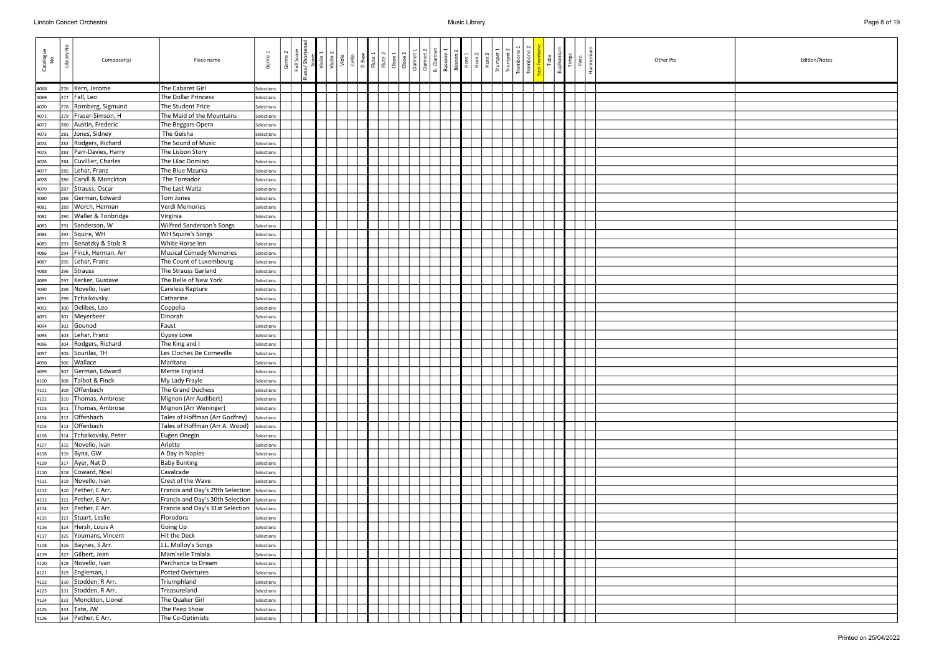| Catalogue<br>No | $\epsilon$<br>Library<br>Composer(s)   | Piece name                                    | Genre                    | Genre 2 | Full Score<br>no/ Shorter | Violin | $\left \frac{a}{\circ}\right $ and | D Base<br>Flute 1 | Flute 2<br>Oboe 1 | Oboe <sub>2</sub> | Clarinet 1 | <b>B.</b> Clarinet<br>Clarinet 2 | Bassoon 1 | Basoon 2<br>Horn 1 | Horn 2 | Horn | Trumpet | Tromb | Trombo | Tuba | Euphoniu <sup>®</sup><br>Timps | Perc | Harmoni | Other Pts | Edition/Notes |
|-----------------|----------------------------------------|-----------------------------------------------|--------------------------|---------|---------------------------|--------|------------------------------------|-------------------|-------------------|-------------------|------------|----------------------------------|-----------|--------------------|--------|------|---------|-------|--------|------|--------------------------------|------|---------|-----------|---------------|
| 4068            | Kern, Jerome<br>276                    | The Cabaret Girl                              | Selections               |         |                           |        |                                    |                   |                   |                   |            |                                  |           |                    |        |      |         |       |        |      |                                |      |         |           |               |
| 4069            | Fall, Leo<br>277                       | The Dollar Princess                           | Selections               |         |                           |        |                                    |                   |                   |                   |            |                                  |           |                    |        |      |         |       |        |      |                                |      |         |           |               |
| 4070            | Romberg, Sigmund<br>278                | The Student Price                             | Selections               |         |                           |        |                                    |                   |                   |                   |            |                                  |           |                    |        |      |         |       |        |      |                                |      |         |           |               |
| 4071            | Fraser-Simson, H<br>279                | The Maid of the Mountains                     | Selections               |         |                           |        |                                    |                   |                   |                   |            |                                  |           |                    |        |      |         |       |        |      |                                |      |         |           |               |
| 4072            | Austin, Frederic<br>280                | The Beggars Opera                             | Selections               |         |                           |        |                                    |                   |                   |                   |            |                                  |           |                    |        |      |         |       |        |      |                                |      |         |           |               |
| 4073            | Jones, Sidney<br>281                   | The Geisha                                    | Selections               |         |                           |        |                                    |                   |                   |                   |            |                                  |           |                    |        |      |         |       |        |      |                                |      |         |           |               |
| 4074            | Rodgers, Richard<br>282                | The Sound of Music                            | Selections               |         |                           |        |                                    |                   |                   |                   |            |                                  |           |                    |        |      |         |       |        |      |                                |      |         |           |               |
| 4075            | Parr-Davies, Harry<br>283              | The Lisbon Story                              | Selections               |         |                           |        |                                    |                   |                   |                   |            |                                  |           |                    |        |      |         |       |        |      |                                |      |         |           |               |
| 4076            | Cuvillier, Charles<br>284              | The Lilac Domino                              | Selections               |         |                           |        |                                    |                   |                   |                   |            |                                  |           |                    |        |      |         |       |        |      |                                |      |         |           |               |
| 4077            | Lehar, Franz<br>285                    | The Blue Mzurka                               | Selections               |         |                           |        |                                    |                   |                   |                   |            |                                  |           |                    |        |      |         |       |        |      |                                |      |         |           |               |
| 4078            | Caryll & Monckton<br>286               | The Toreador                                  | Selections               |         |                           |        |                                    |                   |                   |                   |            |                                  |           |                    |        |      |         |       |        |      |                                |      |         |           |               |
| 4079            | Strauss, Oscar<br>287                  | The Last Waltz                                | Selections               |         |                           |        |                                    |                   |                   |                   |            |                                  |           |                    |        |      |         |       |        |      |                                |      |         |           |               |
| 4080            | German, Edward<br>288                  | Tom Jones                                     | Selections               |         |                           |        |                                    |                   |                   |                   |            |                                  |           |                    |        |      |         |       |        |      |                                |      |         |           |               |
| 4081            | Worch, Herman<br>289                   | Verdi Memories                                | Selections               |         |                           |        |                                    |                   |                   |                   |            |                                  |           |                    |        |      |         |       |        |      |                                |      |         |           |               |
| 4082            | Waller & Tonbridge<br>290              | Virginia                                      | Selections               |         |                           |        |                                    |                   |                   |                   |            |                                  |           |                    |        |      |         |       |        |      |                                |      |         |           |               |
| 4083            | Sanderson, W<br>291                    | <b>Wilfred Sanderson's Songs</b>              | Selections               |         |                           |        |                                    |                   |                   |                   |            |                                  |           |                    |        |      |         |       |        |      |                                |      |         |           |               |
| 4084            | Squire, WH<br>292                      | <b>WH Squire's Songs</b>                      | Selections               |         |                           |        |                                    |                   |                   |                   |            |                                  |           |                    |        |      |         |       |        |      |                                |      |         |           |               |
| 4085            | Benatzky & Stolz R<br>293              | White Horse Inn                               | Selections               |         |                           |        |                                    |                   |                   |                   |            |                                  |           |                    |        |      |         |       |        |      |                                |      |         |           |               |
| 4086            | Finck, Herman. Arr<br>294              | Musical Comedy Memories                       | Selections               |         |                           |        |                                    |                   |                   |                   |            |                                  |           |                    |        |      |         |       |        |      |                                |      |         |           |               |
| 4087            | Lehar, Franz<br>295                    | The Count of Luxembourg                       | Selections               |         |                           |        |                                    |                   |                   |                   |            |                                  |           |                    |        |      |         |       |        |      |                                |      |         |           |               |
| 4088            | <b>Strauss</b><br>296                  | The Strauss Garland                           | Selections               |         |                           |        |                                    |                   |                   |                   |            |                                  |           |                    |        |      |         |       |        |      |                                |      |         |           |               |
| 4089            | Kerker, Gustave<br>297                 | The Belle of New York                         | Selections               |         |                           |        |                                    |                   |                   |                   |            |                                  |           |                    |        |      |         |       |        |      |                                |      |         |           |               |
| 4090            | Novello, Ivan<br>298                   | Careless Rapture                              | Selections               |         |                           |        |                                    |                   |                   |                   |            |                                  |           |                    |        |      |         |       |        |      |                                |      |         |           |               |
| 4091            | Tchaikovsky<br>299                     | Catherine                                     | Selections               |         |                           |        |                                    |                   |                   |                   |            |                                  |           |                    |        |      |         |       |        |      |                                |      |         |           |               |
| 4092            | Delibes, Leo<br>300                    | Coppelia                                      | Selections               |         |                           |        |                                    |                   |                   |                   |            |                                  |           |                    |        |      |         |       |        |      |                                |      |         |           |               |
| 4093            | Meyerbeer<br>301                       | Dinorah                                       | Selections               |         |                           |        |                                    |                   |                   |                   |            |                                  |           |                    |        |      |         |       |        |      |                                |      |         |           |               |
| 4094            | Gounod<br>302                          | Faust                                         | Selections               |         |                           |        |                                    |                   |                   |                   |            |                                  |           |                    |        |      |         |       |        |      |                                |      |         |           |               |
| 4095            | Lehar, Franz<br>303                    | Gypsy Love                                    | Selections               |         |                           |        |                                    |                   |                   |                   |            |                                  |           |                    |        |      |         |       |        |      |                                |      |         |           |               |
| 4096            | Rodgers, Richard<br>304                | The King and I<br>Les Cloches De Corneville   | Selections               |         |                           |        |                                    |                   |                   |                   |            |                                  |           |                    |        |      |         |       |        |      |                                |      |         |           |               |
| 4097            | Sourilas, TH<br>305<br> Wallace<br>306 | Maritana                                      | Selections<br>Selections |         |                           |        |                                    |                   |                   |                   |            |                                  |           |                    |        |      |         |       |        |      |                                |      |         |           |               |
| 4098            | German, Edward<br>307                  | Merrie England                                | Selections               |         |                           |        |                                    |                   |                   |                   |            |                                  |           |                    |        |      |         |       |        |      |                                |      |         |           |               |
| 4099<br>4100    | Talbot & Finck<br>308                  | My Lady Frayle                                | Selections               |         |                           |        |                                    |                   |                   |                   |            |                                  |           |                    |        |      |         |       |        |      |                                |      |         |           |               |
| 4101            | 309 Offenbach                          | The Grand Duchess                             | Selections               |         |                           |        |                                    |                   |                   |                   |            |                                  |           |                    |        |      |         |       |        |      |                                |      |         |           |               |
| 4102            | 310 Thomas, Ambrose                    | Mignon (Arr Audibert)                         | Selections               |         |                           |        |                                    |                   |                   |                   |            |                                  |           |                    |        |      |         |       |        |      |                                |      |         |           |               |
| 4103            | Thomas, Ambrose<br>311                 | Mignon (Arr Weninger)                         | Selections               |         |                           |        |                                    |                   |                   |                   |            |                                  |           |                    |        |      |         |       |        |      |                                |      |         |           |               |
| 4104            | Offenbach<br>312                       | Tales of Hoffman (Arr Godfrey)                | Selections               |         |                           |        |                                    |                   |                   |                   |            |                                  |           |                    |        |      |         |       |        |      |                                |      |         |           |               |
| 4105            | 313 Offenbach                          | Tales of Hoffman (Arr A. Wood)                | Selections               |         |                           |        |                                    |                   |                   |                   |            |                                  |           |                    |        |      |         |       |        |      |                                |      |         |           |               |
| 4106            | Tchaikovsky, Peter<br>314              | Eugen Onegin                                  | Selections               |         |                           |        |                                    |                   |                   |                   |            |                                  |           |                    |        |      |         |       |        |      |                                |      |         |           |               |
| 4107            | 315 Novello, Ivan                      | Arlette                                       | Selections               |         |                           |        |                                    |                   |                   |                   |            |                                  |           |                    |        |      |         |       |        |      |                                |      |         |           |               |
| 4108            | 316 Byna, GW                           | A Day in Naples                               | Selections               |         |                           |        |                                    |                   |                   |                   |            |                                  |           |                    |        |      |         |       |        |      |                                |      |         |           |               |
| 4109            | 317 Ayer, Nat D                        | <b>Baby Bunting</b>                           | Selections               |         |                           |        |                                    |                   |                   |                   |            |                                  |           |                    |        |      |         |       |        |      |                                |      |         |           |               |
| 4110            | 318 Coward, Noel                       | Cavalcade                                     | Selections               |         |                           |        |                                    |                   |                   |                   |            |                                  |           |                    |        |      |         |       |        |      |                                |      |         |           |               |
| 4111            | 319 Novello, Ivan                      | Crest of the Wave                             | Selections               |         |                           |        |                                    |                   |                   |                   |            |                                  |           |                    |        |      |         |       |        |      |                                |      |         |           |               |
| 4112            | 320   Pether, E Arr.                   | Francis and Day's 29th Selection Selections   |                          |         |                           |        |                                    |                   |                   |                   |            |                                  |           |                    |        |      |         |       |        |      |                                |      |         |           |               |
| 4113            | 321   Pether, E Arr.                   | Francis and Day's 30th Selection   Selections |                          |         |                           |        |                                    |                   |                   |                   |            |                                  |           |                    |        |      |         |       |        |      |                                |      |         |           |               |
| 4114            | 322   Pether, E Arr.                   | Francis and Day's 31st Selection              | Selections               |         |                           |        |                                    |                   |                   |                   |            |                                  |           |                    |        |      |         |       |        |      |                                |      |         |           |               |
| 4115            | 323 Stuart, Leslie                     | Florodora                                     | Selections               |         |                           |        |                                    |                   |                   |                   |            |                                  |           |                    |        |      |         |       |        |      |                                |      |         |           |               |
| 4116            | 324 Hersh, Louis A                     | Going Up                                      | Selections               |         |                           |        |                                    |                   |                   |                   |            |                                  |           |                    |        |      |         |       |        |      |                                |      |         |           |               |
| 4117            | 325 Youmans, Vincent                   | Hit the Deck                                  | Selections               |         |                           |        |                                    |                   |                   |                   |            |                                  |           |                    |        |      |         |       |        |      |                                |      |         |           |               |
| 4118            | 326   Baynes, S Arr.                   | J.L. Molloy's Songs                           | Selections               |         |                           |        |                                    |                   |                   |                   |            |                                  |           |                    |        |      |         |       |        |      |                                |      |         |           |               |
| 4119            | 327 Gilbert, Jean                      | Mam'selle Tralala                             | Selections               |         |                           |        |                                    |                   |                   |                   |            |                                  |           |                    |        |      |         |       |        |      |                                |      |         |           |               |
| 4120            | Novello, Ivan<br>328                   | Perchance to Dream                            | Selections               |         |                           |        |                                    |                   |                   |                   |            |                                  |           |                    |        |      |         |       |        |      |                                |      |         |           |               |
| 4121            | 329 Engleman, J                        | Potted Overtures                              | Selections               |         |                           |        |                                    |                   |                   |                   |            |                                  |           |                    |        |      |         |       |        |      |                                |      |         |           |               |
| 4122            | 330 Stodden, R Arr.                    | Triumphland                                   | Selections               |         |                           |        |                                    |                   |                   |                   |            |                                  |           |                    |        |      |         |       |        |      |                                |      |         |           |               |
| 4123            | Stodden, R Arr.<br>331                 | Treasureland                                  | Selections               |         |                           |        |                                    |                   |                   |                   |            |                                  |           |                    |        |      |         |       |        |      |                                |      |         |           |               |
| 4124            | 332 Monckton, Lionel<br>333 Tate, JW   | The Quaker Girl<br>The Peep Show              | Selections<br>Selections |         |                           |        |                                    |                   |                   |                   |            |                                  |           |                    |        |      |         |       |        |      |                                |      |         |           |               |
| 4125            | 334   Pether, E Arr.                   | The Co-Optimists                              | Selections               |         |                           |        |                                    |                   |                   |                   |            |                                  |           |                    |        |      |         |       |        |      |                                |      |         |           |               |
| 4126            |                                        |                                               |                          |         |                           |        |                                    |                   |                   |                   |            |                                  |           |                    |        |      |         |       |        |      |                                |      |         |           |               |

| Edition/Notes |
|---------------|
|               |
|               |
|               |
|               |
|               |
|               |
|               |
|               |
|               |
|               |
|               |
|               |
|               |
|               |
|               |
|               |
|               |
|               |
|               |
|               |
|               |
|               |
|               |
|               |
|               |
|               |
|               |
|               |
|               |
|               |
|               |
|               |
|               |
|               |
|               |
|               |
|               |
|               |
|               |
|               |
|               |
|               |
|               |
|               |
|               |
|               |
|               |
|               |
|               |
|               |
|               |
|               |
|               |
|               |
|               |
|               |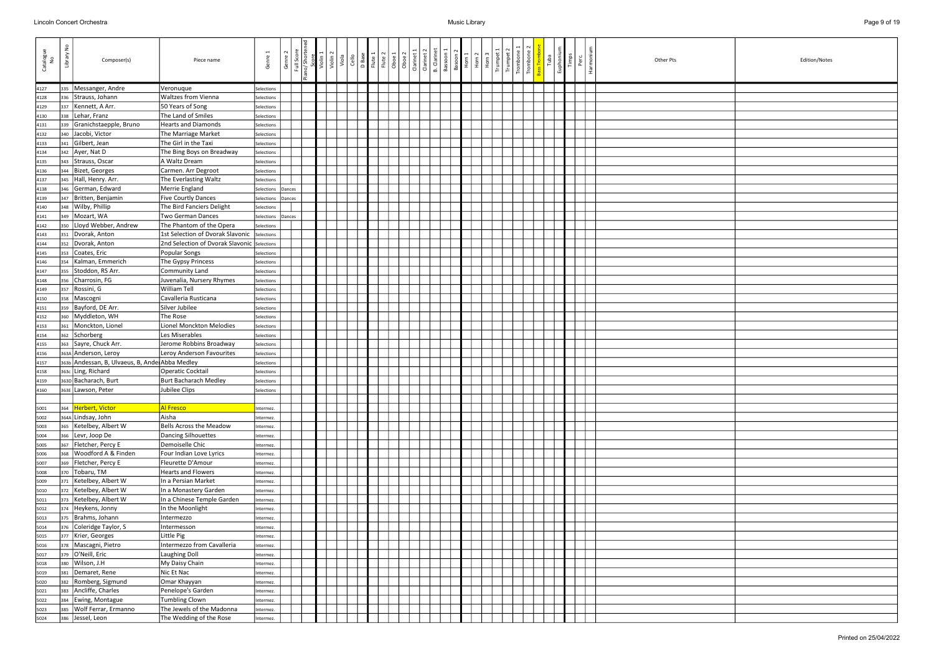| Catalogue<br>No | $\epsilon$<br>Library<br>Composer(s)                  | Piece name                                  | Genre                    | Genre 2 | Full Score<br>no/ Shorter | Violin | $\left \frac{a}{\circ}\right $ and | D Base<br>Flute 1 | Flute 2 | Oboe <sub>2</sub><br>Oboe 1 | Clarinet: | Clarinet: | <b>B.</b> Clarinet<br>Bassoon | Basoon 2<br>Horn 1 | Horn <sub>2</sub><br>$rac{E}{2}$ | Trumpet | $\frac{1}{2}$ | Trombo | Euphoniu <sup>®</sup><br>Tuba | Timps | Harmon<br>Perc | Other Pts | Edition/Notes |
|-----------------|-------------------------------------------------------|---------------------------------------------|--------------------------|---------|---------------------------|--------|------------------------------------|-------------------|---------|-----------------------------|-----------|-----------|-------------------------------|--------------------|----------------------------------|---------|---------------|--------|-------------------------------|-------|----------------|-----------|---------------|
| 4127            | 335   Messanger, Andre                                | Veronuque                                   | Selections               |         |                           |        |                                    |                   |         |                             |           |           |                               |                    |                                  |         |               |        |                               |       |                |           |               |
| 4128            | Strauss, Johann<br>336                                | <b>Waltzes from Vienna</b>                  | Selections               |         |                           |        |                                    |                   |         |                             |           |           |                               |                    |                                  |         |               |        |                               |       |                |           |               |
| 4129            | Kennett, A Arr.<br>337                                | 50 Years of Song                            | Selections               |         |                           |        |                                    |                   |         |                             |           |           |                               |                    |                                  |         |               |        |                               |       |                |           |               |
| 4130            | Lehar, Franz<br>338                                   | The Land of Smiles                          | Selections               |         |                           |        |                                    |                   |         |                             |           |           |                               |                    |                                  |         |               |        |                               |       |                |           |               |
| 4131            | Granichstaepple, Bruno<br>339                         | <b>Hearts and Diamonds</b>                  | Selections               |         |                           |        |                                    |                   |         |                             |           |           |                               |                    |                                  |         |               |        |                               |       |                |           |               |
| 4132            | Jacobi, Victor<br>340                                 | The Marriage Market                         | Selections               |         |                           |        |                                    |                   |         |                             |           |           |                               |                    |                                  |         |               |        |                               |       |                |           |               |
| 4133            | Gilbert, Jean<br>341                                  | The Girl in the Taxi                        | Selections               |         |                           |        |                                    |                   |         |                             |           |           |                               |                    |                                  |         |               |        |                               |       |                |           |               |
| 4134            | 342 Ayer, Nat D                                       | The Bing Boys on Breadway                   | Selections               |         |                           |        |                                    |                   |         |                             |           |           |                               |                    |                                  |         |               |        |                               |       |                |           |               |
| 4135            | Strauss, Oscar<br>343                                 | A Waltz Dream                               | Selections               |         |                           |        |                                    |                   |         |                             |           |           |                               |                    |                                  |         |               |        |                               |       |                |           |               |
| 4136            | Bizet, Georges<br>344                                 | Carmen. Arr Degroot                         | Selections               |         |                           |        |                                    |                   |         |                             |           |           |                               |                    |                                  |         |               |        |                               |       |                |           |               |
| 4137            | Hall, Henry. Arr.<br>345                              | The Everlasting Waltz                       | Selections               |         |                           |        |                                    |                   |         |                             |           |           |                               |                    |                                  |         |               |        |                               |       |                |           |               |
| 4138            | German, Edward<br>346                                 | Merrie England                              | Selections Dances        |         |                           |        |                                    |                   |         |                             |           |           |                               |                    |                                  |         |               |        |                               |       |                |           |               |
| 4139            | 347   Britten, Benjamin                               | <b>Five Courtly Dances</b>                  | Selections               | Dances  |                           |        |                                    |                   |         |                             |           |           |                               |                    |                                  |         |               |        |                               |       |                |           |               |
| 4140            | 348   Wilby, Phillip                                  | The Bird Fanciers Delight                   | Selections               |         |                           |        |                                    |                   |         |                             |           |           |                               |                    |                                  |         |               |        |                               |       |                |           |               |
| 4141            | 349   Mozart, WA                                      | <b>Two German Dances</b>                    | Selections               | Dances  |                           |        |                                    |                   |         |                             |           |           |                               |                    |                                  |         |               |        |                               |       |                |           |               |
| 4142            | 350   Lloyd Webber, Andrew                            | The Phantom of the Opera                    | Selections               |         |                           |        |                                    |                   |         |                             |           |           |                               |                    |                                  |         |               |        |                               |       |                |           |               |
| 4143            | Dvorak, Anton<br>351<br>Dvorak, Anton                 | 1st Selection of Dvorak Slavonic            | Selections               |         |                           |        |                                    |                   |         |                             |           |           |                               |                    |                                  |         |               |        |                               |       |                |           |               |
| 4144            | 352<br>Coates, Eric                                   | 2nd Selection of Dvorak Slavonic Selections |                          |         |                           |        |                                    |                   |         |                             |           |           |                               |                    |                                  |         |               |        |                               |       |                |           |               |
| 4145<br>4146    | 353<br>Kalman, Emmerich<br>354                        | Popular Songs<br>The Gypsy Princess         | Selections<br>Selections |         |                           |        |                                    |                   |         |                             |           |           |                               |                    |                                  |         |               |        |                               |       |                |           |               |
| 4147            | Stoddon, RS Arr.<br>355                               | Community Land                              | Selections               |         |                           |        |                                    |                   |         |                             |           |           |                               |                    |                                  |         |               |        |                               |       |                |           |               |
| 4148            | Charrosin, FG<br>356                                  | Juvenalia, Nursery Rhymes                   | Selections               |         |                           |        |                                    |                   |         |                             |           |           |                               |                    |                                  |         |               |        |                               |       |                |           |               |
| 4149            | Rossini, G<br>357                                     | <b>William Tell</b>                         | Selections               |         |                           |        |                                    |                   |         |                             |           |           |                               |                    |                                  |         |               |        |                               |       |                |           |               |
| 4150            | Mascogni<br>358                                       | Cavalleria Rusticana                        | Selections               |         |                           |        |                                    |                   |         |                             |           |           |                               |                    |                                  |         |               |        |                               |       |                |           |               |
| 4151            | Bayford, DE Arr.<br>359                               | Silver Jubilee                              | Selections               |         |                           |        |                                    |                   |         |                             |           |           |                               |                    |                                  |         |               |        |                               |       |                |           |               |
| 4152            | Myddleton, WH<br>360                                  | The Rose                                    | Selections               |         |                           |        |                                    |                   |         |                             |           |           |                               |                    |                                  |         |               |        |                               |       |                |           |               |
| 4153            | Monckton, Lionel<br>361                               | Lionel Monckton Melodies                    | Selections               |         |                           |        |                                    |                   |         |                             |           |           |                               |                    |                                  |         |               |        |                               |       |                |           |               |
| 4154            | 362 Schorberg                                         | Les Miserables                              | Selections               |         |                           |        |                                    |                   |         |                             |           |           |                               |                    |                                  |         |               |        |                               |       |                |           |               |
| 4155            | 363 Sayre, Chuck Arr.                                 | Jerome Robbins Broadway                     | Selections               |         |                           |        |                                    |                   |         |                             |           |           |                               |                    |                                  |         |               |        |                               |       |                |           |               |
| 4156            | 363A Anderson, Leroy                                  | Leroy Anderson Favourites                   | Selections               |         |                           |        |                                    |                   |         |                             |           |           |                               |                    |                                  |         |               |        |                               |       |                |           |               |
| 4157            | 363b Andessan, B, Ulvaeus, B, Ande Abba Medley        |                                             | Selections               |         |                           |        |                                    |                   |         |                             |           |           |                               |                    |                                  |         |               |        |                               |       |                |           |               |
| 4158            | 363c Ling, Richard                                    | Operatic Cocktail                           | Selections               |         |                           |        |                                    |                   |         |                             |           |           |                               |                    |                                  |         |               |        |                               |       |                |           |               |
| 4159            | 363D Bacharach, Burt                                  | <b>Burt Bacharach Medley</b>                | Selections               |         |                           |        |                                    |                   |         |                             |           |           |                               |                    |                                  |         |               |        |                               |       |                |           |               |
| 4160            | 363E Lawson, Peter                                    | Jubilee Clips                               | Selections               |         |                           |        |                                    |                   |         |                             |           |           |                               |                    |                                  |         |               |        |                               |       |                |           |               |
|                 |                                                       |                                             |                          |         |                           |        |                                    |                   |         |                             |           |           |                               |                    |                                  |         |               |        |                               |       |                |           |               |
| 5001            | 364 Herbert, Victor                                   | <b>Al Fresco</b>                            | ntermez.                 |         |                           |        |                                    |                   |         |                             |           |           |                               |                    |                                  |         |               |        |                               |       |                |           |               |
| 5002            | 364A Lindsay, John                                    | Aisha                                       | ntermez.                 |         |                           |        |                                    |                   |         |                             |           |           |                               |                    |                                  |         |               |        |                               |       |                |           |               |
| 5003            | Ketelbey, Albert W<br>365                             | Bells Across the Meadow                     | Intermez.                |         |                           |        |                                    |                   |         |                             |           |           |                               |                    |                                  |         |               |        |                               |       |                |           |               |
| 5004            | 366 Levr, Joop De                                     | Dancing Silhouettes                         | ntermez.                 |         |                           |        |                                    |                   |         |                             |           |           |                               |                    |                                  |         |               |        |                               |       |                |           |               |
| 5005            | 367 Fletcher, Percy E                                 | Demoiselle Chic                             | Intermez.                |         |                           |        |                                    |                   |         |                             |           |           |                               |                    |                                  |         |               |        |                               |       |                |           |               |
| 5006            | Woodford A & Finden<br>368<br>369   Fletcher, Percy E | Four Indian Love Lyrics                     | Intermez.                |         |                           |        |                                    |                   |         |                             |           |           |                               |                    |                                  |         |               |        |                               |       |                |           |               |
| 5007            | 370 Tobaru, TM                                        | Fleurette D'Amour<br>Hearts and Flowers     | ntermez.                 |         |                           |        |                                    |                   |         |                             |           |           |                               |                    |                                  |         |               |        |                               |       |                |           |               |
| 5008            | 371 Ketelbey, Albert W                                | In a Persian Market                         | Intermez.                |         |                           |        |                                    |                   |         |                             |           |           |                               |                    |                                  |         |               |        |                               |       |                |           |               |
| 5009<br>5010    | 372 Ketelbey, Albert W                                | In a Monastery Garden                       | Intermez.<br>Intermez.   |         |                           |        |                                    |                   |         |                             |           |           |                               |                    |                                  |         |               |        |                               |       |                |           |               |
| 5011            | 373   Ketelbey, Albert W                              | In a Chinese Temple Garden                  | Intermez.                |         |                           |        |                                    |                   |         |                             |           |           |                               |                    |                                  |         |               |        |                               |       |                |           |               |
| 5012            | 374 Heykens, Jonny                                    | In the Moonlight                            | Intermez.                |         |                           |        |                                    |                   |         |                             |           |           |                               |                    |                                  |         |               |        |                               |       |                |           |               |
| 5013            | 375   Brahms, Johann                                  | Intermezzo                                  | Intermez.                |         |                           |        |                                    |                   |         |                             |           |           |                               |                    |                                  |         |               |        |                               |       |                |           |               |
| 5014            | 376 Coleridge Taylor, S                               | Intermesson                                 | Intermez.                |         |                           |        |                                    |                   |         |                             |           |           |                               |                    |                                  |         |               |        |                               |       |                |           |               |
| 5015            | 377   Krier, Georges                                  | Little Pig                                  | Intermez.                |         |                           |        |                                    |                   |         |                             |           |           |                               |                    |                                  |         |               |        |                               |       |                |           |               |
| 5016            | 378   Mascagni, Pietro                                | Intermezzo from Cavalleria                  | ntermez.                 |         |                           |        |                                    |                   |         |                             |           |           |                               |                    |                                  |         |               |        |                               |       |                |           |               |
| 5017            | 379 O'Neill, Eric                                     | <b>Laughing Doll</b>                        | ntermez.                 |         |                           |        |                                    |                   |         |                             |           |           |                               |                    |                                  |         |               |        |                               |       |                |           |               |
| 5018            | Wilson, J.H<br>380                                    | My Daisy Chain                              | ntermez.                 |         |                           |        |                                    |                   |         |                             |           |           |                               |                    |                                  |         |               |        |                               |       |                |           |               |
| 5019            | Demaret, Rene<br>381                                  | Nic Et Nac                                  | ntermez.                 |         |                           |        |                                    |                   |         |                             |           |           |                               |                    |                                  |         |               |        |                               |       |                |           |               |
| 5020            | Romberg, Sigmund<br>382                               | Omar Khayyan                                | ntermez.                 |         |                           |        |                                    |                   |         |                             |           |           |                               |                    |                                  |         |               |        |                               |       |                |           |               |
| 5021            | Ancliffe, Charles<br>383                              | Penelope's Garden                           | Intermez.                |         |                           |        |                                    |                   |         |                             |           |           |                               |                    |                                  |         |               |        |                               |       |                |           |               |
| 5022            | 384 Ewing, Montague                                   | Tumbling Clown                              | Intermez.                |         |                           |        |                                    |                   |         |                             |           |           |                               |                    |                                  |         |               |        |                               |       |                |           |               |
| 5023            | 385   Wolf Ferrar, Ermanno                            | The Jewels of the Madonna                   | ntermez.                 |         |                           |        |                                    |                   |         |                             |           |           |                               |                    |                                  |         |               |        |                               |       |                |           |               |
| 5024            | 386 Jessel, Leon                                      | The Wedding of the Rose                     | Intermez.                |         |                           |        |                                    |                   |         |                             |           |           |                               |                    |                                  |         |               |        |                               |       |                |           |               |

| Edition/Notes |
|---------------|
|               |
|               |
|               |
|               |
|               |
|               |
|               |
|               |
|               |
|               |
|               |
|               |
|               |
|               |
|               |
|               |
|               |
|               |
|               |
|               |
|               |
|               |
|               |
|               |
|               |
|               |
|               |
|               |
|               |
|               |
|               |
|               |
|               |
|               |
|               |
|               |
|               |
|               |
|               |
|               |
|               |
|               |
|               |
|               |
|               |
|               |
|               |
|               |
|               |
|               |
|               |
|               |
|               |
|               |
|               |
|               |
|               |
|               |
|               |
|               |
|               |
|               |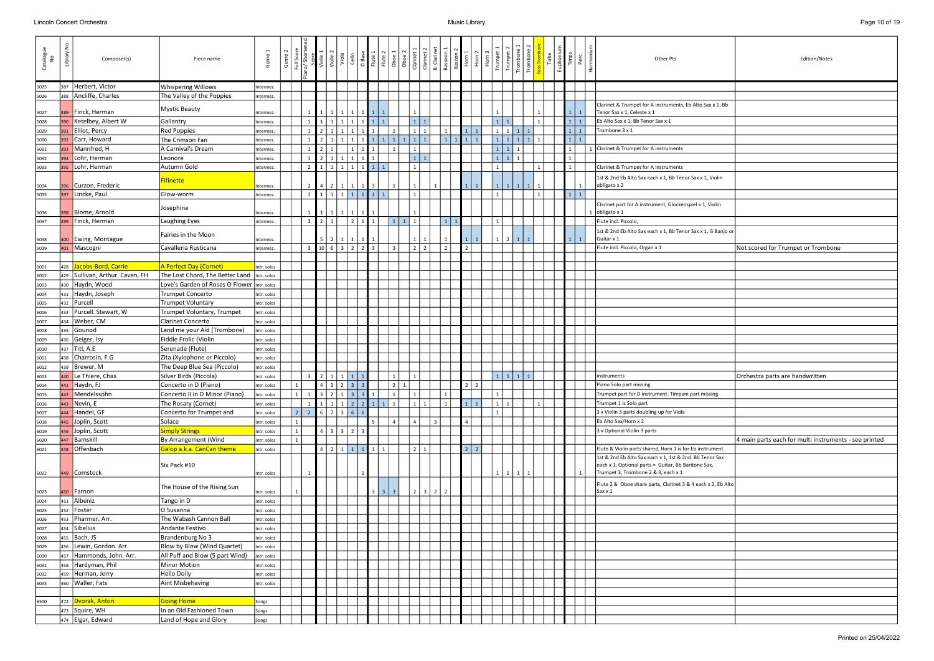| Catalogue<br>No | £<br>Library | Composer(s)                     | Piece name                                   | Genre                      | Genre | Full Score<br>o/ Shorte | Violin <sub>1</sub> | Violin <sub>2</sub>                                | Viola<br>Cello<br>D Base<br>Flute 1<br>Flute 2 |                   |                   |                 |                | Oboe 1<br>Oboe 2<br>Olarinet 1<br>Clarinet 2<br>Glarinet 2 |                | Bassoon         | Basoon <sub>2</sub> | $\begin{array}{ c c }\n\hline\n\text{Horn 1} \\ \hline\n\text{Horn 2} \\ \hline\n\text{Horn 3}\n\end{array}$ | Trumpet<br><b>Lutul</b> | Tromb        | Trombone          |  | Euphoniur<br>Timps | $P$ erc | Other Pts                                                                                                                                            | Edition/Notes                                         |
|-----------------|--------------|---------------------------------|----------------------------------------------|----------------------------|-------|-------------------------|---------------------|----------------------------------------------------|------------------------------------------------|-------------------|-------------------|-----------------|----------------|------------------------------------------------------------|----------------|-----------------|---------------------|--------------------------------------------------------------------------------------------------------------|-------------------------|--------------|-------------------|--|--------------------|---------|------------------------------------------------------------------------------------------------------------------------------------------------------|-------------------------------------------------------|
| 5025            |              | 387 Herbert, Victor             | <b>Whispering Willows</b>                    | Intermez.                  |       |                         |                     |                                                    |                                                |                   |                   |                 |                |                                                            |                |                 |                     |                                                                                                              |                         |              |                   |  |                    |         |                                                                                                                                                      |                                                       |
| 5026            |              | 388 Ancliffe, Charles           | The Valley of the Poppies                    | Intermez.                  |       |                         |                     |                                                    |                                                |                   |                   |                 |                |                                                            |                |                 |                     |                                                                                                              |                         |              |                   |  |                    |         |                                                                                                                                                      |                                                       |
| 5027            |              | 389 Finck, Herman               | <b>Mystic Beauty</b>                         | ntermez.                   |       |                         |                     |                                                    |                                                |                   |                   |                 |                |                                                            |                |                 |                     |                                                                                                              |                         |              |                   |  |                    |         | Clarinet & Trumpet for A instruments, Eb Alto Sax x 1, Bb<br>Tenor Sax x 1, Celeste x 1                                                              |                                                       |
| 5028            | 390          | Ketelbey, Albert W              | Gallantry                                    | ntermez.                   |       |                         |                     |                                                    |                                                |                   | $1 \mid 1$        |                 |                | 1 1                                                        |                |                 |                     |                                                                                                              | $1 \mid 1$              |              |                   |  | $1 \mid 1$         |         | Eb Alto Sax x 1, Bb Tenor Sax x 1                                                                                                                    |                                                       |
| 5029            | 391          | Elliot, Percy                   | <b>Red Poppies</b>                           | ntermez.                   |       |                         | 2 I                 |                                                    |                                                |                   |                   |                 |                | - 1 L                                                      |                |                 |                     | $1 \mid 1$                                                                                                   | $1 \mid 1$              | $\mathbf{1}$ | 1                 |  | $1 \mid 1$         |         | Trombone 3 x 1                                                                                                                                       |                                                       |
| 5030            | 392          | Carr, Howard                    | The Crimson Fan                              | ntermez.                   |       |                         | 2 <sup>1</sup>      |                                                    |                                                |                   | $\mathbf{1}$      |                 | $1 \mid$       |                                                            |                | $1 \mid 1 \mid$ |                     | $1 \mid 1$                                                                                                   | $1 \mid 1 \mid$         |              | $1 \mid 1 \mid 1$ |  | $1 \mid 1$         |         |                                                                                                                                                      |                                                       |
| 5031            | 393          | Mannfred, H                     | A Carnival's Dream                           | ntermez.                   |       |                         | $\overline{2}$      |                                                    | $1\vert$                                       |                   | $\blacksquare$    |                 |                |                                                            |                |                 |                     |                                                                                                              | $1 \mid 1$              |              |                   |  |                    |         | 1 Clarinet & Trumpet for A instruments                                                                                                               |                                                       |
| 5032            | 394          | Lohr, Herman                    | Leonore                                      | ntermez.                   |       |                         | 2                   |                                                    | $\vert 1 \vert$                                |                   | $1 \mid 1$        |                 |                | $1 \mid 1$                                                 |                |                 |                     |                                                                                                              | $1 \mid 1$              |              |                   |  |                    |         |                                                                                                                                                      |                                                       |
| 5033            | 395          | Lohr, Herman                    | Autumn Gold                                  | ntermez.                   |       | $\overline{2}$          | 1 <sup>1</sup>      | 1                                                  | 1                                              |                   | $1 \mid 1 \mid 1$ |                 |                |                                                            |                |                 |                     |                                                                                                              |                         |              |                   |  |                    |         | Clarinet & Trumpet for A instruments                                                                                                                 |                                                       |
| 5034            |              | 396 Curzon, Frederic            | Fifinette                                    | ntermez.                   |       | $\overline{2}$          |                     | 4   2                                              | $1 \vert$                                      | 1   1             |                   |                 |                |                                                            |                |                 |                     |                                                                                                              | <sup>1</sup>            |              |                   |  |                    |         | 1st & 2nd Eb Alto Sax each x 1, Bb Tenor Sax x 1, Violin<br>obligato x 2                                                                             |                                                       |
| 5035            | 397          | Lincke, Paul                    | Glow-worm                                    | ntermez.                   |       | $\overline{1}$          | $\mathbf{1}$        | 1                                                  | $1 \mid 1 \mid 1 \mid 1 \mid 1$                |                   |                   |                 |                |                                                            |                |                 |                     |                                                                                                              |                         |              |                   |  | 1 1                |         |                                                                                                                                                      |                                                       |
|                 |              | Blome, Arnold                   | Josephine                                    |                            |       |                         |                     |                                                    |                                                |                   |                   |                 |                |                                                            |                |                 |                     |                                                                                                              |                         |              |                   |  |                    |         | Clarinet part for A instrument, Glockenspiel x 1, Violin<br>obligato x 1                                                                             |                                                       |
| 5036            | 398          |                                 |                                              | ntermez.                   |       | -1                      |                     | 1   1<br>$\vert 2 \vert 1$                         | $1 \mid 1 \mid 1 \mid 1$                       | $2 \mid 1 \mid 1$ |                   |                 | 1111           |                                                            |                | 1 <sup>1</sup>  |                     |                                                                                                              |                         |              |                   |  |                    |         |                                                                                                                                                      |                                                       |
| 5037            |              | 399 Finck, Herman               | Laughing Eyes                                | ntermez.                   |       | $\overline{3}$          |                     |                                                    |                                                |                   |                   |                 |                |                                                            |                |                 |                     |                                                                                                              |                         |              |                   |  |                    |         | Flute incl. Piccolo,                                                                                                                                 |                                                       |
| 5038            |              | 400 Ewing, Montague             | Fairies in the Moon                          | ntermez.                   |       |                         |                     |                                                    |                                                |                   |                   |                 |                |                                                            |                |                 |                     |                                                                                                              |                         |              |                   |  |                    |         | 1st & 2nd Eb Alto Sax each x 1, Bb Tenor Sax x 1, G Banjo or<br>Guitar x 1                                                                           |                                                       |
|                 | 401          | Mascogni                        | Cavalleria Rusticana                         |                            |       | $\mathbf{a}$            |                     | 10  6   3   2   2   3                              |                                                |                   |                   | $\overline{3}$  |                | $2 \mid 2 \mid$                                            |                | $\overline{2}$  |                     | 2 <sup>1</sup>                                                                                               |                         |              |                   |  |                    |         | Flute incl. Piccolo, Organ x 1                                                                                                                       | Not scored for Trumpet or Trombone                    |
| 5039            |              |                                 |                                              | ntermez.                   |       |                         |                     |                                                    |                                                |                   |                   |                 |                |                                                            |                |                 |                     |                                                                                                              |                         |              |                   |  |                    |         |                                                                                                                                                      |                                                       |
| 6001            |              | 428 Jacobs-Bord, Carrie         | A Perfect Day (Cornet)                       | Intr. solos                |       |                         |                     |                                                    |                                                |                   |                   |                 |                |                                                            |                |                 |                     |                                                                                                              |                         |              |                   |  |                    |         |                                                                                                                                                      |                                                       |
| 6002            |              | 429 Sullivan, Arthur. Caven, FH | The Lost Chord, The Better Land  Intr. solos |                            |       |                         |                     |                                                    |                                                |                   |                   |                 |                |                                                            |                |                 |                     |                                                                                                              |                         |              |                   |  |                    |         |                                                                                                                                                      |                                                       |
| 6003            |              | 430 Haydn, Wood                 | Love's Garden of Roses O Flower              | Intr. solos                |       |                         |                     |                                                    |                                                |                   |                   |                 |                |                                                            |                |                 |                     |                                                                                                              |                         |              |                   |  |                    |         |                                                                                                                                                      |                                                       |
| 6004            | 431          | Haydn, Joseph                   | <b>Trumpet Concerto</b>                      | Intr. solos                |       |                         |                     |                                                    |                                                |                   |                   |                 |                |                                                            |                |                 |                     |                                                                                                              |                         |              |                   |  |                    |         |                                                                                                                                                      |                                                       |
| 6005            | 432          | Purcell                         | Trumpet Voluntary                            | Intr. solos                |       |                         |                     |                                                    |                                                |                   |                   |                 |                |                                                            |                |                 |                     |                                                                                                              |                         |              |                   |  |                    |         |                                                                                                                                                      |                                                       |
| 6006            | 433          | Purcell. Stewart, W             | Trumpet Voluntary, Trumpet                   | ntr. solos                 |       |                         |                     |                                                    |                                                |                   |                   |                 |                |                                                            |                |                 |                     |                                                                                                              |                         |              |                   |  |                    |         |                                                                                                                                                      |                                                       |
| 6007            | 434          | Weber, CM                       | Clarinet Concerto                            | Intr. solos                |       |                         |                     |                                                    |                                                |                   |                   |                 |                |                                                            |                |                 |                     |                                                                                                              |                         |              |                   |  |                    |         |                                                                                                                                                      |                                                       |
| 6008            | 435          | Gounod                          | Lend me your Aid (Trombone)                  | Intr. solos                |       |                         |                     |                                                    |                                                |                   |                   |                 |                |                                                            |                |                 |                     |                                                                                                              |                         |              |                   |  |                    |         |                                                                                                                                                      |                                                       |
| 6009            | 436          | Geiger, Isy                     | Fiddle Frolic (Violin                        | Intr. solos                |       |                         |                     |                                                    |                                                |                   |                   |                 |                |                                                            |                |                 |                     |                                                                                                              |                         |              |                   |  |                    |         |                                                                                                                                                      |                                                       |
| 6010            | 437          | Titl, A.E                       | Serenade (Flute)                             | Intr. solos                |       |                         |                     |                                                    |                                                |                   |                   |                 |                |                                                            |                |                 |                     |                                                                                                              |                         |              |                   |  |                    |         |                                                                                                                                                      |                                                       |
| 6011            | 438          | Charrosin, F.G                  | Zita (Xylophone or Piccolo)                  | Intr. solos                |       |                         |                     |                                                    |                                                |                   |                   |                 |                |                                                            |                |                 |                     |                                                                                                              |                         |              |                   |  |                    |         |                                                                                                                                                      |                                                       |
| 6012            |              | 439   Brewer, M                 | The Deep Blue Sea (Piccolo)                  | Intr. solos                |       |                         |                     |                                                    |                                                |                   |                   |                 |                |                                                            |                |                 |                     |                                                                                                              |                         |              |                   |  |                    |         |                                                                                                                                                      |                                                       |
| 6013            | 440          | Le Thiere, Chas                 | Silver Birds (Piccola)                       | ntr. solos                 |       |                         | 2                   |                                                    | $1 \mid 1 \mid 1$                              |                   |                   |                 |                |                                                            |                |                 |                     |                                                                                                              | $1 \mid 1 \mid$         | 1            | $\mathbf{1}$      |  |                    |         | instruments                                                                                                                                          | Orchestra parts are handwritten                       |
| 6014            |              | 441 Haydn, FJ                   | Concerto in D (Piano)                        | Intr. solos                |       |                         |                     | $4 \mid 3$                                         | $2 \mid 3 \mid 3$                              |                   |                   |                 |                |                                                            |                |                 |                     |                                                                                                              |                         |              |                   |  |                    |         | Piano Solo part missing                                                                                                                              |                                                       |
| 6015            | 442          | Mendelssohn                     | Concerto II in D Minor (Piano)               | Intr. solos                |       | $1 \mid$                |                     | $1 \mid 3 \mid 2 \mid 1 \mid 3 \mid 3 \mid 1 \mid$ |                                                |                   |                   |                 | 1              | $\vert 1 \vert$                                            |                |                 |                     |                                                                                                              |                         |              |                   |  |                    |         | Trumpet part for D instrument. Timpani part missing                                                                                                  |                                                       |
| 6016            | 443          | Nevin, E                        | The Rosary (Cornet)                          | Intr. solos                |       | $\mathbf{1}$            |                     | $1$ 1 1 2 2 1 1 1                                  |                                                |                   |                   |                 |                | 1111                                                       |                | $\mathbf{1}$    |                     | $1$ $1$                                                                                                      | $1 \mid 1$              |              |                   |  |                    |         | Trumpet 1 is Solo part                                                                                                                               |                                                       |
| 6017            | 444          | Handel, GF                      | Concerto for Trumpet and                     | Intr. solos                |       |                         |                     | $2 \mid 2 \mid 6 \mid 7 \mid 3 \mid 6 \mid 6$      |                                                |                   |                   |                 |                |                                                            |                |                 |                     |                                                                                                              |                         |              |                   |  |                    |         | 3 x Violin 3 parts doubling up for Viola                                                                                                             |                                                       |
| 6018            | 445          | Joplin, Scott                   | Solace                                       | Intr. solos                |       |                         |                     |                                                    |                                                |                   | $\overline{5}$    |                 | 4 <sup>1</sup> | $\overline{4}$                                             | $\overline{3}$ |                 |                     |                                                                                                              |                         |              |                   |  |                    |         | Eb Alto Sax/Horn x 2                                                                                                                                 |                                                       |
| 6019            | 146          | Joplin, Scott                   | <b>Simply Strings</b>                        | Intr. solos                |       |                         |                     | $4 \mid 3 \mid 3 \mid 2 \mid 3$                    |                                                |                   |                   |                 |                |                                                            |                |                 |                     |                                                                                                              |                         |              |                   |  |                    |         | 3 x Optional Violin 3 parts                                                                                                                          |                                                       |
| 6020            | 147          | Bamskill                        | By Arrangement (Wind                         | Intr. solos                |       |                         |                     |                                                    |                                                |                   |                   |                 |                |                                                            |                |                 |                     |                                                                                                              |                         |              |                   |  |                    |         |                                                                                                                                                      | 4 main parts each for multi instruments - see printed |
| 6021            | 448          | Offenbach                       | Galop a.k.a. CanCan theme                    | Intr. solos                |       |                         |                     | $4$   2   1   1   1   1   1                        |                                                |                   |                   |                 |                | $\overline{2}$                                             |                |                 |                     | $2 \mid 2 \mid$                                                                                              |                         |              |                   |  |                    |         | Flute & Violin parts shared, Horn 1 is for Eb instrument.                                                                                            |                                                       |
| 6022            |              | 449 Comstock                    | Six Pack #10                                 | Intr. solos                |       |                         |                     |                                                    |                                                |                   |                   |                 |                |                                                            |                |                 |                     |                                                                                                              |                         |              |                   |  |                    |         | 1st & 2nd Eb Alto Sax each x 1, 1st & 2nd Bb Tenor Sax<br>each x 1, Optional parts = Guitar, Bb Baritone Sax,<br>Trumpet 3, Trombone 2 & 3, each x 1 |                                                       |
|                 |              |                                 | The House of the Rising Sun                  |                            |       |                         |                     |                                                    |                                                |                   |                   |                 |                |                                                            |                |                 |                     |                                                                                                              |                         |              |                   |  |                    |         | Flute 2 & Oboe share parts, Clarinet 3 & 4 each x 2, Eb Alto<br>Sax x 1                                                                              |                                                       |
| 6023<br>6024    | 451          | 450 Farnon<br>Albeniz           | Tango in D                                   | Intr. solos<br>Intr. solos |       |                         |                     |                                                    |                                                |                   |                   | $3 \mid 3 \mid$ |                | 2 3 2                                                      |                |                 |                     |                                                                                                              |                         |              |                   |  |                    |         |                                                                                                                                                      |                                                       |
|                 | 452          | Foster                          | O Susanna                                    | ntr. solos                 |       |                         |                     |                                                    |                                                |                   |                   |                 |                |                                                            |                |                 |                     |                                                                                                              |                         |              |                   |  |                    |         |                                                                                                                                                      |                                                       |
| 6025<br>6026    | 453          | Pharmer. Arr.                   | The Wabash Cannon Ball                       | Intr. solos                |       |                         |                     |                                                    |                                                |                   |                   |                 |                |                                                            |                |                 |                     |                                                                                                              |                         |              |                   |  |                    |         |                                                                                                                                                      |                                                       |
|                 | 454          | Sibelius                        | Andante Festivo                              | Intr. solos                |       |                         |                     |                                                    |                                                |                   |                   |                 |                |                                                            |                |                 |                     |                                                                                                              |                         |              |                   |  |                    |         |                                                                                                                                                      |                                                       |
| 6027<br>6028    | 455          | Bach, JS                        | Brandenburg No 3                             | Intr. solos                |       |                         |                     |                                                    |                                                |                   |                   |                 |                |                                                            |                |                 |                     |                                                                                                              |                         |              |                   |  |                    |         |                                                                                                                                                      |                                                       |
| 6029            | 456          | Lewin, Gordon. Arr.             | Blow by Blow (Wind Quartet)                  | Intr. solos                |       |                         |                     |                                                    |                                                |                   |                   |                 |                |                                                            |                |                 |                     |                                                                                                              |                         |              |                   |  |                    |         |                                                                                                                                                      |                                                       |
| 6030            | 457          | Hammonds, John. Arr.            | All Puff and Blow (5 part Wind)              | ntr. solos                 |       |                         |                     |                                                    |                                                |                   |                   |                 |                |                                                            |                |                 |                     |                                                                                                              |                         |              |                   |  |                    |         |                                                                                                                                                      |                                                       |
| 6031            | 458          | Hardyman, Phil                  | <b>Minor Motion</b>                          | Intr. solos                |       |                         |                     |                                                    |                                                |                   |                   |                 |                |                                                            |                |                 |                     |                                                                                                              |                         |              |                   |  |                    |         |                                                                                                                                                      |                                                       |
| 6032            |              | 459 Herman, Jerry               | Hello Dolly                                  | ntr. solos                 |       |                         |                     |                                                    |                                                |                   |                   |                 |                |                                                            |                |                 |                     |                                                                                                              |                         |              |                   |  |                    |         |                                                                                                                                                      |                                                       |
| 6033            |              | 460   Waller, Fats              | Aint Misbehaving                             | ntr. solos                 |       |                         |                     |                                                    |                                                |                   |                   |                 |                |                                                            |                |                 |                     |                                                                                                              |                         |              |                   |  |                    |         |                                                                                                                                                      |                                                       |
|                 |              |                                 |                                              |                            |       |                         |                     |                                                    |                                                |                   |                   |                 |                |                                                            |                |                 |                     |                                                                                                              |                         |              |                   |  |                    |         |                                                                                                                                                      |                                                       |
| 6500            |              | 472 Dvorak, Anton               | <b>Going Home</b>                            | Songs                      |       |                         |                     |                                                    |                                                |                   |                   |                 |                |                                                            |                |                 |                     |                                                                                                              |                         |              |                   |  |                    |         |                                                                                                                                                      |                                                       |
|                 |              | 473 Squire, WH                  | In an Old Fashioned Town                     | Songs                      |       |                         |                     |                                                    |                                                |                   |                   |                 |                |                                                            |                |                 |                     |                                                                                                              |                         |              |                   |  |                    |         |                                                                                                                                                      |                                                       |
|                 |              | 474 Elgar, Edward               | Land of Hope and Glory                       | Songs                      |       |                         |                     |                                                    |                                                |                   |                   |                 |                |                                                            |                |                 |                     |                                                                                                              |                         |              |                   |  |                    |         |                                                                                                                                                      |                                                       |

| Other Pts                                                                                                                                            | Edition/Notes                                         |
|------------------------------------------------------------------------------------------------------------------------------------------------------|-------------------------------------------------------|
|                                                                                                                                                      |                                                       |
|                                                                                                                                                      |                                                       |
| Clarinet & Trumpet for A instruments, Eb Alto Sax x 1, Bb<br>Tenor Sax x 1, Celeste x 1                                                              |                                                       |
| Eb Alto Sax x 1, Bb Tenor Sax x 1                                                                                                                    |                                                       |
| Trombone 3 x 1                                                                                                                                       |                                                       |
|                                                                                                                                                      |                                                       |
| Clarinet & Trumpet for A instruments                                                                                                                 |                                                       |
| Clarinet & Trumpet for A instruments                                                                                                                 |                                                       |
| 1st & 2nd Eb Alto Sax each x 1, Bb Tenor Sax x 1, Violin<br>obligato x 2                                                                             |                                                       |
| Clarinet part for A instrument, Glockenspiel x 1, Violin<br>obligato x 1                                                                             |                                                       |
| Flute incl. Piccolo,                                                                                                                                 |                                                       |
| 1st & 2nd Eb Alto Sax each x 1, Bb Tenor Sax x 1, G Banjo or<br>Guitar x 1                                                                           |                                                       |
| Flute incl. Piccolo, Organ x 1                                                                                                                       | Not scored for Trumpet or Trombone                    |
|                                                                                                                                                      |                                                       |
|                                                                                                                                                      |                                                       |
|                                                                                                                                                      |                                                       |
|                                                                                                                                                      |                                                       |
|                                                                                                                                                      |                                                       |
|                                                                                                                                                      |                                                       |
|                                                                                                                                                      |                                                       |
|                                                                                                                                                      |                                                       |
|                                                                                                                                                      |                                                       |
|                                                                                                                                                      |                                                       |
| instruments                                                                                                                                          | Orchestra parts are handwritten                       |
| Piano Solo part missing                                                                                                                              |                                                       |
| Trumpet part for D instrument. Timpani part missing                                                                                                  |                                                       |
| Trumpet 1 is Solo part                                                                                                                               |                                                       |
| 3 x Violin 3 parts doubling up for Viola                                                                                                             |                                                       |
| Eb Alto Sax/Horn x 2                                                                                                                                 |                                                       |
| 3 x Optional Violin 3 parts                                                                                                                          |                                                       |
| Flute & Violin parts shared, Horn 1 is for Eb instrument.                                                                                            | 4 main parts each for multi instruments - see printed |
| 1st & 2nd Eb Alto Sax each x 1, 1st & 2nd Bb Tenor Sax<br>each x 1, Optional parts = Guitar, Bb Baritone Sax,<br>Trumpet 3, Trombone 2 & 3, each x 1 |                                                       |
| Flute 2 & Oboe share parts, Clarinet 3 & 4 each x 2, Eb Alto<br>Sax x 1                                                                              |                                                       |
|                                                                                                                                                      |                                                       |
|                                                                                                                                                      |                                                       |
|                                                                                                                                                      |                                                       |
|                                                                                                                                                      |                                                       |
|                                                                                                                                                      |                                                       |
|                                                                                                                                                      |                                                       |
|                                                                                                                                                      |                                                       |
|                                                                                                                                                      |                                                       |
|                                                                                                                                                      |                                                       |
|                                                                                                                                                      |                                                       |
|                                                                                                                                                      |                                                       |
|                                                                                                                                                      |                                                       |
|                                                                                                                                                      |                                                       |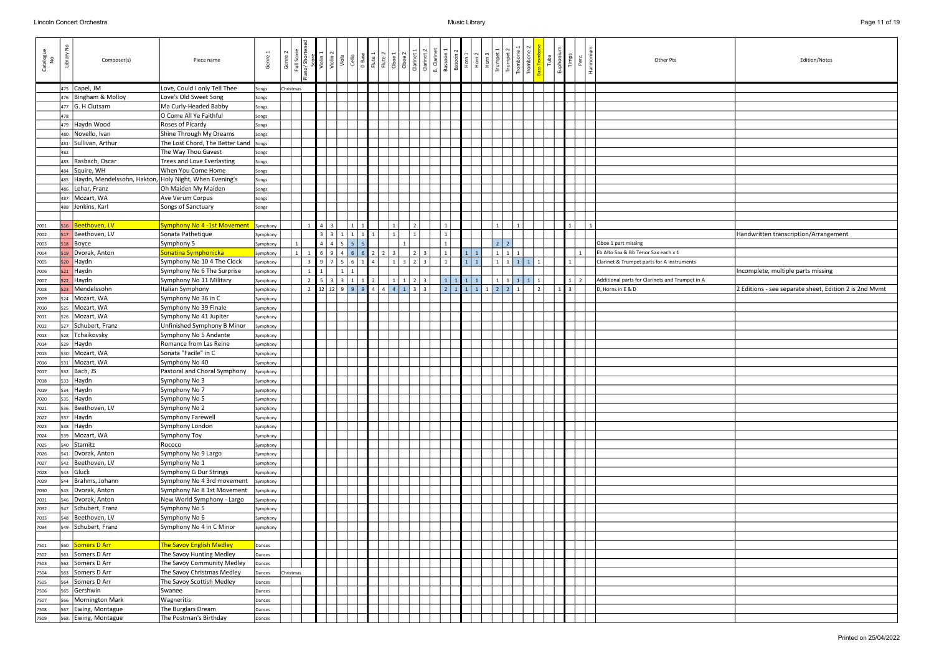| Catalogue<br>No | $\frac{1}{2}$<br>Library | Composer(s)                                            | Piece name                              | Genre                | Genre     | Full Sco       | Violin <sub>1</sub> | Violin <sub>2</sub><br>Viola | Cello             |                     |                | D Base<br>Flute 1<br>Flute 2<br>O D D D D 2<br>O D D 2<br>Clarinet 2<br>Clarinet 2<br>E Clarinet 2 |                                           | Bassoon        | Basoon 2 | Horn 2          | Horn <sub>3</sub> | Trumpet<br>Trumpet            | $\left  \begin{array}{c} \vec{E} \\ \vec{E} \end{array} \right $ | <b>Fuba</b>    | Euphonius<br>Timps | Perc       | Harmon<br>Other Pts                             | Edition/Notes                              |
|-----------------|--------------------------|--------------------------------------------------------|-----------------------------------------|----------------------|-----------|----------------|---------------------|------------------------------|-------------------|---------------------|----------------|----------------------------------------------------------------------------------------------------|-------------------------------------------|----------------|----------|-----------------|-------------------|-------------------------------|------------------------------------------------------------------|----------------|--------------------|------------|-------------------------------------------------|--------------------------------------------|
|                 |                          | 475 Capel, JM                                          | Love, Could I only Tell Thee            | Songs                | Christmas |                |                     |                              |                   |                     |                |                                                                                                    |                                           |                |          |                 |                   |                               |                                                                  |                |                    |            |                                                 |                                            |
|                 |                          | 476 Bingham & Molloy                                   | Love's Old Sweet Song                   | Songs                |           |                |                     |                              |                   |                     |                |                                                                                                    |                                           |                |          |                 |                   |                               |                                                                  |                |                    |            |                                                 |                                            |
|                 |                          | $477$ G. H Clutsam                                     | Ma Curly-Headed Babby                   | Songs                |           |                |                     |                              |                   |                     |                |                                                                                                    |                                           |                |          |                 |                   |                               |                                                                  |                |                    |            |                                                 |                                            |
|                 | 478                      |                                                        | O Come All Ye Faithful                  | Songs                |           |                |                     |                              |                   |                     |                |                                                                                                    |                                           |                |          |                 |                   |                               |                                                                  |                |                    |            |                                                 |                                            |
|                 | 479                      | Haydn Wood                                             | Roses of Picardy                        | Songs                |           |                |                     |                              |                   |                     |                |                                                                                                    |                                           |                |          |                 |                   |                               |                                                                  |                |                    |            |                                                 |                                            |
|                 | 480                      | Novello, Ivan                                          | Shine Through My Dreams                 | Songs                |           |                |                     |                              |                   |                     |                |                                                                                                    |                                           |                |          |                 |                   |                               |                                                                  |                |                    |            |                                                 |                                            |
|                 | 481                      | Sullivan, Arthur                                       | The Lost Chord, The Better Land   Songs |                      |           |                |                     |                              |                   |                     |                |                                                                                                    |                                           |                |          |                 |                   |                               |                                                                  |                |                    |            |                                                 |                                            |
|                 | 482                      |                                                        | The Way Thou Gavest                     | Songs                |           |                |                     |                              |                   |                     |                |                                                                                                    |                                           |                |          |                 |                   |                               |                                                                  |                |                    |            |                                                 |                                            |
|                 |                          | 483 Rasbach, Oscar                                     | Trees and Love Everlasting              | Songs                |           |                |                     |                              |                   |                     |                |                                                                                                    |                                           |                |          |                 |                   |                               |                                                                  |                |                    |            |                                                 |                                            |
|                 | 484                      | Squire, WH                                             | When You Come Home                      | Songs                |           |                |                     |                              |                   |                     |                |                                                                                                    |                                           |                |          |                 |                   |                               |                                                                  |                |                    |            |                                                 |                                            |
|                 | 485                      | Haydn, Mendelssohn, Hakton, Holy Night, When Evening's |                                         | Songs                |           |                |                     |                              |                   |                     |                |                                                                                                    |                                           |                |          |                 |                   |                               |                                                                  |                |                    |            |                                                 |                                            |
|                 | 486                      | Lehar, Franz                                           | Oh Maiden My Maiden                     | Songs                |           |                |                     |                              |                   |                     |                |                                                                                                    |                                           |                |          |                 |                   |                               |                                                                  |                |                    |            |                                                 |                                            |
|                 | 487                      | Mozart, WA                                             | Ave Verum Corpus                        | Songs                |           |                |                     |                              |                   |                     |                |                                                                                                    |                                           |                |          |                 |                   |                               |                                                                  |                |                    |            |                                                 |                                            |
|                 |                          | 488 Jenkins, Karl                                      | Songs of Sanctuary                      | Songs                |           |                |                     |                              |                   |                     |                |                                                                                                    |                                           |                |          |                 |                   |                               |                                                                  |                |                    |            |                                                 |                                            |
|                 |                          |                                                        |                                         |                      |           |                |                     |                              |                   |                     |                |                                                                                                    |                                           |                |          |                 |                   |                               |                                                                  |                |                    |            |                                                 |                                            |
| 7001            |                          | 516 Beethoven, LV                                      | Symphony No 4 -1st Movement             | Symphony             |           |                | $4 \mid 3$          |                              | $1 \vert$         | 1                   |                | 1 <sup>1</sup>                                                                                     |                                           |                |          |                 |                   |                               |                                                                  |                |                    | 1          |                                                 |                                            |
| 7002            |                          | 517 Beethoven, LV                                      | Sonata Pathetique                       | Symphony             |           |                | 3 3                 |                              | $1 \mid 1 \mid 1$ | 1                   |                | $1\vert$                                                                                           |                                           |                |          |                 |                   |                               |                                                                  |                |                    |            |                                                 | Handwritten transcription/Arrangement      |
| 7003            |                          | 518 Boyce                                              | Symphony 5                              | Symphony             |           |                | $\overline{4}$      | $\overline{4}$               | 5 <sup>1</sup>    |                     |                |                                                                                                    |                                           |                |          |                 |                   | $2^{\circ}$<br>2 <sup>1</sup> |                                                                  |                |                    |            | Oboe 1 part missing                             |                                            |
| 7004            |                          | 519   Dvorak, Anton                                    | Sonatina Symphonicka                    | Symphony             |           |                | 6                   | 9<br>$\overline{a}$          | 6 <sup>1</sup>    | 2<br>6 <sup>1</sup> | $\overline{2}$ | 3 <sup>1</sup>                                                                                     | $\overline{2}$<br>$\overline{\mathbf{3}}$ |                | 1        | $\vert 1 \vert$ |                   | 1 <sup>1</sup>                |                                                                  |                |                    |            | Eb Alto Sax & Bb Tenor Sax each x 1             |                                            |
| 7005            | 520                      | Haydn                                                  | Symphony No 10 4 The Clock              | Symphony             |           |                | 9                   |                              | $6\phantom{.}6$   |                     |                |                                                                                                    | $\overline{2}$                            |                |          | $\mathbf{1}$    |                   |                               |                                                                  |                |                    |            | Clarinet & Trumpet parts for A instruments      |                                            |
| 7006            | 521                      | Haydn                                                  | Symphony No 6 The Surprise              | Symphony             |           |                |                     |                              | $\mathbf{1}$      |                     |                |                                                                                                    |                                           |                |          |                 |                   |                               |                                                                  |                |                    |            |                                                 | Incomplete, multiple parts missing         |
| 7007            | 522                      | Haydn                                                  | Symphony No 11 Military                 | Symphony             |           | $\overline{2}$ | 5                   | $\overline{3}$<br>  3        | $1 \mid 1$        | $\vert$ 2           |                | $1 \mid 1$                                                                                         | $\overline{2}$<br>  3                     | $\mathbf{1}$   | 1 1 1    |                 |                   | $1 \mid 1 \mid 1 \mid 1$      |                                                                  |                |                    | $1 \mid 2$ | Additional parts for Clarinets and Trumpet in A |                                            |
| 7008            | 523                      | Mendelssohn                                            | Italian Symphony                        | Symphony             |           | $\overline{2}$ |                     |                              | 12 12 9 9 9 4     |                     |                | $4 \mid 4 \mid 1$                                                                                  | $3 \mid 3$                                | $\overline{2}$ |          |                 |                   | 1 1 1 1 2 2 1                 |                                                                  | $\overline{2}$ |                    | 3          | D, Horns in E & D                               | 2 Editions - see separate sheet, Edition 2 |
| 7009            | 524                      | Mozart, WA                                             | Symphony No 36 in C                     | Symphony             |           |                |                     |                              |                   |                     |                |                                                                                                    |                                           |                |          |                 |                   |                               |                                                                  |                |                    |            |                                                 |                                            |
| 7010            | 525                      | Mozart, WA                                             | Symphony No 39 Finale                   | Symphony             |           |                |                     |                              |                   |                     |                |                                                                                                    |                                           |                |          |                 |                   |                               |                                                                  |                |                    |            |                                                 |                                            |
| 7011            |                          | 526   Mozart, WA                                       | Symphony No 41 Jupiter                  | Symphony             |           |                |                     |                              |                   |                     |                |                                                                                                    |                                           |                |          |                 |                   |                               |                                                                  |                |                    |            |                                                 |                                            |
| 7012            | 527                      | Schubert, Franz                                        | Unfinished Symphony B Minor             | iymphony             |           |                |                     |                              |                   |                     |                |                                                                                                    |                                           |                |          |                 |                   |                               |                                                                  |                |                    |            |                                                 |                                            |
| 7013            |                          | 528 Tchaikovsky                                        | Symphony No 5 Andante                   | Symphony             |           |                |                     |                              |                   |                     |                |                                                                                                    |                                           |                |          |                 |                   |                               |                                                                  |                |                    |            |                                                 |                                            |
| 7014            |                          | $529$ Haydn                                            | Romance from Las Reine                  | Symphony             |           |                |                     |                              |                   |                     |                |                                                                                                    |                                           |                |          |                 |                   |                               |                                                                  |                |                    |            |                                                 |                                            |
| 7015            |                          | 530 Mozart, WA                                         | Sonata "Facile" in C                    | Symphony             |           |                |                     |                              |                   |                     |                |                                                                                                    |                                           |                |          |                 |                   |                               |                                                                  |                |                    |            |                                                 |                                            |
| 7016            |                          | 531   Mozart, WA                                       | Symphony No 40                          | Symphony             |           |                |                     |                              |                   |                     |                |                                                                                                    |                                           |                |          |                 |                   |                               |                                                                  |                |                    |            |                                                 |                                            |
| 7017            |                          | $532$ Bach, JS<br>$533$ Haydn                          | Pastoral and Choral Symphony            | Symphony             |           |                |                     |                              |                   |                     |                |                                                                                                    |                                           |                |          |                 |                   |                               |                                                                  |                |                    |            |                                                 |                                            |
| 7018<br>7019    |                          | $534$ Haydn                                            | Symphony No 3<br>Symphony No 7          | Symphony<br>Symphony |           |                |                     |                              |                   |                     |                |                                                                                                    |                                           |                |          |                 |                   |                               |                                                                  |                |                    |            |                                                 |                                            |
| 7020            |                          | 535 Haydn                                              | Symphony No 5                           | Symphony             |           |                |                     |                              |                   |                     |                |                                                                                                    |                                           |                |          |                 |                   |                               |                                                                  |                |                    |            |                                                 |                                            |
| 7021            |                          | 536   Beethoven, LV                                    | Symphony No 2                           | Symphony             |           |                |                     |                              |                   |                     |                |                                                                                                    |                                           |                |          |                 |                   |                               |                                                                  |                |                    |            |                                                 |                                            |
| 7022            |                          | $537$ Haydn                                            | Symphony Farewell                       | Symphony             |           |                |                     |                              |                   |                     |                |                                                                                                    |                                           |                |          |                 |                   |                               |                                                                  |                |                    |            |                                                 |                                            |
| 7023            |                          | $538$ Haydn                                            | Symphony London                         | Symphony             |           |                |                     |                              |                   |                     |                |                                                                                                    |                                           |                |          |                 |                   |                               |                                                                  |                |                    |            |                                                 |                                            |
| 7024            |                          | 539 Mozart, WA                                         | Symphony Toy                            | Symphony             |           |                |                     |                              |                   |                     |                |                                                                                                    |                                           |                |          |                 |                   |                               |                                                                  |                |                    |            |                                                 |                                            |
| 7025            |                          | 540 Stamitz                                            | Rococo                                  | Symphony             |           |                |                     |                              |                   |                     |                |                                                                                                    |                                           |                |          |                 |                   |                               |                                                                  |                |                    |            |                                                 |                                            |
| 7026            |                          | 541   Dvorak, Anton                                    | Symphony No 9 Largo                     | Symphony             |           |                |                     |                              |                   |                     |                |                                                                                                    |                                           |                |          |                 |                   |                               |                                                                  |                |                    |            |                                                 |                                            |
| 7027            |                          | 542 Beethoven, LV                                      | Symphony No 1                           | Symphony             |           |                |                     |                              |                   |                     |                |                                                                                                    |                                           |                |          |                 |                   |                               |                                                                  |                |                    |            |                                                 |                                            |
| 7028            |                          | $543$ Gluck                                            | Symphony G Dur Strings                  | Symphony             |           |                |                     |                              |                   |                     |                |                                                                                                    |                                           |                |          |                 |                   |                               |                                                                  |                |                    |            |                                                 |                                            |
| 7029            |                          | 544   Brahms, Johann                                   | Symphony No 4 3rd movement              | Symphony             |           |                |                     |                              |                   |                     |                |                                                                                                    |                                           |                |          |                 |                   |                               |                                                                  |                |                    |            |                                                 |                                            |
| 7030            |                          | 545   Dvorak, Anton                                    | Symphony No 8 1st Movement              | Symphony             |           |                |                     |                              |                   |                     |                |                                                                                                    |                                           |                |          |                 |                   |                               |                                                                  |                |                    |            |                                                 |                                            |
| 7031            |                          | 546   Dvorak, Anton                                    | New World Symphony - Largo              | iymphony             |           |                |                     |                              |                   |                     |                |                                                                                                    |                                           |                |          |                 |                   |                               |                                                                  |                |                    |            |                                                 |                                            |
| 7032            |                          | 547 Schubert, Franz                                    | Symphony No 5                           | Symphony             |           |                |                     |                              |                   |                     |                |                                                                                                    |                                           |                |          |                 |                   |                               |                                                                  |                |                    |            |                                                 |                                            |
| 7033            |                          | 548   Beethoven, LV                                    | Symphony No 6                           | Symphony             |           |                |                     |                              |                   |                     |                |                                                                                                    |                                           |                |          |                 |                   |                               |                                                                  |                |                    |            |                                                 |                                            |
| 7034            |                          | 549 Schubert, Franz                                    | Symphony No 4 in C Minor                | Symphony             |           |                |                     |                              |                   |                     |                |                                                                                                    |                                           |                |          |                 |                   |                               |                                                                  |                |                    |            |                                                 |                                            |
|                 |                          |                                                        |                                         |                      |           |                |                     |                              |                   |                     |                |                                                                                                    |                                           |                |          |                 |                   |                               |                                                                  |                |                    |            |                                                 |                                            |
| 7501            |                          | 560 Somers D Arr                                       | The Savoy English Medley                | Dances               |           |                |                     |                              |                   |                     |                |                                                                                                    |                                           |                |          |                 |                   |                               |                                                                  |                |                    |            |                                                 |                                            |
| 7502            |                          | 561 Somers D Arr                                       | The Savoy Hunting Medley                | Dances               |           |                |                     |                              |                   |                     |                |                                                                                                    |                                           |                |          |                 |                   |                               |                                                                  |                |                    |            |                                                 |                                            |
| 7503            |                          | 562 Somers D Arr                                       | The Savoy Community Medley              | Dances               |           |                |                     |                              |                   |                     |                |                                                                                                    |                                           |                |          |                 |                   |                               |                                                                  |                |                    |            |                                                 |                                            |
| 7504            |                          | 563 Somers D Arr                                       | The Savoy Christmas Medley              | Dances               | Christmas |                |                     |                              |                   |                     |                |                                                                                                    |                                           |                |          |                 |                   |                               |                                                                  |                |                    |            |                                                 |                                            |
| 7505            |                          | 564 Somers D Arr                                       | The Savoy Scottish Medley               | Dances               |           |                |                     |                              |                   |                     |                |                                                                                                    |                                           |                |          |                 |                   |                               |                                                                  |                |                    |            |                                                 |                                            |
| 7506            | 565                      | Gershwin                                               | Swanee                                  | Dances               |           |                |                     |                              |                   |                     |                |                                                                                                    |                                           |                |          |                 |                   |                               |                                                                  |                |                    |            |                                                 |                                            |
| 7507            | 566                      | Mornington Mark                                        | Wagneritis                              | Dances               |           |                |                     |                              |                   |                     |                |                                                                                                    |                                           |                |          |                 |                   |                               |                                                                  |                |                    |            |                                                 |                                            |
| 7508            |                          | 567 Ewing, Montague                                    | The Burglars Dream                      | Dances               |           |                |                     |                              |                   |                     |                |                                                                                                    |                                           |                |          |                 |                   |                               |                                                                  |                |                    |            |                                                 |                                            |
| 7509            |                          | 568 Ewing, Montague                                    | The Postman's Birthday                  | Dances               |           |                |                     |                              |                   |                     |                |                                                                                                    |                                           |                |          |                 |                   |                               |                                                                  |                |                    |            |                                                 |                                            |

| Other Pts                                                                         | Edition/Notes                                          |
|-----------------------------------------------------------------------------------|--------------------------------------------------------|
|                                                                                   |                                                        |
|                                                                                   |                                                        |
|                                                                                   |                                                        |
|                                                                                   |                                                        |
|                                                                                   |                                                        |
|                                                                                   |                                                        |
|                                                                                   |                                                        |
|                                                                                   |                                                        |
|                                                                                   |                                                        |
|                                                                                   |                                                        |
| Oboe 1 part missing                                                               | Handwritten transcription/Arrangement                  |
| Eb Alto Sax & Bb Tenor Sax each x 1<br>Clarinet & Trumpet parts for A instruments |                                                        |
|                                                                                   | Incomplete, multiple parts missing                     |
| Additional parts for Clarinets and Trumpet in A<br>D, Horns in E & D              | 2 Editions - see separate sheet, Edition 2 is 2nd Mvmt |
|                                                                                   |                                                        |
|                                                                                   |                                                        |
|                                                                                   |                                                        |
|                                                                                   |                                                        |
|                                                                                   |                                                        |
|                                                                                   |                                                        |
|                                                                                   |                                                        |
|                                                                                   |                                                        |
|                                                                                   |                                                        |
|                                                                                   |                                                        |
|                                                                                   |                                                        |
|                                                                                   |                                                        |
|                                                                                   |                                                        |
|                                                                                   |                                                        |
|                                                                                   |                                                        |
|                                                                                   |                                                        |
|                                                                                   |                                                        |
|                                                                                   |                                                        |
|                                                                                   |                                                        |
|                                                                                   |                                                        |
|                                                                                   |                                                        |
|                                                                                   |                                                        |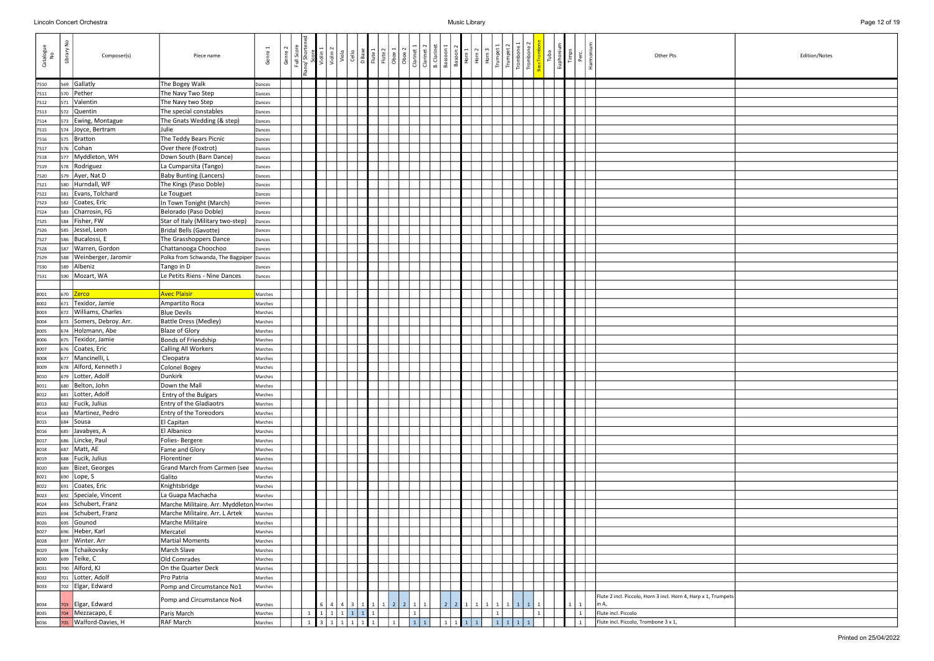| Catalogue<br>No | $\frac{0}{2}$<br>Library | Composer(s)           | Piece name                               | $\overline{ }$<br>Genre<br>Genre | Full Score<br>iano/ Shorter | Violin 1<br>Violin 2 | Viola     | Cello | D Base<br>Flute 1<br>Flute 2 | Oboe 1                            | Clarinet 1<br>Oboe <sub>2</sub> | Clarinet 2   | <b>B.</b> Clarinet<br>Bassoon | Basoon <sup>2</sup><br>Horn 1 | $\frac{2}{10}$  |  | Trombor<br>Trombor | Tuba | Euphonic<br>Timps | Perc.        | Harmor | Other Pts<br>Edition/Notes                                     |
|-----------------|--------------------------|-----------------------|------------------------------------------|----------------------------------|-----------------------------|----------------------|-----------|-------|------------------------------|-----------------------------------|---------------------------------|--------------|-------------------------------|-------------------------------|-----------------|--|--------------------|------|-------------------|--------------|--------|----------------------------------------------------------------|
| 7510            | 569                      | Gallatly              | The Bogey Walk                           | Dances                           |                             |                      |           |       |                              |                                   |                                 |              |                               |                               |                 |  |                    |      |                   |              |        |                                                                |
| 7511            | 570                      | Pether                | The Navy Two Step                        | Dances                           |                             |                      |           |       |                              |                                   |                                 |              |                               |                               |                 |  |                    |      |                   |              |        |                                                                |
| 7512            | 571                      | Valentin              | The Navy two Step                        | Dances                           |                             |                      |           |       |                              |                                   |                                 |              |                               |                               |                 |  |                    |      |                   |              |        |                                                                |
| 7513            | 572                      | Quentin               | The special constables                   | Dances                           |                             |                      |           |       |                              |                                   |                                 |              |                               |                               |                 |  |                    |      |                   |              |        |                                                                |
| 7514            | 573                      | Ewing, Montague       | The Gnats Wedding (& step)               | Dances                           |                             |                      |           |       |                              |                                   |                                 |              |                               |                               |                 |  |                    |      |                   |              |        |                                                                |
| 7515            | 574                      | Joyce, Bertram        | Julie                                    | Dances                           |                             |                      |           |       |                              |                                   |                                 |              |                               |                               |                 |  |                    |      |                   |              |        |                                                                |
| 7516            | 575                      | Bratton               | The Teddy Bears Picnic                   | Dances                           |                             |                      |           |       |                              |                                   |                                 |              |                               |                               |                 |  |                    |      |                   |              |        |                                                                |
| 7517            | 576                      | Cohan                 | Over there (Foxtrot)                     | Dances                           |                             |                      |           |       |                              |                                   |                                 |              |                               |                               |                 |  |                    |      |                   |              |        |                                                                |
| 7518            | 577                      | Myddleton, WH         | Down South (Barn Dance)                  |                                  |                             |                      |           |       |                              |                                   |                                 |              |                               |                               |                 |  |                    |      |                   |              |        |                                                                |
|                 |                          | Rodriguez             |                                          | Dances                           |                             |                      |           |       |                              |                                   |                                 |              |                               |                               |                 |  |                    |      |                   |              |        |                                                                |
| 7519            | 578                      |                       | La Cumparsita (Tango)                    | Dances                           |                             |                      |           |       |                              |                                   |                                 |              |                               |                               |                 |  |                    |      |                   |              |        |                                                                |
| 7520            |                          | 579 Ayer, Nat D       | <b>Baby Bunting (Lancers)</b>            | Dances                           |                             |                      |           |       |                              |                                   |                                 |              |                               |                               |                 |  |                    |      |                   |              |        |                                                                |
| 7521            | 580                      | Hurndall, WF          | The Kings (Paso Doble)                   | Dances                           |                             |                      |           |       |                              |                                   |                                 |              |                               |                               |                 |  |                    |      |                   |              |        |                                                                |
| 7522            | 581                      | Evans, Tolchard       | Le Touguet                               | Dances                           |                             |                      |           |       |                              |                                   |                                 |              |                               |                               |                 |  |                    |      |                   |              |        |                                                                |
| 7523            | 582                      | Coates, Eric          | In Town Tonight (March)                  | Dances                           |                             |                      |           |       |                              |                                   |                                 |              |                               |                               |                 |  |                    |      |                   |              |        |                                                                |
| 7524            | 583                      | Charrosin, FG         | Belorado (Paso Doble)                    | Dances                           |                             |                      |           |       |                              |                                   |                                 |              |                               |                               |                 |  |                    |      |                   |              |        |                                                                |
| 7525            | 584                      | Fisher, FW            | Star of Italy (Military two-step)        | Dances                           |                             |                      |           |       |                              |                                   |                                 |              |                               |                               |                 |  |                    |      |                   |              |        |                                                                |
| 7526            | 585                      | Jessel, Leon          | Bridal Bells (Gavotte)                   | Dances                           |                             |                      |           |       |                              |                                   |                                 |              |                               |                               |                 |  |                    |      |                   |              |        |                                                                |
| 7527            | 586                      | Bucalossi, E          | The Grasshoppers Dance                   | Dances                           |                             |                      |           |       |                              |                                   |                                 |              |                               |                               |                 |  |                    |      |                   |              |        |                                                                |
| 7528            | 587                      | Warren, Gordon        | Chattanooga Choochoo                     | Dances                           |                             |                      |           |       |                              |                                   |                                 |              |                               |                               |                 |  |                    |      |                   |              |        |                                                                |
| 7529            | 588                      | Weinberger, Jaromir   | Polka from Schwanda, The Bagpiper        | Dances                           |                             |                      |           |       |                              |                                   |                                 |              |                               |                               |                 |  |                    |      |                   |              |        |                                                                |
| 7530            | 589                      | Albeniz               | Tango in D                               | Dances                           |                             |                      |           |       |                              |                                   |                                 |              |                               |                               |                 |  |                    |      |                   |              |        |                                                                |
| 7531            | 590                      | Mozart, WA            | Le Petits Riens - Nine Dances            | Dances                           |                             |                      |           |       |                              |                                   |                                 |              |                               |                               |                 |  |                    |      |                   |              |        |                                                                |
|                 |                          |                       |                                          |                                  |                             |                      |           |       |                              |                                   |                                 |              |                               |                               |                 |  |                    |      |                   |              |        |                                                                |
| 8001            |                          | 670 <b>Zerco</b>      | <b>Avec Plaisir</b>                      | Marches                          |                             |                      |           |       |                              |                                   |                                 |              |                               |                               |                 |  |                    |      |                   |              |        |                                                                |
| 8002            | 671                      | Texidor, Jamie        | Ampartito Roca                           | Marches                          |                             |                      |           |       |                              |                                   |                                 |              |                               |                               |                 |  |                    |      |                   |              |        |                                                                |
| 8003            | 672                      | Williams, Charles     | <b>Blue Devils</b>                       | Marches                          |                             |                      |           |       |                              |                                   |                                 |              |                               |                               |                 |  |                    |      |                   |              |        |                                                                |
| 8004            | 673                      | Somers, Debroy. Arr.  | <b>Battle Dress (Medley)</b>             | Marches                          |                             |                      |           |       |                              |                                   |                                 |              |                               |                               |                 |  |                    |      |                   |              |        |                                                                |
| 8005            | 674                      | Holzmann, Abe         | <b>Blaze of Glory</b>                    | Marches                          |                             |                      |           |       |                              |                                   |                                 |              |                               |                               |                 |  |                    |      |                   |              |        |                                                                |
| 8006            | 675                      | Texidor, Jamie        | Bonds of Friendship                      | Marches                          |                             |                      |           |       |                              |                                   |                                 |              |                               |                               |                 |  |                    |      |                   |              |        |                                                                |
|                 |                          | Coates, Eric          |                                          |                                  |                             |                      |           |       |                              |                                   |                                 |              |                               |                               |                 |  |                    |      |                   |              |        |                                                                |
| 8007            | 676                      | Mancinelli, L         | <b>Calling All Workers</b>               | Marches                          |                             |                      |           |       |                              |                                   |                                 |              |                               |                               |                 |  |                    |      |                   |              |        |                                                                |
| 8008            | 677                      |                       | Cleopatra                                | Marches                          |                             |                      |           |       |                              |                                   |                                 |              |                               |                               |                 |  |                    |      |                   |              |        |                                                                |
| 8009            | 678                      | Alford, Kenneth J     | Colonel Bogey                            | Marches                          |                             |                      |           |       |                              |                                   |                                 |              |                               |                               |                 |  |                    |      |                   |              |        |                                                                |
| 8010            | 679                      | Lotter, Adolf         | Dunkirk                                  | Marches                          |                             |                      |           |       |                              |                                   |                                 |              |                               |                               |                 |  |                    |      |                   |              |        |                                                                |
| 8011            | 680                      | Belton, John          | Down the Mall                            | Marches                          |                             |                      |           |       |                              |                                   |                                 |              |                               |                               |                 |  |                    |      |                   |              |        |                                                                |
| 8012            | 681                      | Lotter, Adolf         | Entry of the Bulgars                     | Marches                          |                             |                      |           |       |                              |                                   |                                 |              |                               |                               |                 |  |                    |      |                   |              |        |                                                                |
| 8013            | 682                      | Fucik, Julius         | Entry of the Gladiaotrs                  | Marches                          |                             |                      |           |       |                              |                                   |                                 |              |                               |                               |                 |  |                    |      |                   |              |        |                                                                |
| 8014            | 683                      | Martinez, Pedro       | Entry of the Toreodors                   | Marches                          |                             |                      |           |       |                              |                                   |                                 |              |                               |                               |                 |  |                    |      |                   |              |        |                                                                |
| 8015            |                          | 684 Sousa             | El Capitan                               | Marches                          |                             |                      |           |       |                              |                                   |                                 |              |                               |                               |                 |  |                    |      |                   |              |        |                                                                |
| 8016            | 685                      | Javabyes, A           | El Albanico                              | Marches                          |                             |                      |           |       |                              |                                   |                                 |              |                               |                               |                 |  |                    |      |                   |              |        |                                                                |
| 8017            | 686                      | Lincke, Paul          | Folies-Bergere                           | Marches                          |                             |                      |           |       |                              |                                   |                                 |              |                               |                               |                 |  |                    |      |                   |              |        |                                                                |
| 8018            | 687                      | Matt, AE              | Fame and Glory                           | Marches                          |                             |                      |           |       |                              |                                   |                                 |              |                               |                               |                 |  |                    |      |                   |              |        |                                                                |
| 8019            | 688                      | Fucik, Julius         | Florentiner                              | Marches                          |                             |                      |           |       |                              |                                   |                                 |              |                               |                               |                 |  |                    |      |                   |              |        |                                                                |
| 8020            | 689                      | Bizet, Georges        | Grand March from Carmen (see             | Marches                          |                             |                      |           |       |                              |                                   |                                 |              |                               |                               |                 |  |                    |      |                   |              |        |                                                                |
| 8021            | 690                      | Lope, S               | Galito                                   | Marches                          |                             |                      |           |       |                              |                                   |                                 |              |                               |                               |                 |  |                    |      |                   |              |        |                                                                |
| 8022            | 691                      | Coates, Eric          | Knightsbridge                            | Marches                          |                             |                      |           |       |                              |                                   |                                 |              |                               |                               |                 |  |                    |      |                   |              |        |                                                                |
| 8023            |                          | 692 Speciale, Vincent | La Guapa Machacha                        | Marches                          |                             |                      |           |       |                              |                                   |                                 |              |                               |                               |                 |  |                    |      |                   |              |        |                                                                |
| 8024            |                          | 693 Schubert, Franz   | Marche Militaire. Arr. Myddleton Marches |                                  |                             |                      |           |       |                              |                                   |                                 |              |                               |                               |                 |  |                    |      |                   |              |        |                                                                |
| 8025            |                          | 694 Schubert, Franz   | Marche Militaire. Arr. L Artek           | Marches                          |                             |                      |           |       |                              |                                   |                                 |              |                               |                               |                 |  |                    |      |                   |              |        |                                                                |
| 8026            | 695                      | Gounod                | Marche Militaire                         | Marches                          |                             |                      |           |       |                              |                                   |                                 |              |                               |                               |                 |  |                    |      |                   |              |        |                                                                |
| 8027            | 696                      | Heber, Karl           | Mercatel                                 | Marches                          |                             |                      |           |       |                              |                                   |                                 |              |                               |                               |                 |  |                    |      |                   |              |        |                                                                |
|                 |                          | Winter. Arr           | <b>Martial Moments</b>                   |                                  |                             |                      |           |       |                              |                                   |                                 |              |                               |                               |                 |  |                    |      |                   |              |        |                                                                |
| 8028            | 697                      |                       |                                          | Marches                          |                             |                      |           |       |                              |                                   |                                 |              |                               |                               |                 |  |                    |      |                   |              |        |                                                                |
| 8029            | 698                      | Tchaikovsky           | March Slave                              | Marches                          |                             |                      |           |       |                              |                                   |                                 |              |                               |                               |                 |  |                    |      |                   |              |        |                                                                |
| 8030            | 699                      | Teike, C              | Old Comrades                             | Marches                          |                             |                      |           |       |                              |                                   |                                 |              |                               |                               |                 |  |                    |      |                   |              |        |                                                                |
| 8031            |                          | 700 Alford, KJ        | On the Quarter Deck                      | Marches                          |                             |                      |           |       |                              |                                   |                                 |              |                               |                               |                 |  |                    |      |                   |              |        |                                                                |
| 8032            | 701                      | Lotter, Adolf         | Pro Patria                               | Marches                          |                             |                      |           |       |                              |                                   |                                 |              |                               |                               |                 |  |                    |      |                   |              |        |                                                                |
| 8033            |                          | 702 Elgar, Edward     | Pomp and Circumstance No1                | Marches                          |                             |                      |           |       |                              |                                   |                                 |              |                               |                               |                 |  |                    |      |                   |              |        |                                                                |
| 8034            |                          | 703 Elgar, Edward     | Pomp and Circumstance No4                | Marches                          |                             |                      |           |       |                              | 6   4   4   3   1   1   1   2   2 | $1 \vert$                       | $\mathbf{1}$ |                               | 2 2 1 1 1                     |                 |  |                    |      |                   | $1 \mid 1$   | in A,  | Flute 2 incl. Piccolo, Horn 3 incl. Horn 4, Harp x 1, Trumpets |
| 8035            |                          | 704 Mezzacapo, E      | Paris March                              | Marches                          |                             | 1 1 1 1 1 1          |           |       |                              |                                   | $\mathbf{1}$                    |              |                               |                               |                 |  |                    |      |                   | $\mathbf{1}$ |        | Flute incl. Piccolo                                            |
| 8036            |                          | 705 Walford-Davies, H | <b>RAF March</b>                         | Marches                          |                             | 3 1                  | $\vert$ 1 |       | $\mathbf{1}$                 | $\mathbf{1}$                      | 1                               | $\mathbf{1}$ |                               |                               | $1 \mid 1 \mid$ |  |                    |      |                   |              |        | Flute incl. Piccolo, Trombone 3 x 1,                           |

|               | Edition/Notes |
|---------------|---------------|
|               |               |
|               |               |
|               |               |
|               |               |
|               |               |
|               |               |
|               |               |
|               |               |
|               |               |
|               |               |
|               |               |
|               |               |
|               |               |
|               |               |
|               |               |
|               |               |
|               |               |
|               |               |
|               |               |
|               |               |
|               |               |
|               |               |
|               |               |
|               |               |
|               |               |
|               |               |
|               |               |
|               |               |
|               |               |
|               |               |
|               |               |
|               |               |
|               |               |
|               |               |
|               |               |
|               |               |
|               |               |
|               |               |
|               |               |
|               |               |
|               |               |
|               |               |
|               |               |
|               |               |
|               |               |
|               |               |
|               |               |
|               |               |
|               |               |
|               |               |
|               |               |
|               |               |
|               |               |
| x 1, Trumpets |               |
|               |               |
|               |               |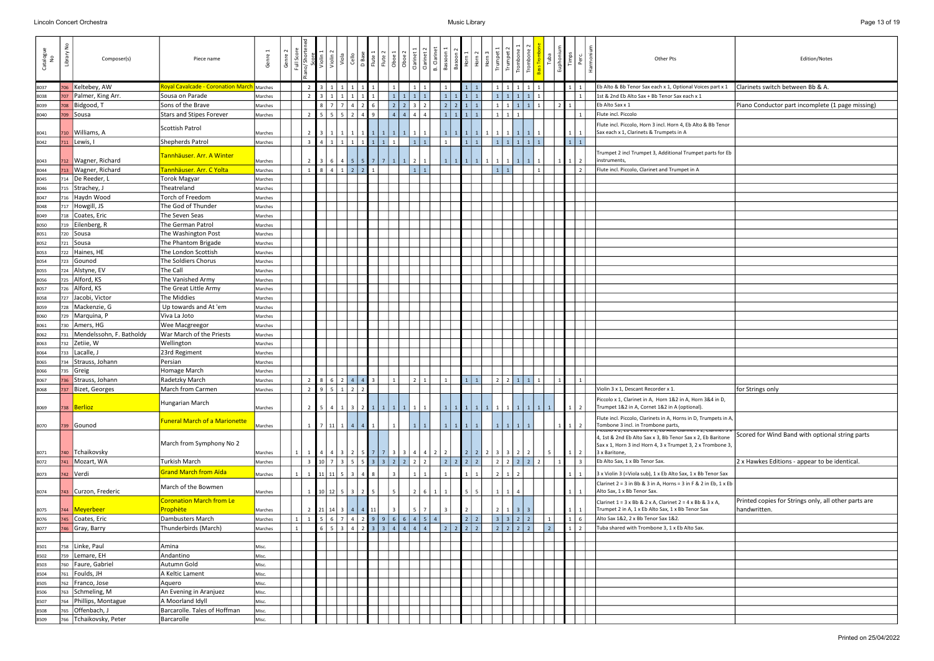| Catalogue<br>No | $\frac{1}{2}$<br>Library | Composer(s)               | Piece name                                          | Genre              | Genre<br>Full Sco | Violin         | $ \bar{\mathbf{S}}$        | Viola<br>Cello               | D Base                   |           | $\begin{array}{ l }\n\hline\n\text{Flute 1} \\ \hline\n\text{Flute 2} \\ \hline\n\text{Dboe 1} \\ \hline\n\text{Oboe 2} \\ \hline\n\end{array}$ | Clarinet                                                                   | Clarinet:               | <b>B.</b> Clarinet<br>Bassoon | $rac{6}{10}$ |                        | $\begin{array}{c} \n \text{2} \\  \text{3} \\  \text{4} \\  \text{5} \\  \text{5} \\  \text{6} \\  \text{7} \\  \text{8} \\  \text{9} \\  \text{10} \\  \text{11} \\  \text{12} \\  \text{13} \\  \text{14} \\  \text{15} \\  \text{16} \\  \text{17} \\  \text{18} \\  \text{19} \\  \text{10} \\  \text{11} \\  \text{12} \\  \text{13} \\  \text{14} \\  \text{15} \\  \text{16} \\  \text{17} \\  \text{18} \\  \text{19} \\  \text{19} \\  \text{10} \\  \text{$ | Trumpet      | Trumpet<br>Trombo                 | Tuba                 | Euphoniu | Timps<br>Perc            | Harmoni<br>Other Pts<br>Edition/Notes                                                                                                                                         |
|-----------------|--------------------------|---------------------------|-----------------------------------------------------|--------------------|-------------------|----------------|----------------------------|------------------------------|--------------------------|-----------|-------------------------------------------------------------------------------------------------------------------------------------------------|----------------------------------------------------------------------------|-------------------------|-------------------------------|--------------|------------------------|-----------------------------------------------------------------------------------------------------------------------------------------------------------------------------------------------------------------------------------------------------------------------------------------------------------------------------------------------------------------------------------------------------------------------------------------------------------------------|--------------|-----------------------------------|----------------------|----------|--------------------------|-------------------------------------------------------------------------------------------------------------------------------------------------------------------------------|
| 8037            | 706                      | Keltebey, AW              | <b>Royal Cavalcade - Coronation March  </b> Marches |                    |                   |                |                            |                              |                          |           |                                                                                                                                                 |                                                                            |                         |                               |              |                        |                                                                                                                                                                                                                                                                                                                                                                                                                                                                       |              |                                   |                      |          |                          | Clarinets switch between Bb & A.<br>Eb Alto & Bb Tenor Sax each x 1, Optional Voices part x 1                                                                                 |
| 8038            | 707                      | Palmer, King Arr.         | Sousa on Parade                                     | Marches            |                   |                |                            |                              |                          |           |                                                                                                                                                 |                                                                            |                         |                               |              |                        |                                                                                                                                                                                                                                                                                                                                                                                                                                                                       |              |                                   |                      |          |                          | 1st & 2nd Eb Alto Sax + Bb Tenor Sax each x 1                                                                                                                                 |
| 8039            | 708                      | Bidgood, T                | Sons of the Brave                                   | Marches            |                   |                |                            |                              |                          |           |                                                                                                                                                 |                                                                            |                         | $\overline{2}$                |              |                        |                                                                                                                                                                                                                                                                                                                                                                                                                                                                       |              |                                   |                      |          |                          | Eb Alto Sax x 1<br>Piano Conductor part incomplete (1 page missing)                                                                                                           |
| 8040            |                          | 709 Sousa                 | <b>Stars and Stipes Forever</b>                     | Marches            |                   |                |                            | 5 <sup>1</sup><br>$\sqrt{2}$ |                          |           |                                                                                                                                                 |                                                                            | $\overline{4}$          |                               |              |                        |                                                                                                                                                                                                                                                                                                                                                                                                                                                                       |              |                                   |                      |          |                          | Flute incl. Piccolo                                                                                                                                                           |
| 8041            | 710                      | Williams, A               | Scottish Patrol                                     | Marches            |                   | 2 <sup>1</sup> |                            |                              |                          |           |                                                                                                                                                 |                                                                            |                         | $\vert 1 \vert$               |              | $1$ 1 1                |                                                                                                                                                                                                                                                                                                                                                                                                                                                                       |              | 1 I                               |                      |          |                          | Flute incl. Piccolo, Horn 3 incl. Horn 4, Eb Alto & Bb Tenor<br>Sax each x 1, Clarinets & Trumpets in A                                                                       |
| 8042            | 711                      | Lewis, I                  | Shepherds Patrol                                    | Marches            |                   | $\overline{3}$ | 41111                      |                              | $1 \mid 1 \mid$          | 1         |                                                                                                                                                 |                                                                            | $1 \mid 1$              | $\mathbf{1}$                  |              | $1 \mid 1$             |                                                                                                                                                                                                                                                                                                                                                                                                                                                                       |              | 1   1   1   1   1                 |                      |          | $1 \mid 1$               |                                                                                                                                                                               |
| 8043            |                          | 712   Wagner, Richard     | Tannhäuser. Arr. A Winter                           | Marches            |                   | 2 <sub>1</sub> |                            | 6   4   5                    |                          |           |                                                                                                                                                 | 5 7 7 1 1 1 2                                                              | $\vert$ 1               | 1                             |              | $1$   $1$   $1$        |                                                                                                                                                                                                                                                                                                                                                                                                                                                                       |              | $1 \mid$                          |                      |          | $\overline{2}$           | Trumpet 2 incl Trumpet 3, Additional Trumpet parts for Eb<br>instruments,                                                                                                     |
| 8044            | 713                      | Wagner, Richard           | Tannhäuser. Arr. C Yolta                            | Marches            |                   | 8 <sup>1</sup> |                            | 412                          | $\overline{2}$           |           |                                                                                                                                                 |                                                                            | $\vert 1 \vert$         |                               |              |                        |                                                                                                                                                                                                                                                                                                                                                                                                                                                                       | <sup>1</sup> |                                   |                      |          |                          | Flute incl. Piccolo, Clarinet and Trumpet in A                                                                                                                                |
| 8045            | 714                      | De Reeder, L              | <b>Torok Magyar</b>                                 | Marches            |                   |                |                            |                              |                          |           |                                                                                                                                                 |                                                                            |                         |                               |              |                        |                                                                                                                                                                                                                                                                                                                                                                                                                                                                       |              |                                   |                      |          |                          |                                                                                                                                                                               |
| 8046            | 715                      | Strachey, J               | Theatreland                                         | Marches            |                   |                |                            |                              |                          |           |                                                                                                                                                 |                                                                            |                         |                               |              |                        |                                                                                                                                                                                                                                                                                                                                                                                                                                                                       |              |                                   |                      |          |                          |                                                                                                                                                                               |
| 8047            | 716                      | Haydn Wood                | Torch of Freedom                                    | Marches            |                   |                |                            |                              |                          |           |                                                                                                                                                 |                                                                            |                         |                               |              |                        |                                                                                                                                                                                                                                                                                                                                                                                                                                                                       |              |                                   |                      |          |                          |                                                                                                                                                                               |
| 8048            | 717                      | Howgill, JS               | The God of Thunder                                  | Marches            |                   |                |                            |                              |                          |           |                                                                                                                                                 |                                                                            |                         |                               |              |                        |                                                                                                                                                                                                                                                                                                                                                                                                                                                                       |              |                                   |                      |          |                          |                                                                                                                                                                               |
| 8049            | 718                      | Coates, Eric              | The Seven Seas                                      | Marches            |                   |                |                            |                              |                          |           |                                                                                                                                                 |                                                                            |                         |                               |              |                        |                                                                                                                                                                                                                                                                                                                                                                                                                                                                       |              |                                   |                      |          |                          |                                                                                                                                                                               |
| 8050            | 719                      | Eilenberg, R              | The German Patrol                                   | Marches            |                   |                |                            |                              |                          |           |                                                                                                                                                 |                                                                            |                         |                               |              |                        |                                                                                                                                                                                                                                                                                                                                                                                                                                                                       |              |                                   |                      |          |                          |                                                                                                                                                                               |
| 8051            | 720                      | Sousa                     | The Washington Post                                 | Marches            |                   |                |                            |                              |                          |           |                                                                                                                                                 |                                                                            |                         |                               |              |                        |                                                                                                                                                                                                                                                                                                                                                                                                                                                                       |              |                                   |                      |          |                          |                                                                                                                                                                               |
| 8052            |                          | $721$ Sousa               | The Phantom Brigade                                 | Marches            |                   |                |                            |                              |                          |           |                                                                                                                                                 |                                                                            |                         |                               |              |                        |                                                                                                                                                                                                                                                                                                                                                                                                                                                                       |              |                                   |                      |          |                          |                                                                                                                                                                               |
| 8053            | 722                      | Haines, HE                | The London Scottish                                 | Marches            |                   |                |                            |                              |                          |           |                                                                                                                                                 |                                                                            |                         |                               |              |                        |                                                                                                                                                                                                                                                                                                                                                                                                                                                                       |              |                                   |                      |          |                          |                                                                                                                                                                               |
| 8054            | 723                      | Gounod                    | The Soldiers Chorus                                 | Marches            |                   |                |                            |                              |                          |           |                                                                                                                                                 |                                                                            |                         |                               |              |                        |                                                                                                                                                                                                                                                                                                                                                                                                                                                                       |              |                                   |                      |          |                          |                                                                                                                                                                               |
| 8055            | 724                      | Alstyne, EV               | The Call                                            | Marches            |                   |                |                            |                              |                          |           |                                                                                                                                                 |                                                                            |                         |                               |              |                        |                                                                                                                                                                                                                                                                                                                                                                                                                                                                       |              |                                   |                      |          |                          |                                                                                                                                                                               |
| 8056            | 725                      | Alford, KS                | The Vanished Army                                   | Marches            |                   |                |                            |                              |                          |           |                                                                                                                                                 |                                                                            |                         |                               |              |                        |                                                                                                                                                                                                                                                                                                                                                                                                                                                                       |              |                                   |                      |          |                          |                                                                                                                                                                               |
| 8057            | 726                      | Alford, KS                | The Great Little Army                               | Marches            |                   |                |                            |                              |                          |           |                                                                                                                                                 |                                                                            |                         |                               |              |                        |                                                                                                                                                                                                                                                                                                                                                                                                                                                                       |              |                                   |                      |          |                          |                                                                                                                                                                               |
| 8058            | 727                      | Jacobi, Victor            | The Middies                                         | Marches            |                   |                |                            |                              |                          |           |                                                                                                                                                 |                                                                            |                         |                               |              |                        |                                                                                                                                                                                                                                                                                                                                                                                                                                                                       |              |                                   |                      |          |                          |                                                                                                                                                                               |
| 8059            | 728                      | Mackenzie, G              | Up towards and At 'em                               | Marches            |                   |                |                            |                              |                          |           |                                                                                                                                                 |                                                                            |                         |                               |              |                        |                                                                                                                                                                                                                                                                                                                                                                                                                                                                       |              |                                   |                      |          |                          |                                                                                                                                                                               |
| 8060            | 729                      | Marquina, P               | Viva La Joto                                        | Marches            |                   |                |                            |                              |                          |           |                                                                                                                                                 |                                                                            |                         |                               |              |                        |                                                                                                                                                                                                                                                                                                                                                                                                                                                                       |              |                                   |                      |          |                          |                                                                                                                                                                               |
| 8061            | 730                      | Amers, HG                 | <b>Wee Macgreegor</b>                               | Marches            |                   |                |                            |                              |                          |           |                                                                                                                                                 |                                                                            |                         |                               |              |                        |                                                                                                                                                                                                                                                                                                                                                                                                                                                                       |              |                                   |                      |          |                          |                                                                                                                                                                               |
| 8062            | 731                      | Mendelssohn, F. Batholdy  | War March of the Priests                            | Marches            |                   |                |                            |                              |                          |           |                                                                                                                                                 |                                                                            |                         |                               |              |                        |                                                                                                                                                                                                                                                                                                                                                                                                                                                                       |              |                                   |                      |          |                          |                                                                                                                                                                               |
|                 | 732                      | Zetiie, W                 | Wellington                                          |                    |                   |                |                            |                              |                          |           |                                                                                                                                                 |                                                                            |                         |                               |              |                        |                                                                                                                                                                                                                                                                                                                                                                                                                                                                       |              |                                   |                      |          |                          |                                                                                                                                                                               |
| 8063<br>8064    | 733                      | Lacalle, J                | 23rd Regiment                                       | Marches            |                   |                |                            |                              |                          |           |                                                                                                                                                 |                                                                            |                         |                               |              |                        |                                                                                                                                                                                                                                                                                                                                                                                                                                                                       |              |                                   |                      |          |                          |                                                                                                                                                                               |
| 8065            |                          | 734 Strauss, Johann       | Persian                                             | Marches<br>Marches |                   |                |                            |                              |                          |           |                                                                                                                                                 |                                                                            |                         |                               |              |                        |                                                                                                                                                                                                                                                                                                                                                                                                                                                                       |              |                                   |                      |          |                          |                                                                                                                                                                               |
| 8066            |                          | $735$ Greig               | Homage March                                        | Marches            |                   |                |                            |                              |                          |           |                                                                                                                                                 |                                                                            |                         |                               |              |                        |                                                                                                                                                                                                                                                                                                                                                                                                                                                                       |              |                                   |                      |          |                          |                                                                                                                                                                               |
|                 |                          | 736 Strauss, Johann       | Radetzky March                                      | Marches            |                   | 2 <sub>1</sub> | 8   6   2   4   4          |                              |                          | $\vert$ 3 | $\vert 1 \vert$                                                                                                                                 | $\overline{2}$                                                             | $\vert$ 1               | 1                             |              | $1 \mid 1 \mid$        |                                                                                                                                                                                                                                                                                                                                                                                                                                                                       | $22111$      |                                   |                      | 1        | $\mathbf{1}$             |                                                                                                                                                                               |
| 8067<br>8068    |                          | 737 Bizet, Georges        | March from Carmen                                   | Marches            |                   | $2^{\circ}$    | 9512                       |                              | $\overline{\phantom{a}}$ |           |                                                                                                                                                 |                                                                            |                         |                               |              |                        |                                                                                                                                                                                                                                                                                                                                                                                                                                                                       |              |                                   |                      |          |                          | for Strings only<br>Violin 3 x 1. Descant Recorder x 1.                                                                                                                       |
|                 |                          |                           |                                                     |                    |                   |                |                            |                              |                          |           |                                                                                                                                                 |                                                                            |                         |                               |              |                        |                                                                                                                                                                                                                                                                                                                                                                                                                                                                       |              |                                   |                      |          |                          |                                                                                                                                                                               |
| 8069            |                          | 738   Berlioz             | Hungarian March                                     | Marches            |                   |                |                            |                              |                          |           |                                                                                                                                                 |                                                                            |                         |                               |              |                        |                                                                                                                                                                                                                                                                                                                                                                                                                                                                       |              |                                   |                      |          |                          | Piccolo x 1, Clarinet in A, Horn 1&2 in A, Horn 3&4 in D,<br>Trumpet 1&2 in A, Cornet 1&2 in A (optional).                                                                    |
| 8070            |                          | 739 Gounod                | Funeral March of a Marionette                       | Marches            |                   | 1              | 7   11   1   4             |                              | $\overline{4}$           |           |                                                                                                                                                 |                                                                            |                         | $\mathbf{1}$                  |              |                        |                                                                                                                                                                                                                                                                                                                                                                                                                                                                       |              |                                   |                      |          | $\overline{2}$           | Flute incl. Piccolo, Clarinets in A, Horns in D, Trumpets in A,<br>Tombone 3 incl. in Trombone parts,<br><u>ittuit x z, et tiarinet x 1, et Altu tiarinet x z, tiarinet 5</u> |
|                 |                          |                           |                                                     |                    |                   |                |                            |                              |                          |           |                                                                                                                                                 |                                                                            |                         |                               |              |                        |                                                                                                                                                                                                                                                                                                                                                                                                                                                                       |              |                                   |                      |          |                          | Scored for Wind Band with optional string parts<br>4, 1st & 2nd Eb Alto Sax x 3, Bb Tenor Sax x 2, Eb Baritone                                                                |
|                 |                          |                           | March from Symphony No 2                            |                    |                   |                |                            |                              |                          |           |                                                                                                                                                 |                                                                            |                         |                               |              |                        |                                                                                                                                                                                                                                                                                                                                                                                                                                                                       |              |                                   |                      |          |                          | Sax x 1, Horn 3 incl Horn 4, 3 x Trumpet 3, 2 x Trombone 3,                                                                                                                   |
| 8071            | 740<br>741               | Tchaikovsky<br>Mozart, WA | <b>Turkish March</b>                                | Marches            |                   | $\overline{3}$ |                            |                              |                          |           |                                                                                                                                                 | $10 \mid 7 \mid 3 \mid 5 \mid 5 \mid 3 \mid 3 \mid 2 \mid 2 \mid 2 \mid 2$ | 4 3 2 5 7 7 3 3 4 4 2 2 | $\vert$ 2                     |              | $2 \mid 2 \mid 2 \mid$ | 2 2 2                                                                                                                                                                                                                                                                                                                                                                                                                                                                 | $2^{\circ}$  | $3 \mid 3 \mid 2 \mid 2$<br>2 2 2 | -5<br>2 <sup>1</sup> | 1        | 2<br>1<br>$\overline{3}$ | 3 x Baritone,<br>Eb Alto Sax, 1 x Bb Tenor Sax.<br>2 x Hawkes Editions - appear to be identical.                                                                              |
| 8072            |                          |                           |                                                     | Marches            |                   |                |                            |                              |                          |           |                                                                                                                                                 |                                                                            |                         |                               |              |                        |                                                                                                                                                                                                                                                                                                                                                                                                                                                                       |              |                                   |                      |          |                          |                                                                                                                                                                               |
| 8073            |                          | 742 Verdi                 | Grand March from Aïda                               | Marches            |                   |                | $11 \mid 11 \mid 5 \mid 3$ |                              |                          |           |                                                                                                                                                 |                                                                            |                         |                               |              |                        |                                                                                                                                                                                                                                                                                                                                                                                                                                                                       |              | $1\vert$                          |                      |          |                          | 3 x Violin 3 (=Viola sub), 1 x Eb Alto Sax, 1 x Bb Tenor Sax                                                                                                                  |
| 8074            |                          | 743 Curzon, Frederic      | March of the Bowmen                                 | Marches            |                   | $1 \quad$      | 10 12 5 3                  |                              |                          |           |                                                                                                                                                 |                                                                            | - 6                     |                               |              |                        |                                                                                                                                                                                                                                                                                                                                                                                                                                                                       |              |                                   |                      |          |                          | Clarinet $2 = 3$ in Bb & 3 in A, Horns = 3 in F & 2 in Eb, $1 \times$ Eb<br>Alto Sax, 1 x Bb Tenor Sax.                                                                       |
|                 |                          |                           | <b>Coronation March from Le</b>                     |                    |                   |                |                            |                              |                          |           |                                                                                                                                                 |                                                                            |                         |                               |              |                        |                                                                                                                                                                                                                                                                                                                                                                                                                                                                       |              |                                   |                      |          |                          | Printed copies for Strings only, all other parts are<br>Clarinet $1 = 3 \times$ Bb & 2 x A, Clarinet $2 = 4 \times$ Bb & 3 x A,                                               |
| 8075            |                          | 744   Meyerbeer           | Prophète                                            | Marches            |                   |                | 2 21 14 3 4 4 11           |                              |                          |           |                                                                                                                                                 |                                                                            |                         |                               |              |                        |                                                                                                                                                                                                                                                                                                                                                                                                                                                                       |              |                                   |                      |          |                          | Trumpet 2 in A, 1 x Eb Alto Sax, 1 x Bb Tenor Sax<br>handwritten.                                                                                                             |
| 8076            | 745                      | Coates, Eric              | Dambusters March                                    | Marches            |                   |                |                            |                              |                          |           |                                                                                                                                                 |                                                                            | $6$ 7 4 2 9 9 6 6 4 5 4 |                               |              |                        |                                                                                                                                                                                                                                                                                                                                                                                                                                                                       |              | 3322                              |                      |          | $1 \mid 6$               | Alto Sax 1&2, 2 x Bb Tenor Sax 1&2.                                                                                                                                           |
| 8077            | 746                      | Gray, Barry               | Thunderbirds (March)                                | Marches            |                   |                |                            | $5 \mid 3 \mid 4 \mid$       |                          |           |                                                                                                                                                 |                                                                            |                         | $\overline{2}$                |              | 2 2 2                  |                                                                                                                                                                                                                                                                                                                                                                                                                                                                       | 2 2 2 2      |                                   | $\overline{2}$       |          | $\overline{2}$           | Tuba shared with Trombone 3, 1 x Eb Alto Sax.                                                                                                                                 |
|                 |                          |                           |                                                     |                    |                   |                |                            |                              |                          |           |                                                                                                                                                 |                                                                            |                         |                               |              |                        |                                                                                                                                                                                                                                                                                                                                                                                                                                                                       |              |                                   |                      |          |                          |                                                                                                                                                                               |
| 8501            | 758                      | Linke, Paul               | Amina                                               | Misc.              |                   |                |                            |                              |                          |           |                                                                                                                                                 |                                                                            |                         |                               |              |                        |                                                                                                                                                                                                                                                                                                                                                                                                                                                                       |              |                                   |                      |          |                          |                                                                                                                                                                               |
| 8502            | 759                      | Lemare, EH                | Andantino                                           | Misc.              |                   |                |                            |                              |                          |           |                                                                                                                                                 |                                                                            |                         |                               |              |                        |                                                                                                                                                                                                                                                                                                                                                                                                                                                                       |              |                                   |                      |          |                          |                                                                                                                                                                               |
| 8503            | 760                      | Faure, Gabriel            | Autumn Gold                                         | Misc.              |                   |                |                            |                              |                          |           |                                                                                                                                                 |                                                                            |                         |                               |              |                        |                                                                                                                                                                                                                                                                                                                                                                                                                                                                       |              |                                   |                      |          |                          |                                                                                                                                                                               |
| 8504            | 761                      | Foulds, JH                | A Keltic Lament                                     | Misc.              |                   |                |                            |                              |                          |           |                                                                                                                                                 |                                                                            |                         |                               |              |                        |                                                                                                                                                                                                                                                                                                                                                                                                                                                                       |              |                                   |                      |          |                          |                                                                                                                                                                               |
| 8505            | 762                      | Franco, Jose              | Aquero                                              | Misc.              |                   |                |                            |                              |                          |           |                                                                                                                                                 |                                                                            |                         |                               |              |                        |                                                                                                                                                                                                                                                                                                                                                                                                                                                                       |              |                                   |                      |          |                          |                                                                                                                                                                               |
| 8506            |                          | 763 Schmeling, M          | An Evening in Aranjuez                              | Misc.              |                   |                |                            |                              |                          |           |                                                                                                                                                 |                                                                            |                         |                               |              |                        |                                                                                                                                                                                                                                                                                                                                                                                                                                                                       |              |                                   |                      |          |                          |                                                                                                                                                                               |
| 8507            |                          | 764 Phillips, Montague    | A Moorland Idyll                                    | Misc.              |                   |                |                            |                              |                          |           |                                                                                                                                                 |                                                                            |                         |                               |              |                        |                                                                                                                                                                                                                                                                                                                                                                                                                                                                       |              |                                   |                      |          |                          |                                                                                                                                                                               |
| 8508            | 765                      | Offenbach, J              | Barcarolle. Tales of Hoffman                        | Misc.              |                   |                |                            |                              |                          |           |                                                                                                                                                 |                                                                            |                         |                               |              |                        |                                                                                                                                                                                                                                                                                                                                                                                                                                                                       |              |                                   |                      |          |                          |                                                                                                                                                                               |
| 8509            |                          | 766 Tchaikovsky, Peter    | Barcarolle                                          | Misc.              |                   |                |                            |                              |                          |           |                                                                                                                                                 |                                                                            |                         |                               |              |                        |                                                                                                                                                                                                                                                                                                                                                                                                                                                                       |              |                                   |                      |          |                          |                                                                                                                                                                               |

| Other Pts                                                                                                                                                                    | Edition/Notes                                                        |
|------------------------------------------------------------------------------------------------------------------------------------------------------------------------------|----------------------------------------------------------------------|
| Eb Alto & Bb Tenor Sax each x 1, Optional Voices part x 1                                                                                                                    | Clarinets switch between Bb & A.                                     |
| 1st & 2nd Eb Alto Sax + Bb Tenor Sax each x 1                                                                                                                                |                                                                      |
| Eb Alto Sax x 1                                                                                                                                                              | Piano Conductor part incomplete (1 page missing)                     |
| Flute incl. Piccolo                                                                                                                                                          |                                                                      |
| Flute incl. Piccolo, Horn 3 incl. Horn 4, Eb Alto & Bb Tenor<br>Sax each x 1, Clarinets & Trumpets in A                                                                      |                                                                      |
| Trumpet 2 incl Trumpet 3, Additional Trumpet parts for Eb<br>instruments,                                                                                                    |                                                                      |
| Flute incl. Piccolo, Clarinet and Trumpet in A                                                                                                                               |                                                                      |
|                                                                                                                                                                              |                                                                      |
|                                                                                                                                                                              |                                                                      |
|                                                                                                                                                                              |                                                                      |
|                                                                                                                                                                              |                                                                      |
|                                                                                                                                                                              |                                                                      |
|                                                                                                                                                                              |                                                                      |
|                                                                                                                                                                              |                                                                      |
|                                                                                                                                                                              |                                                                      |
|                                                                                                                                                                              |                                                                      |
|                                                                                                                                                                              |                                                                      |
|                                                                                                                                                                              |                                                                      |
|                                                                                                                                                                              |                                                                      |
|                                                                                                                                                                              |                                                                      |
|                                                                                                                                                                              |                                                                      |
|                                                                                                                                                                              |                                                                      |
|                                                                                                                                                                              |                                                                      |
|                                                                                                                                                                              |                                                                      |
|                                                                                                                                                                              |                                                                      |
|                                                                                                                                                                              |                                                                      |
|                                                                                                                                                                              |                                                                      |
| Violin 3 x 1, Descant Recorder x 1.                                                                                                                                          | for Strings only                                                     |
| Piccolo x 1, Clarinet in A, Horn 1&2 in A, Horn 3&4 in D,<br>Trumpet 1&2 in A, Cornet 1&2 in A (optional).                                                                   |                                                                      |
| Flute incl. Piccolo, Clarinets in A, Horns in D, Trumpets in A,<br>Tombone 3 incl. in Trombone parts,<br><u>FICCOIO X 2, ED Clarimet X 1, ED AItO Clarimet X 2, Clarimet</u> |                                                                      |
| 4, 1st & 2nd Eb Alto Sax x 3, Bb Tenor Sax x 2, Eb Baritone<br>Sax x 1, Horn 3 incl Horn 4, 3 x Trumpet 3, 2 x Trombone 3,<br>3 x Baritone,                                  | Scored for Wind Band with optional string parts                      |
| Eb Alto Sax, 1 x Bb Tenor Sax.                                                                                                                                               | 2 x Hawkes Editions - appear to be identical.                        |
| 3 x Violin 3 (=Viola sub), 1 x Eb Alto Sax, 1 x Bb Tenor Sax                                                                                                                 |                                                                      |
| Clarinet $2 = 3$ in Bb & 3 in A, Horns = 3 in F & 2 in Eb, 1 x Eb<br>Alto Sax, 1 x Bb Tenor Sax.                                                                             |                                                                      |
| Clarinet $1 = 3 \times Bb$ & 2 x A, Clarinet $2 = 4 \times Bb$ & 3 x A,<br>Trumpet 2 in A, 1 x Eb Alto Sax, 1 x Bb Tenor Sax                                                 | Printed copies for Strings only, all other parts are<br>handwritten. |
| Alto Sax 1&2, 2 x Bb Tenor Sax 1&2.                                                                                                                                          |                                                                      |
| Tuba shared with Trombone 3, 1 x Eb Alto Sax.                                                                                                                                |                                                                      |
|                                                                                                                                                                              |                                                                      |
|                                                                                                                                                                              |                                                                      |
|                                                                                                                                                                              |                                                                      |
|                                                                                                                                                                              |                                                                      |
|                                                                                                                                                                              |                                                                      |
|                                                                                                                                                                              |                                                                      |
|                                                                                                                                                                              |                                                                      |
|                                                                                                                                                                              |                                                                      |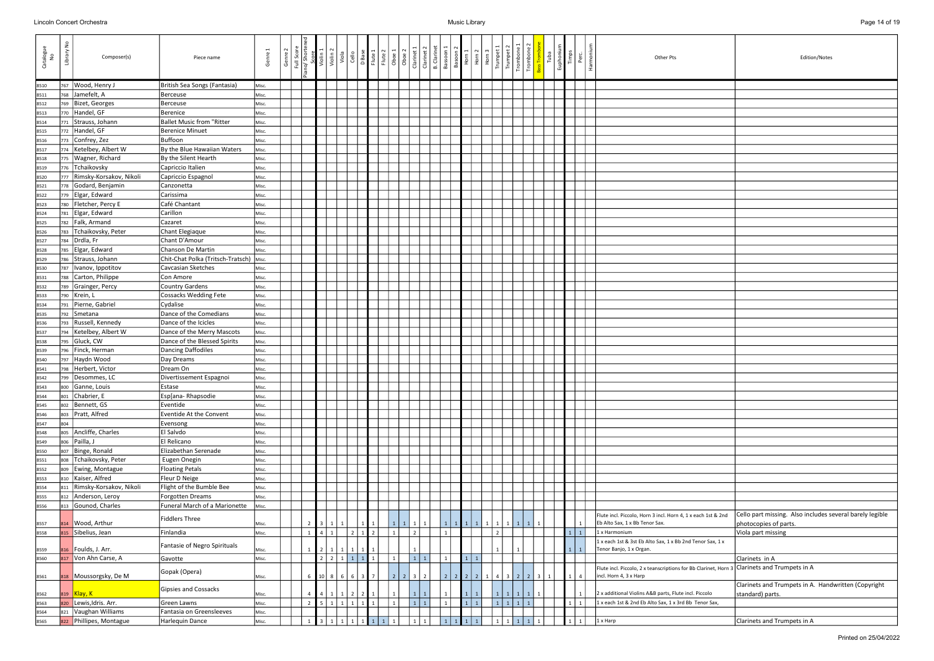| Catalogue<br>No | ٤<br>Library | Composer(s)                 | Piece name                                | Genre 1 | Genre | Full Score<br>ano/ Shorter | Score<br>Violin 1                | Violin <sub>2</sub>       | $\frac{1}{\sqrt{2}}$ |                | D Base<br>Flute 1 | Flute <sub>2</sub> | Oboe 1<br>Oboe <sub>2</sub>  | Clarinet 1<br>Clarinet | <b>B.</b> Clarinet | Bassoon                                           | $\begin{array}{c}\n\text{Basoon}^2 \\ \text{Horn 1} \\ \text{Horn 2} \\ \text{Horn 3}\n\end{array}$ | Trump |     | Trombon<br>$\overline{\phantom{a}}$ Trombor |                         | Tuba | Euphoniu<br>Timps | Harmoni<br>Perc. | Other Pts<br>Edition/Notes                                                                                                                                     |
|-----------------|--------------|-----------------------------|-------------------------------------------|---------|-------|----------------------------|----------------------------------|---------------------------|----------------------|----------------|-------------------|--------------------|------------------------------|------------------------|--------------------|---------------------------------------------------|-----------------------------------------------------------------------------------------------------|-------|-----|---------------------------------------------|-------------------------|------|-------------------|------------------|----------------------------------------------------------------------------------------------------------------------------------------------------------------|
| 8510            |              | 767   Wood, Henry J         | British Sea Songs (Fantasia)              | Misc.   |       |                            |                                  |                           |                      |                |                   |                    |                              |                        |                    |                                                   |                                                                                                     |       |     |                                             |                         |      |                   |                  |                                                                                                                                                                |
| 8511            |              | 768 Jamefelt, A             | Berceuse                                  | Misc.   |       |                            |                                  |                           |                      |                |                   |                    |                              |                        |                    |                                                   |                                                                                                     |       |     |                                             |                         |      |                   |                  |                                                                                                                                                                |
| 8512            | 769          | Bizet, Georges              | Berceuse                                  | Misc.   |       |                            |                                  |                           |                      |                |                   |                    |                              |                        |                    |                                                   |                                                                                                     |       |     |                                             |                         |      |                   |                  |                                                                                                                                                                |
| 8513            |              | 770 Handel, GF              | <b>Berenice</b>                           | Misc.   |       |                            |                                  |                           |                      |                |                   |                    |                              |                        |                    |                                                   |                                                                                                     |       |     |                                             |                         |      |                   |                  |                                                                                                                                                                |
| 8514            | 771          | Strauss, Johann             | <b>Ballet Music from "Ritter</b>          | Misc.   |       |                            |                                  |                           |                      |                |                   |                    |                              |                        |                    |                                                   |                                                                                                     |       |     |                                             |                         |      |                   |                  |                                                                                                                                                                |
| 8515            |              | 772 Handel, GF              | <b>Berenice Minuet</b>                    | Misc.   |       |                            |                                  |                           |                      |                |                   |                    |                              |                        |                    |                                                   |                                                                                                     |       |     |                                             |                         |      |                   |                  |                                                                                                                                                                |
| 8516            | 773          | Confrey, Zez                | Buffoon                                   | Misc.   |       |                            |                                  |                           |                      |                |                   |                    |                              |                        |                    |                                                   |                                                                                                     |       |     |                                             |                         |      |                   |                  |                                                                                                                                                                |
| 8517            |              | 774   Ketelbey, Albert W    | By the Blue Hawaiian Waters               | Misc.   |       |                            |                                  |                           |                      |                |                   |                    |                              |                        |                    |                                                   |                                                                                                     |       |     |                                             |                         |      |                   |                  |                                                                                                                                                                |
| 8518            |              | 775   Wagner, Richard       | By the Silent Hearth                      | Misc.   |       |                            |                                  |                           |                      |                |                   |                    |                              |                        |                    |                                                   |                                                                                                     |       |     |                                             |                         |      |                   |                  |                                                                                                                                                                |
| 8519            |              | 776 Tchaikovsky             | Capriccio Italien                         | Misc.   |       |                            |                                  |                           |                      |                |                   |                    |                              |                        |                    |                                                   |                                                                                                     |       |     |                                             |                         |      |                   |                  |                                                                                                                                                                |
| 8520            |              | 777 Rimsky-Korsakov, Nikoli | Capriccio Espagnol                        | Misc.   |       |                            |                                  |                           |                      |                |                   |                    |                              |                        |                    |                                                   |                                                                                                     |       |     |                                             |                         |      |                   |                  |                                                                                                                                                                |
| 8521            |              | 778 Godard, Benjamin        | Canzonetta                                | Misc.   |       |                            |                                  |                           |                      |                |                   |                    |                              |                        |                    |                                                   |                                                                                                     |       |     |                                             |                         |      |                   |                  |                                                                                                                                                                |
| 8522            |              | 779 Elgar, Edward           | Carissima                                 | Misc.   |       |                            |                                  |                           |                      |                |                   |                    |                              |                        |                    |                                                   |                                                                                                     |       |     |                                             |                         |      |                   |                  |                                                                                                                                                                |
| 8523            |              | 780   Fletcher, Percy E     | Café Chantant                             | Misc.   |       |                            |                                  |                           |                      |                |                   |                    |                              |                        |                    |                                                   |                                                                                                     |       |     |                                             |                         |      |                   |                  |                                                                                                                                                                |
| 8524            |              | 781 Elgar, Edward           | Carillon                                  | Misc.   |       |                            |                                  |                           |                      |                |                   |                    |                              |                        |                    |                                                   |                                                                                                     |       |     |                                             |                         |      |                   |                  |                                                                                                                                                                |
| 8525            |              | 782 Falk, Armand            | Cazaret                                   | Misc.   |       |                            |                                  |                           |                      |                |                   |                    |                              |                        |                    |                                                   |                                                                                                     |       |     |                                             |                         |      |                   |                  |                                                                                                                                                                |
| 8526            |              | 783 Tchaikovsky, Peter      | Chant Elegiaque                           | Misc.   |       |                            |                                  |                           |                      |                |                   |                    |                              |                        |                    |                                                   |                                                                                                     |       |     |                                             |                         |      |                   |                  |                                                                                                                                                                |
| 8527            | 784          | Drdla, Fr                   | Chant D'Amour                             | Misc.   |       |                            |                                  |                           |                      |                |                   |                    |                              |                        |                    |                                                   |                                                                                                     |       |     |                                             |                         |      |                   |                  |                                                                                                                                                                |
| 8528            | 785          | Elgar, Edward               | Chanson De Martin                         | Misc.   |       |                            |                                  |                           |                      |                |                   |                    |                              |                        |                    |                                                   |                                                                                                     |       |     |                                             |                         |      |                   |                  |                                                                                                                                                                |
| 8529            | 786          | Strauss, Johann             | Chit-Chat Polka (Tritsch-Tratsch)   Misc. |         |       |                            |                                  |                           |                      |                |                   |                    |                              |                        |                    |                                                   |                                                                                                     |       |     |                                             |                         |      |                   |                  |                                                                                                                                                                |
| 8530            | 787          | Ivanov, Ippotitov           | <b>Cavcasian Sketches</b>                 | Misc.   |       |                            |                                  |                           |                      |                |                   |                    |                              |                        |                    |                                                   |                                                                                                     |       |     |                                             |                         |      |                   |                  |                                                                                                                                                                |
| 8531            | 788          | Carton, Philippe            | Con Amore                                 | Misc.   |       |                            |                                  |                           |                      |                |                   |                    |                              |                        |                    |                                                   |                                                                                                     |       |     |                                             |                         |      |                   |                  |                                                                                                                                                                |
| 8532            | 789          | Grainger, Percy             | <b>Country Gardens</b>                    | Misc.   |       |                            |                                  |                           |                      |                |                   |                    |                              |                        |                    |                                                   |                                                                                                     |       |     |                                             |                         |      |                   |                  |                                                                                                                                                                |
| 8533            |              | 790   Krein, L              | <b>Cossacks Wedding Fete</b>              | Misc.   |       |                            |                                  |                           |                      |                |                   |                    |                              |                        |                    |                                                   |                                                                                                     |       |     |                                             |                         |      |                   |                  |                                                                                                                                                                |
| 8534            |              | 791 Pierne, Gabriel         | Cydalise                                  | Misc.   |       |                            |                                  |                           |                      |                |                   |                    |                              |                        |                    |                                                   |                                                                                                     |       |     |                                             |                         |      |                   |                  |                                                                                                                                                                |
| 8535            |              | 792 Smetana                 | Dance of the Comedians                    | Misc.   |       |                            |                                  |                           |                      |                |                   |                    |                              |                        |                    |                                                   |                                                                                                     |       |     |                                             |                         |      |                   |                  |                                                                                                                                                                |
| 8536            |              | 793 Russell, Kennedy        | Dance of the Icicles                      | Misc.   |       |                            |                                  |                           |                      |                |                   |                    |                              |                        |                    |                                                   |                                                                                                     |       |     |                                             |                         |      |                   |                  |                                                                                                                                                                |
| 8537            |              | 794   Ketelbey, Albert W    | Dance of the Merry Mascots                | Misc.   |       |                            |                                  |                           |                      |                |                   |                    |                              |                        |                    |                                                   |                                                                                                     |       |     |                                             |                         |      |                   |                  |                                                                                                                                                                |
| 8538            |              | 795 Gluck, CW               | Dance of the Blessed Spirits              | Misc.   |       |                            |                                  |                           |                      |                |                   |                    |                              |                        |                    |                                                   |                                                                                                     |       |     |                                             |                         |      |                   |                  |                                                                                                                                                                |
| 8539            |              | 796   Finck, Herman         | Dancing Daffodiles                        | Misc.   |       |                            |                                  |                           |                      |                |                   |                    |                              |                        |                    |                                                   |                                                                                                     |       |     |                                             |                         |      |                   |                  |                                                                                                                                                                |
| 8540            |              | 797 Haydn Wood              | Day Dreams                                | Misc.   |       |                            |                                  |                           |                      |                |                   |                    |                              |                        |                    |                                                   |                                                                                                     |       |     |                                             |                         |      |                   |                  |                                                                                                                                                                |
| 8541            | 798          | Herbert, Victor             | Dream On                                  | Misc.   |       |                            |                                  |                           |                      |                |                   |                    |                              |                        |                    |                                                   |                                                                                                     |       |     |                                             |                         |      |                   |                  |                                                                                                                                                                |
| 8542            | 799          | Desommes, LC                | Divertissement Espagnoi                   | Misc.   |       |                            |                                  |                           |                      |                |                   |                    |                              |                        |                    |                                                   |                                                                                                     |       |     |                                             |                         |      |                   |                  |                                                                                                                                                                |
| 8543            | 800          | Ganne. Louis                | Estase                                    | Misc.   |       |                            |                                  |                           |                      |                |                   |                    |                              |                        |                    |                                                   |                                                                                                     |       |     |                                             |                         |      |                   |                  |                                                                                                                                                                |
| 8544            |              | 801 Chabrier, E             | Esp[ana-Rhapsodie                         | Misc.   |       |                            |                                  |                           |                      |                |                   |                    |                              |                        |                    |                                                   |                                                                                                     |       |     |                                             |                         |      |                   |                  |                                                                                                                                                                |
| 8545            |              | 802 Bennett, GS             | Eventide                                  | Misc.   |       |                            |                                  |                           |                      |                |                   |                    |                              |                        |                    |                                                   |                                                                                                     |       |     |                                             |                         |      |                   |                  |                                                                                                                                                                |
| 8546            |              | 803   Pratt, Alfred         | Eventide At the Convent                   | Misc.   |       |                            |                                  |                           |                      |                |                   |                    |                              |                        |                    |                                                   |                                                                                                     |       |     |                                             |                         |      |                   |                  |                                                                                                                                                                |
| 8547            | 804          |                             | Evensong                                  | Misc.   |       |                            |                                  |                           |                      |                |                   |                    |                              |                        |                    |                                                   |                                                                                                     |       |     |                                             |                         |      |                   |                  |                                                                                                                                                                |
| 8548            |              | 805 Ancliffe, Charles       | El Salvdo                                 | Misc.   |       |                            |                                  |                           |                      |                |                   |                    |                              |                        |                    |                                                   |                                                                                                     |       |     |                                             |                         |      |                   |                  |                                                                                                                                                                |
| 8549            |              | 806   Pailla, J             | El Relicano                               | Misc.   |       |                            |                                  |                           |                      |                |                   |                    |                              |                        |                    |                                                   |                                                                                                     |       |     |                                             |                         |      |                   |                  |                                                                                                                                                                |
| 8550            |              | 807   Binge, Ronald         | Elizabethan Serenade                      | Misc.   |       |                            |                                  |                           |                      |                |                   |                    |                              |                        |                    |                                                   |                                                                                                     |       |     |                                             |                         |      |                   |                  |                                                                                                                                                                |
| 8551            |              | 808 Tchaikovsky, Peter      | Eugen Onegin                              | Misc.   |       |                            |                                  |                           |                      |                |                   |                    |                              |                        |                    |                                                   |                                                                                                     |       |     |                                             |                         |      |                   |                  |                                                                                                                                                                |
| 8552            |              | 809 Ewing, Montague         | <b>Floating Petals</b>                    | Misc.   |       |                            |                                  |                           |                      |                |                   |                    |                              |                        |                    |                                                   |                                                                                                     |       |     |                                             |                         |      |                   |                  |                                                                                                                                                                |
| 8553            |              | 810   Kaiser, Alfred        | Fleur D Neige                             | Misc.   |       |                            |                                  |                           |                      |                |                   |                    |                              |                        |                    |                                                   |                                                                                                     |       |     |                                             |                         |      |                   |                  |                                                                                                                                                                |
| 8554            |              | 811 Rimsky-Korsakov, Nikoli | Flight of the Bumble Bee                  | Misc.   |       |                            |                                  |                           |                      |                |                   |                    |                              |                        |                    |                                                   |                                                                                                     |       |     |                                             |                         |      |                   |                  |                                                                                                                                                                |
| 8555            |              | 812 Anderson, Leroy         | Forgotten Dreams                          | Misc.   |       |                            |                                  |                           |                      |                |                   |                    |                              |                        |                    |                                                   |                                                                                                     |       |     |                                             |                         |      |                   |                  |                                                                                                                                                                |
| 8556            |              | 813 Gounod, Charles         | Funeral March of a Marionette             | Misc.   |       |                            |                                  |                           |                      |                |                   |                    |                              |                        |                    |                                                   |                                                                                                     |       |     |                                             |                         |      |                   |                  |                                                                                                                                                                |
| 8557            |              | 814 Wood, Arthur            | <b>Fiddlers Three</b>                     | Misc.   |       |                            | $\overline{2}$<br>$\overline{3}$ | I 1                       |                      |                |                   |                    | $\mathbf{1}$<br>$\mathbf{1}$ | $1\vert$               |                    | 1 <sup>1</sup><br>1                               | 1                                                                                                   |       |     | $1 \mid 1$                                  |                         |      |                   |                  | Cello part missing. Also includes s<br>Flute incl. Piccolo, Horn 3 incl. Horn 4, 1 x each 1st & 2nd<br>Eb Alto Sax, 1 x Bb Tenor Sax.<br>photocopies of parts. |
| 8558            |              | 815 Sibelius, Jean          | Finlandia                                 | Misc.   |       |                            | $\vert$ 4<br>$\mathbf{1}$        | $\vert$ 1                 |                      | $\overline{2}$ | $\vert$ 2         |                    | $\mathbf{1}$                 | $\overline{2}$         |                    |                                                   |                                                                                                     |       |     |                                             |                         |      |                   | $1 \mid 1$       | 1 x Harmonium<br>Viola part missing                                                                                                                            |
| 8559            |              | 816 Foulds, J. Arr.         | Fantasie of Negro Spirituals              | Misc.   |       |                            |                                  | 2   1   1   1             |                      |                | 1   1             |                    |                              |                        |                    |                                                   |                                                                                                     |       |     |                                             |                         |      |                   | $1 \mid 1$       | 1 x each 1st & 3st Eb Alto Sax, 1 x Bb 2nd Tenor Sax, 1 x<br>Tenor Banjo, 1 x Organ.                                                                           |
| 8560            |              | 817 Von Ahn Carse, A        | Gavotte                                   | Misc.   |       |                            |                                  | $22111$                   |                      |                | $\boxed{1}$       |                    | $\mathbf{1}$                 | $1 \mid 1$             |                    | $\mathbf{1}$                                      | $1\vert 1$                                                                                          |       |     |                                             |                         |      |                   |                  | Clarinets in A                                                                                                                                                 |
| 8561            |              | 818 Moussorgsky, De M       | Gopak (Opera)                             | Misc.   |       |                            | 6                                | $10 \mid 8 \mid 6 \mid 6$ |                      |                | 3 I 7             |                    | $2232$                       |                        |                    | $2222214$                                         |                                                                                                     |       | - 3 | 22                                          | $\overline{\mathbf{3}}$ |      |                   | $\overline{4}$   | Flute incl. Piccolo, 2 x teanscriptions for Bb Clarinet, Horn 3 Clarinets and Trumpets in A<br>incl. Horn 4, 3 x Harp                                          |
|                 |              |                             | <b>Gipsies and Cossacks</b>               |         |       |                            |                                  |                           |                      |                |                   |                    |                              |                        |                    |                                                   |                                                                                                     |       |     |                                             |                         |      |                   |                  | Clarinets and Trumpets in A. Hand                                                                                                                              |
| 8562            |              | 819 Klay, K                 |                                           | Misc.   |       |                            |                                  | 4 1 1 2                   |                      |                |                   |                    |                              | $1 \mid$               |                    |                                                   | $1 \mid 1 \mid$                                                                                     |       |     | 11111111                                    |                         |      |                   | 1                | 2 x additional Violins A&B parts, Flute incl. Piccolo<br>standard) parts.                                                                                      |
| 8563            |              | 820 Lewis, Idris. Arr.      | Green Lawns                               | Misc.   |       |                            | $\overline{2}$                   | $5 \mid 1 \mid 1 \mid 1$  |                      |                | $1 \mid 1$        |                    | $\mathbf{1}$                 | $1 \mid 1$             |                    |                                                   | $1 \mid 1 \mid$                                                                                     |       |     | 11111                                       |                         |      |                   | $1 \mid 1$       | 1 x each 1st & 2nd Eb Alto Sax, 1 x 3rd Bb Tenor Sax,                                                                                                          |
| 8564            |              | 821 Vaughan Williams        | Fantasia on Greensleeves                  | Misc.   |       |                            |                                  |                           |                      |                |                   |                    |                              |                        |                    |                                                   |                                                                                                     |       |     |                                             |                         |      |                   |                  |                                                                                                                                                                |
| 8565            |              | 822 Phillipes, Montague     | Harlequin Dance                           | Misc.   |       |                            | $\overline{3}$                   | l 1                       |                      |                | $1 \mid 1 \mid 1$ |                    | $\mathbf{1}$                 | $1 \mid 1 \mid$        |                    | $\begin{bmatrix} 1 & 1 & 1 & 1 & 1 \end{bmatrix}$ |                                                                                                     |       |     |                                             |                         |      |                   | $\overline{1}$   | 1 x Harp<br>Clarinets and Trumpets in A                                                                                                                        |

|              | Edition/Notes                                            |
|--------------|----------------------------------------------------------|
|              |                                                          |
|              |                                                          |
|              |                                                          |
|              |                                                          |
|              |                                                          |
|              |                                                          |
|              |                                                          |
|              |                                                          |
|              |                                                          |
|              |                                                          |
|              |                                                          |
|              |                                                          |
|              |                                                          |
|              |                                                          |
|              |                                                          |
|              |                                                          |
|              |                                                          |
|              |                                                          |
|              |                                                          |
|              |                                                          |
|              |                                                          |
|              |                                                          |
|              |                                                          |
|              |                                                          |
|              |                                                          |
|              |                                                          |
|              |                                                          |
|              |                                                          |
|              |                                                          |
|              |                                                          |
|              |                                                          |
|              |                                                          |
|              |                                                          |
|              |                                                          |
|              |                                                          |
|              |                                                          |
|              |                                                          |
|              |                                                          |
|              |                                                          |
|              |                                                          |
|              |                                                          |
|              |                                                          |
| 1st & 2nd    | Cello part missing. Also includes several barely legible |
|              | photocopies of parts.<br>Viola part missing              |
| Sax, 1 x     |                                                          |
|              |                                                          |
|              | Clarinets in A                                           |
| inet, Horn 3 | Clarinets and Trumpets in A                              |
|              | Clarinets and Trumpets in A. Handwritten (Copyright      |
| olo          | standard) parts.                                         |
| r Sax,       |                                                          |
|              |                                                          |
|              | Clarinets and Trumpets in A                              |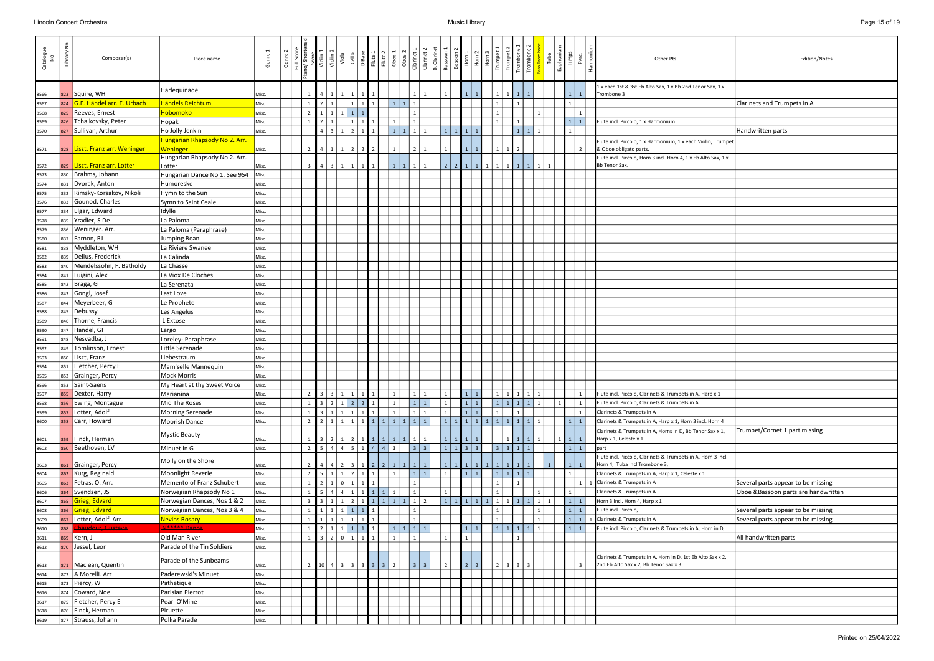| Catalogue<br>No | ٤<br>Library | Composer(s)                      | Piece name                                | Genre | Genre | Full Score |                | Violin <sub>2</sub>     | Viola<br>Cello                                                          |                   | D Base<br>Flute 1 | $\frac{2}{\text{Hute 2}}$ | Oboe                                            | Clarinet          | Clarinet 2     | B. Clarinet<br>Bassoon |                        | $\begin{array}{c c}\n\text{Bason 2} \\ \text{Horn 1} \\ \text{Horn 2}\n\end{array}$ | , 톱 '<br>  모 | Trumpet                                       | Trumpet                              | Trombone<br>Tromb            |                | Tuba<br>Euphoni |                 | $\frac{E}{2}$ | Other Pts                                                                                           | Edition/Notes                        |
|-----------------|--------------|----------------------------------|-------------------------------------------|-------|-------|------------|----------------|-------------------------|-------------------------------------------------------------------------|-------------------|-------------------|---------------------------|-------------------------------------------------|-------------------|----------------|------------------------|------------------------|-------------------------------------------------------------------------------------|--------------|-----------------------------------------------|--------------------------------------|------------------------------|----------------|-----------------|-----------------|---------------|-----------------------------------------------------------------------------------------------------|--------------------------------------|
| 8566            | 823          | Squire, WH                       | Harlequinade                              | Misc. |       |            |                |                         |                                                                         |                   |                   |                           |                                                 |                   |                |                        |                        |                                                                                     |              |                                               |                                      |                              |                |                 |                 | $\mathbf{1}$  | 1 x each 1st & 3st Eb Alto Sax, 1 x Bb 2nd Tenor Sax, 1 x<br>Trombone 3                             |                                      |
| 8567            | 824          | G.F. Händel arr. E. Urbach       | Händels Reichtum                          | Misc. |       |            |                |                         |                                                                         |                   | $\mathbf{I}$ 1    |                           | $\mathbf{1}$<br>1                               |                   |                |                        |                        |                                                                                     |              |                                               |                                      |                              |                |                 |                 |               |                                                                                                     | Clarinets and Trumpets in A          |
| 8568            | 825          | Reeves, Ernest                   | Hobomoko                                  | Misc. |       |            | 2 <sup>1</sup> | $1 \mid 1$              |                                                                         | $1 \mid 1 \mid 1$ |                   |                           |                                                 |                   |                |                        |                        |                                                                                     |              |                                               |                                      |                              |                |                 |                 | 1             |                                                                                                     |                                      |
| 8569            | 826          | Tchaikovsky, Peter               | Hopak                                     | Misc. |       |            |                |                         |                                                                         |                   |                   |                           |                                                 |                   |                |                        |                        |                                                                                     |              |                                               |                                      |                              |                |                 | $1 \mid 1 \mid$ |               | Flute incl. Piccolo, 1 x Harmonium                                                                  |                                      |
| 8570            | 827          | Sullivan, Arthur                 | Ho Jolly Jenkin                           | Misc. |       |            |                | $4 \mid 3 \mid$         | $1 \mid 2 \mid 1$                                                       |                   |                   |                           | $\overline{1}$                                  | 1                 |                |                        |                        | $1 \mid 1$                                                                          |              |                                               |                                      | $\mathbf{1}$<br>$\mathbf{1}$ | 1              |                 |                 |               |                                                                                                     | Handwritten parts                    |
| 8571            |              | 828   Liszt, Franz arr. Weninger | Hungarian Rhapsody No 2. Arr.<br>Weninger | Misc. |       |            | $2^{\circ}$    | $\mathbf{1}$            | $1 \mid 2 \mid 2 \mid 2$                                                |                   |                   |                           |                                                 |                   |                |                        |                        |                                                                                     |              |                                               |                                      |                              |                |                 |                 |               | Flute incl. Piccolo, 1 x Harmonium, 1 x each Violin, Trumpet<br>& Oboe obligato parts.              |                                      |
|                 |              |                                  | Hungarian Rhapsody No 2. Arr.             |       |       |            |                |                         |                                                                         |                   |                   |                           |                                                 |                   |                |                        |                        |                                                                                     |              |                                               |                                      |                              |                |                 |                 |               | Flute incl. Piccolo, Horn 3 incl. Horn 4, 1 x Eb Alto Sax, 1 x                                      |                                      |
| 8572            | 829          | Liszt, Franz arr. Lotter         | Lotter                                    | Misc. |       |            | $\overline{3}$ | $\overline{\mathbf{3}}$ | 1 1 1 1                                                                 |                   |                   |                           | $\overline{1}$<br>1                             | $\mathbf{1}$      |                | 2 <sup>1</sup>         |                        | $2 1 1 1 1$                                                                         |              |                                               | $\vert$ 1<br>1                       | <sup>1</sup>                 | 1              |                 |                 |               | Bb Tenor Sax.                                                                                       |                                      |
| 8573            | 830          | Brahms, Johann                   | Hungarian Dance No 1. See 954             | Misc. |       |            |                |                         |                                                                         |                   |                   |                           |                                                 |                   |                |                        |                        |                                                                                     |              |                                               |                                      |                              |                |                 |                 |               |                                                                                                     |                                      |
| 8574            | 831          | Dvorak, Anton                    | Humoreske                                 | Misc. |       |            |                |                         |                                                                         |                   |                   |                           |                                                 |                   |                |                        |                        |                                                                                     |              |                                               |                                      |                              |                |                 |                 |               |                                                                                                     |                                      |
| 8575            | 832          | Rimsky-Korsakov, Nikoli          | Hymn to the Sun                           | Misc. |       |            |                |                         |                                                                         |                   |                   |                           |                                                 |                   |                |                        |                        |                                                                                     |              |                                               |                                      |                              |                |                 |                 |               |                                                                                                     |                                      |
| 8576            |              | 833 Gounod, Charles              | Symn to Saint Ceale                       | Misc. |       |            |                |                         |                                                                         |                   |                   |                           |                                                 |                   |                |                        |                        |                                                                                     |              |                                               |                                      |                              |                |                 |                 |               |                                                                                                     |                                      |
| 8577            | 834          | Elgar, Edward                    | Idylle                                    | Misc. |       |            |                |                         |                                                                         |                   |                   |                           |                                                 |                   |                |                        |                        |                                                                                     |              |                                               |                                      |                              |                |                 |                 |               |                                                                                                     |                                      |
| 8578            | 835          | Yradier, S De                    | La Paloma                                 | Misc. |       |            |                |                         |                                                                         |                   |                   |                           |                                                 |                   |                |                        |                        |                                                                                     |              |                                               |                                      |                              |                |                 |                 |               |                                                                                                     |                                      |
| 8579            | 836          | Weninger. Arr.                   | La Paloma (Paraphrase)                    | Misc. |       |            |                |                         |                                                                         |                   |                   |                           |                                                 |                   |                |                        |                        |                                                                                     |              |                                               |                                      |                              |                |                 |                 |               |                                                                                                     |                                      |
| 8580            | 837          | Farnon, RJ                       | Jumping Bean                              | Misc. |       |            |                |                         |                                                                         |                   |                   |                           |                                                 |                   |                |                        |                        |                                                                                     |              |                                               |                                      |                              |                |                 |                 |               |                                                                                                     |                                      |
| 8581            | 838          | Myddleton, WH                    | La Riviere Swanee                         | Misc. |       |            |                |                         |                                                                         |                   |                   |                           |                                                 |                   |                |                        |                        |                                                                                     |              |                                               |                                      |                              |                |                 |                 |               |                                                                                                     |                                      |
| 8582            | 839          | Delius, Frederick                | La Calinda                                | Misc. |       |            |                |                         |                                                                         |                   |                   |                           |                                                 |                   |                |                        |                        |                                                                                     |              |                                               |                                      |                              |                |                 |                 |               |                                                                                                     |                                      |
| 8583            | 840          | Mendelssohn, F. Batholdy         | La Chasse                                 | Misc. |       |            |                |                         |                                                                         |                   |                   |                           |                                                 |                   |                |                        |                        |                                                                                     |              |                                               |                                      |                              |                |                 |                 |               |                                                                                                     |                                      |
| 8584            | 841          | Luigini, Alex                    | La Viox De Cloches                        | Misc. |       |            |                |                         |                                                                         |                   |                   |                           |                                                 |                   |                |                        |                        |                                                                                     |              |                                               |                                      |                              |                |                 |                 |               |                                                                                                     |                                      |
| 8585            | 842          | Braga, G                         | La Serenata                               | Misc. |       |            |                |                         |                                                                         |                   |                   |                           |                                                 |                   |                |                        |                        |                                                                                     |              |                                               |                                      |                              |                |                 |                 |               |                                                                                                     |                                      |
| 8586            | 843          | Gongl, Josef                     | Last Love                                 | Misc. |       |            |                |                         |                                                                         |                   |                   |                           |                                                 |                   |                |                        |                        |                                                                                     |              |                                               |                                      |                              |                |                 |                 |               |                                                                                                     |                                      |
| 8587            |              | Meyerbeer, G                     | Le Prophete                               | Misc. |       |            |                |                         |                                                                         |                   |                   |                           |                                                 |                   |                |                        |                        |                                                                                     |              |                                               |                                      |                              |                |                 |                 |               |                                                                                                     |                                      |
| 8588            | 845          | Debussy                          | Les Angelus                               | Misc. |       |            |                |                         |                                                                         |                   |                   |                           |                                                 |                   |                |                        |                        |                                                                                     |              |                                               |                                      |                              |                |                 |                 |               |                                                                                                     |                                      |
| 8589            |              | Thorne, Francis                  | L'Extose                                  | Misc. |       |            |                |                         |                                                                         |                   |                   |                           |                                                 |                   |                |                        |                        |                                                                                     |              |                                               |                                      |                              |                |                 |                 |               |                                                                                                     |                                      |
| 8590            | 847          | Handel, GF                       | Largo                                     | Misc. |       |            |                |                         |                                                                         |                   |                   |                           |                                                 |                   |                |                        |                        |                                                                                     |              |                                               |                                      |                              |                |                 |                 |               |                                                                                                     |                                      |
| 8591            | 848          | Nesvadba, J                      | Loreley- Paraphrase                       | Misc. |       |            |                |                         |                                                                         |                   |                   |                           |                                                 |                   |                |                        |                        |                                                                                     |              |                                               |                                      |                              |                |                 |                 |               |                                                                                                     |                                      |
| 8592            | 849          | Tomlinson, Ernest                | Little Serenade                           | Misc. |       |            |                |                         |                                                                         |                   |                   |                           |                                                 |                   |                |                        |                        |                                                                                     |              |                                               |                                      |                              |                |                 |                 |               |                                                                                                     |                                      |
| 8593            |              | 850   Liszt, Franz               | Liebestraum                               | Misc. |       |            |                |                         |                                                                         |                   |                   |                           |                                                 |                   |                |                        |                        |                                                                                     |              |                                               |                                      |                              |                |                 |                 |               |                                                                                                     |                                      |
| 8594            | 851          | Fletcher, Percy E                | Mam'selle Mannequin                       | Misc. |       |            |                |                         |                                                                         |                   |                   |                           |                                                 |                   |                |                        |                        |                                                                                     |              |                                               |                                      |                              |                |                 |                 |               |                                                                                                     |                                      |
| 8595            | 852          | Grainger, Percy                  | <b>Mock Morris</b>                        | Misc. |       |            |                |                         |                                                                         |                   |                   |                           |                                                 |                   |                |                        |                        |                                                                                     |              |                                               |                                      |                              |                |                 |                 |               |                                                                                                     |                                      |
| 8596            |              | 853 Saint-Saens                  | My Heart at thy Sweet Voice               | Misc. |       |            |                |                         |                                                                         |                   |                   |                           |                                                 |                   |                |                        |                        |                                                                                     |              |                                               |                                      |                              |                |                 |                 |               |                                                                                                     |                                      |
| 8597            | 855          | Dexter, Harry                    | Marianina                                 | Misc. |       |            |                |                         | $\boxed{2}$ $\boxed{3}$ $\boxed{3}$ $\boxed{1}$ $\boxed{1}$ $\boxed{1}$ |                   |                   |                           | $\vert$ 1                                       | $1 \mid 1$        |                |                        |                        | $1 \mid 1 \mid$<br>111                                                              |              |                                               |                                      | 111111                       |                |                 |                 | 1             | Flute incl. Piccolo, Clarinets & Trumpets in A, Harp x 1                                            |                                      |
| 8598            | 856          | Ewing, Montague                  | Mid The Roses                             | Misc. |       |            |                |                         | $1 \mid 3 \mid 2 \mid 1 \mid 2 \mid 2 \mid 1 \mid$                      |                   |                   |                           | $\vert$ 1                                       | 1 1               |                |                        |                        |                                                                                     |              |                                               |                                      | 11111                        | $\mathbf{1}$   | $1 \mid$        | $\vert 1 \vert$ |               | Flute incl. Piccolo, Clarinets & Trumpets in A                                                      |                                      |
| 8599            | 857          | Lotter, Adolf                    | Morning Serenade                          | Misc. |       |            |                |                         | $1 \mid 3 \mid 1 \mid 1 \mid 1 \mid 1 \mid 1$                           |                   |                   |                           | $\vert$ 1                                       | $1 \mid 1$        |                |                        |                        | 111                                                                                 |              | $\overline{1}$                                |                                      | $\overline{1}$               |                |                 |                 | 1             | Clarinets & Trumpets in A                                                                           |                                      |
| 8600            | 858          | Carr, Howard                     | Moorish Dance                             | Misc. |       |            | 2 <sup>1</sup> |                         |                                                                         |                   |                   |                           | $2   1   1   1   1   1   1   1   1   1   1   1$ |                   |                |                        |                        |                                                                                     |              | 1   1   1   1   1   1   1   1                 |                                      | $\vert 1 \vert$              | $\overline{1}$ |                 | $1 \mid 1 \mid$ |               | Clarinets & Trumpets in A, Harp x 1, Horn 3 incl. Horn 4                                            |                                      |
|                 |              | Finck, Herman                    | <b>Mystic Beauty</b>                      |       |       |            |                |                         |                                                                         |                   |                   |                           |                                                 |                   |                |                        |                        |                                                                                     |              |                                               |                                      |                              |                |                 |                 |               | Clarinets & Trumpets in A, Horns in D, Bb Tenor Sax x 1,<br>Harp x 1, Celeste x 1                   | Trumpet/Cornet 1 part missing        |
| 8601            |              |                                  | Minuet in G                               | Misc. |       |            |                |                         | $3$   2   1   2   1   1   1   1<br>5   4   4   5   1   4   4   3        |                   |                   |                           | 1                                               | 1<br>$3 \mid 3$   | 1              |                        | $1 \mid 1 \mid 1 \mid$ | $1 \mid 1 \mid 3 \mid 3$                                                            |              |                                               |                                      | $\vert 1 \vert$              |                |                 |                 | 1             |                                                                                                     |                                      |
| 8602            | 860          | Beethoven, LV                    |                                           | Misc. |       |            | 2 <sup>1</sup> |                         |                                                                         |                   |                   |                           |                                                 |                   |                |                        |                        |                                                                                     |              | $\overline{\mathbf{3}}$                       | 3 1                                  | $\overline{1}$               |                |                 | $1 \mid 1 \mid$ |               | part<br>Flute incl. Piccolo, Clarinets & Trumpets in A, Horn 3 incl.                                |                                      |
| 8603            | 861          | Grainger, Percy                  | Molly on the Shore                        | Misc. |       |            |                |                         | $4$   2   3   1   2   2   1                                             |                   |                   |                           |                                                 | $1 \mid 1 \mid 1$ |                |                        |                        |                                                                                     |              | $1 \mid 1 \mid 1 \mid 1 \mid 1 \mid 1 \mid 1$ | $\vert 1 \vert$                      |                              |                | $\mathbf{1}$    |                 | $\mathbf{1}$  | Horn 4, Tuba incl Trombone 3,                                                                       |                                      |
| 8604            | 862          | Kurg, Reginald                   | Moonlight Reverie                         | Misc. |       |            |                |                         | $2 \mid 5 \mid 1 \mid 1 \mid 2 \mid 1 \mid 1$                           |                   |                   |                           | $\vert$ 1                                       | 1 1               |                | 1 <sup>1</sup>         |                        |                                                                                     |              |                                               |                                      | 11111                        |                |                 |                 |               | Clarinets & Trumpets in A, Harp x 1, Celeste x 1                                                    |                                      |
| 8605            | 863          | Fetras, O. Arr.                  | Memento of Franz Schubert                 | Misc. |       |            | $1\quad$       |                         | 2   1   0   1   1   1                                                   |                   |                   |                           |                                                 | 1                 |                |                        |                        |                                                                                     |              |                                               |                                      |                              |                |                 |                 |               | 1 1 Clarinets & Trumpets in A                                                                       | Several parts appear to be missing   |
| 8606            | 864          | Svendsen, JS                     | Norwegian Rhapsody No 1                   | Misc. |       |            |                |                         | 5   4   4   1   1   1   1   1                                           |                   |                   |                           |                                                 | 1                 |                |                        |                        |                                                                                     |              |                                               |                                      |                              |                |                 |                 |               | Clarinets & Trumpets in A                                                                           | Oboe & Bassoon parts are handwritten |
| 8607            | 865          | Grieg, Edvard                    | Norwegian Dances, Nos 1 & 2               | Misc. |       |            | 3 <sup>1</sup> |                         |                                                                         |                   |                   |                           | 3   1   1   2   1   1   1   1   1   2           |                   |                |                        |                        | $1 \mid 1 \mid 1 \mid 1 \mid 1$                                                     |              |                                               | 1                                    | $\vert 1 \vert$<br>1         | $\mathbf{1}$   | $\overline{1}$  | $1 \mid 1 \mid$ |               | Horn 3 incl. Horn 4, Harp x 1                                                                       |                                      |
| 8608            | 866          | Grieg, Edvard                    | Norwegian Dances, Nos 3 & 4               | Misc. |       |            |                | $1 \mid 1 \mid$         | $1 \mid 1 \mid 1 \mid 1$                                                |                   |                   |                           |                                                 |                   |                |                        |                        |                                                                                     |              |                                               |                                      |                              |                |                 |                 | 1             | Flute incl. Piccolo,                                                                                | Several parts appear to be missing   |
| 8609            |              | Lotter, Adolf. Arr.              | <b>Nevins Rosary</b>                      | Misc. |       |            |                | $1 \mid 1 \mid$         | 11111                                                                   |                   |                   |                           |                                                 | $\mathbf{1}$      |                |                        |                        |                                                                                     |              |                                               |                                      |                              |                |                 |                 | $1\vert$      | Clarinets & Trumpets in A                                                                           | Several parts appear to be missing   |
| 8610            | 868          | <del>ur, Gustave</del>           | N ***** Dance                             | Misc. |       |            |                | $2 \mid 1 \mid$         | $1 \mid 1 \mid 1 \mid 1$                                                |                   |                   |                           | $\vert 1 \vert$                                 | $1 \mid 1 \mid 1$ |                |                        |                        | $1 \mid 1$                                                                          |              |                                               | $\vert$ 1<br>1                       | 1                            | $\overline{1}$ |                 |                 | $\mathbf{1}$  | Flute incl. Piccolo, Clarinets & Trumpets in A, Horn in D,                                          |                                      |
| 8611            |              | Kern, J                          | Old Man River                             | Misc. |       |            |                |                         | 3 2 0 1 1                                                               |                   |                   |                           |                                                 |                   |                |                        |                        |                                                                                     |              |                                               |                                      |                              |                |                 |                 |               |                                                                                                     | All handwritten parts                |
| 8612            | 870          | Jessel, Leon                     | Parade of the Tin Soldiers                | Misc. |       |            |                |                         |                                                                         |                   |                   |                           |                                                 |                   |                |                        |                        |                                                                                     |              |                                               |                                      |                              |                |                 |                 |               |                                                                                                     |                                      |
| 8613            |              | Maclean, Quentin                 | Parade of the Sunbeams                    | Misc. |       |            |                |                         | 2 10 4 3 3 3 3 3 3                                                      |                   |                   |                           | $\vert$ 2                                       | $\vert 3 \vert$   | $\overline{3}$ | 2                      |                        | $222$                                                                               |              | $\overline{2}$                                | $\vert$ 3<br>$\overline{\mathbf{3}}$ |                              |                |                 |                 |               | Clarinets & Trumpets in A, Horn in D, 1st Eb Alto Sax x 2,<br>2nd Eb Alto Sax x 2, Bb Tenor Sax x 3 |                                      |
| 8614            | 872          | A Morelli. Arr                   | Paderewski's Minuet                       | Misc. |       |            |                |                         |                                                                         |                   |                   |                           |                                                 |                   |                |                        |                        |                                                                                     |              |                                               |                                      |                              |                |                 |                 |               |                                                                                                     |                                      |
| 8615            |              | 873 Piercy, W                    | Pathetique                                | Misc. |       |            |                |                         |                                                                         |                   |                   |                           |                                                 |                   |                |                        |                        |                                                                                     |              |                                               |                                      |                              |                |                 |                 |               |                                                                                                     |                                      |
| 8616            |              | 874 Coward, Noel                 | Parisian Pierrot                          | Misc. |       |            |                |                         |                                                                         |                   |                   |                           |                                                 |                   |                |                        |                        |                                                                                     |              |                                               |                                      |                              |                |                 |                 |               |                                                                                                     |                                      |
| 8617            | 875          | Fletcher, Percy E                | Pearl O'Mine                              | Misc. |       |            |                |                         |                                                                         |                   |                   |                           |                                                 |                   |                |                        |                        |                                                                                     |              |                                               |                                      |                              |                |                 |                 |               |                                                                                                     |                                      |
| 8618            | 876          | Finck, Herman                    | Piruette                                  | Misc. |       |            |                |                         |                                                                         |                   |                   |                           |                                                 |                   |                |                        |                        |                                                                                     |              |                                               |                                      |                              |                |                 |                 |               |                                                                                                     |                                      |
| 8619            |              | 877 Strauss, Johann              | Polka Parade                              | Misc. |       |            |                |                         |                                                                         |                   |                   |                           |                                                 |                   |                |                        |                        |                                                                                     |              |                                               |                                      |                              |                |                 |                 |               |                                                                                                     |                                      |
|                 |              |                                  |                                           |       |       |            |                |                         |                                                                         |                   |                   |                           |                                                 |                   |                |                        |                        |                                                                                     |              |                                               |                                      |                              |                |                 |                 |               |                                                                                                     |                                      |

|                          | Edition/Notes                                                             |
|--------------------------|---------------------------------------------------------------------------|
| Sax, 1 x                 |                                                                           |
|                          | Clarinets and Trumpets in A                                               |
|                          |                                                                           |
|                          | Handwritten parts                                                         |
| in, Trumpet              |                                                                           |
| o Sax, 1 x               |                                                                           |
|                          |                                                                           |
|                          |                                                                           |
|                          |                                                                           |
|                          |                                                                           |
|                          |                                                                           |
|                          |                                                                           |
|                          |                                                                           |
|                          |                                                                           |
|                          |                                                                           |
|                          |                                                                           |
|                          |                                                                           |
|                          |                                                                           |
|                          |                                                                           |
|                          |                                                                           |
|                          |                                                                           |
|                          |                                                                           |
|                          |                                                                           |
| $_{\rm 30}$ x $_{\rm 1}$ |                                                                           |
|                          |                                                                           |
| Horn 4                   |                                                                           |
| Sax x 1,                 | Trumpet/Cornet 1 part missing                                             |
|                          |                                                                           |
| orn 3 incl.              |                                                                           |
|                          |                                                                           |
|                          | Several parts appear to be missing<br>Oboe &Bassoon parts are handwritten |
|                          |                                                                           |
|                          | Several parts appear to be missing<br>Several parts appear to be missing  |
| orn in D,                |                                                                           |
|                          | All handwritten parts                                                     |
| Sax x 2,                 |                                                                           |
|                          |                                                                           |
|                          |                                                                           |
|                          |                                                                           |
|                          |                                                                           |
|                          |                                                                           |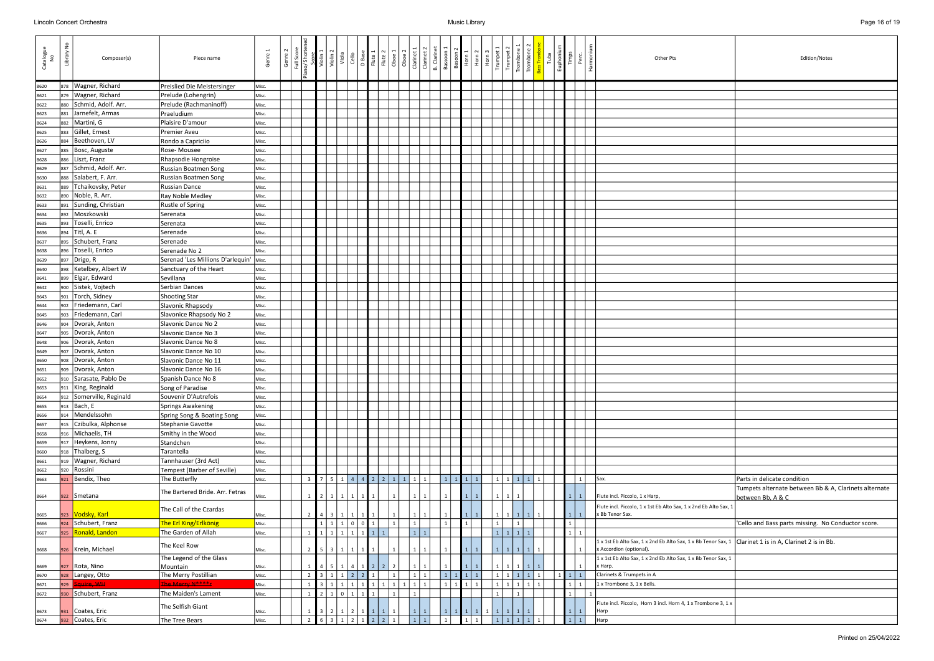| Catalogu<br>No | Library No | Composer(s)                      | Piece name                              | Genre | Genre | Full Scor<br>no/ Short  | Violin<br>Violin<br>Viola | Cello           |            | D Base<br>Flute 1<br>Flute 2<br>Oboe 1<br>Oboe 2 | Clarinet 1                        | Clarinet   | B. Clarinet<br>Bassoon 1<br>Bassoon 2<br>Horn 1 | $\begin{array}{ c c }\n\hline\n2 & 2 \\ \hline\n10 \text{ m 3}\n\end{array}$ | Trumpet      | Trumpet<br>Trombone<br>Trombone |                          | Tuba | Euphon | Timps           | 운         | Other Pts                                                                                                                                 | Edition/Notes                                                           |
|----------------|------------|----------------------------------|-----------------------------------------|-------|-------|-------------------------|---------------------------|-----------------|------------|--------------------------------------------------|-----------------------------------|------------|-------------------------------------------------|------------------------------------------------------------------------------|--------------|---------------------------------|--------------------------|------|--------|-----------------|-----------|-------------------------------------------------------------------------------------------------------------------------------------------|-------------------------------------------------------------------------|
| 8620           | 878        | Wagner, Richard                  | Preislied Die Meistersinger             | Misc. |       |                         |                           |                 |            |                                                  |                                   |            |                                                 |                                                                              |              |                                 |                          |      |        |                 |           |                                                                                                                                           |                                                                         |
| 8621           | 879        | Wagner, Richard                  | Prelude (Lohengrin)                     | Misc. |       |                         |                           |                 |            |                                                  |                                   |            |                                                 |                                                                              |              |                                 |                          |      |        |                 |           |                                                                                                                                           |                                                                         |
| 8622           | 880        | Schmid, Adolf. Arr.              | Prelude (Rachmaninoff)                  | Misc. |       |                         |                           |                 |            |                                                  |                                   |            |                                                 |                                                                              |              |                                 |                          |      |        |                 |           |                                                                                                                                           |                                                                         |
| 8623           | 881        | Jarnefelt, Armas                 | Praeludium                              | Misc. |       |                         |                           |                 |            |                                                  |                                   |            |                                                 |                                                                              |              |                                 |                          |      |        |                 |           |                                                                                                                                           |                                                                         |
| 8624           | 882        | Martini, G                       | Plaisire D'amour                        | Misc. |       |                         |                           |                 |            |                                                  |                                   |            |                                                 |                                                                              |              |                                 |                          |      |        |                 |           |                                                                                                                                           |                                                                         |
| 8625           | 883        | Gillet, Ernest                   | <b>Premier Aveu</b>                     | Misc. |       |                         |                           |                 |            |                                                  |                                   |            |                                                 |                                                                              |              |                                 |                          |      |        |                 |           |                                                                                                                                           |                                                                         |
| 8626           | 884        | Beethoven, LV                    | Rondo a Capriciio                       | Misc. |       |                         |                           |                 |            |                                                  |                                   |            |                                                 |                                                                              |              |                                 |                          |      |        |                 |           |                                                                                                                                           |                                                                         |
| 8627           | 885        | Bosc, Auguste                    | Rose-Mousee                             | Misc. |       |                         |                           |                 |            |                                                  |                                   |            |                                                 |                                                                              |              |                                 |                          |      |        |                 |           |                                                                                                                                           |                                                                         |
| 8628           | 886        | Liszt, Franz                     | Rhapsodie Hongroise                     | Misc. |       |                         |                           |                 |            |                                                  |                                   |            |                                                 |                                                                              |              |                                 |                          |      |        |                 |           |                                                                                                                                           |                                                                         |
| 8629           | 887        | Schmid, Adolf. Arr.              | <b>Russian Boatmen Song</b>             | Misc. |       |                         |                           |                 |            |                                                  |                                   |            |                                                 |                                                                              |              |                                 |                          |      |        |                 |           |                                                                                                                                           |                                                                         |
| 8630           | 888        | Salabert, F. Arr.                | Russian Boatmen Song                    | Misc. |       |                         |                           |                 |            |                                                  |                                   |            |                                                 |                                                                              |              |                                 |                          |      |        |                 |           |                                                                                                                                           |                                                                         |
| 8631           | 889        | Tchaikovsky, Peter               | Russian Dance                           | Misc. |       |                         |                           |                 |            |                                                  |                                   |            |                                                 |                                                                              |              |                                 |                          |      |        |                 |           |                                                                                                                                           |                                                                         |
| 8632           | 890        | Noble, R. Arr.                   | Ray Noble Medley                        | Misc. |       |                         |                           |                 |            |                                                  |                                   |            |                                                 |                                                                              |              |                                 |                          |      |        |                 |           |                                                                                                                                           |                                                                         |
| 8633           | 891        | Sunding, Christian               | Rustle of Spring                        | Misc. |       |                         |                           |                 |            |                                                  |                                   |            |                                                 |                                                                              |              |                                 |                          |      |        |                 |           |                                                                                                                                           |                                                                         |
| 8634           | 892        | Moszkowski                       | Serenata                                | Misc. |       |                         |                           |                 |            |                                                  |                                   |            |                                                 |                                                                              |              |                                 |                          |      |        |                 |           |                                                                                                                                           |                                                                         |
| 8635           | 893        | Toselli, Enrico                  | Serenata                                | Misc. |       |                         |                           |                 |            |                                                  |                                   |            |                                                 |                                                                              |              |                                 |                          |      |        |                 |           |                                                                                                                                           |                                                                         |
| 8636           | 894        | Titl, A. E                       | Serenade                                | Misc. |       |                         |                           |                 |            |                                                  |                                   |            |                                                 |                                                                              |              |                                 |                          |      |        |                 |           |                                                                                                                                           |                                                                         |
| 8637           | 895        | Schubert, Franz                  | Serenade                                | Misc. |       |                         |                           |                 |            |                                                  |                                   |            |                                                 |                                                                              |              |                                 |                          |      |        |                 |           |                                                                                                                                           |                                                                         |
| 8638           | 896        | Toselli, Enrico                  | Serenade No 2                           | Misc. |       |                         |                           |                 |            |                                                  |                                   |            |                                                 |                                                                              |              |                                 |                          |      |        |                 |           |                                                                                                                                           |                                                                         |
| 8639           | 897        | Drigo, R                         | Serenad 'Les Millions D'arlequin' Misc. |       |       |                         |                           |                 |            |                                                  |                                   |            |                                                 |                                                                              |              |                                 |                          |      |        |                 |           |                                                                                                                                           |                                                                         |
|                |            | Ketelbey, Albert W               | Sanctuary of the Heart                  |       |       |                         |                           |                 |            |                                                  |                                   |            |                                                 |                                                                              |              |                                 |                          |      |        |                 |           |                                                                                                                                           |                                                                         |
| 8640           | 898        |                                  |                                         | Misc. |       |                         |                           |                 |            |                                                  |                                   |            |                                                 |                                                                              |              |                                 |                          |      |        |                 |           |                                                                                                                                           |                                                                         |
| 8641           | 899        | Elgar, Edward                    | Sevillana<br>Serbian Dances             | Misc. |       |                         |                           |                 |            |                                                  |                                   |            |                                                 |                                                                              |              |                                 |                          |      |        |                 |           |                                                                                                                                           |                                                                         |
| 8642           | 900        | Sistek, Vojtech<br>Torch, Sidney |                                         | Misc. |       |                         |                           |                 |            |                                                  |                                   |            |                                                 |                                                                              |              |                                 |                          |      |        |                 |           |                                                                                                                                           |                                                                         |
| 8643           | 901        |                                  | <b>Shooting Star</b>                    | Misc. |       |                         |                           |                 |            |                                                  |                                   |            |                                                 |                                                                              |              |                                 |                          |      |        |                 |           |                                                                                                                                           |                                                                         |
| 8644           | 902        | Friedemann, Carl                 | Slavonic Rhapsody                       | Misc. |       |                         |                           |                 |            |                                                  |                                   |            |                                                 |                                                                              |              |                                 |                          |      |        |                 |           |                                                                                                                                           |                                                                         |
| 8645           | 903        | Friedemann, Carl                 | Slavonice Rhapsody No 2                 | Misc. |       |                         |                           |                 |            |                                                  |                                   |            |                                                 |                                                                              |              |                                 |                          |      |        |                 |           |                                                                                                                                           |                                                                         |
| 8646           | 904        | Dvorak, Anton                    | Slavonic Dance No 2                     | Misc. |       |                         |                           |                 |            |                                                  |                                   |            |                                                 |                                                                              |              |                                 |                          |      |        |                 |           |                                                                                                                                           |                                                                         |
| 8647           | 905        | Dvorak, Anton                    | Slavonic Dance No 3                     | Misc. |       |                         |                           |                 |            |                                                  |                                   |            |                                                 |                                                                              |              |                                 |                          |      |        |                 |           |                                                                                                                                           |                                                                         |
| 8648           | 906        | Dvorak, Anton                    | Slavonic Dance No 8                     | Misc. |       |                         |                           |                 |            |                                                  |                                   |            |                                                 |                                                                              |              |                                 |                          |      |        |                 |           |                                                                                                                                           |                                                                         |
| 8649           | 907        | Dvorak, Anton                    | Slavonic Dance No 10                    | Misc. |       |                         |                           |                 |            |                                                  |                                   |            |                                                 |                                                                              |              |                                 |                          |      |        |                 |           |                                                                                                                                           |                                                                         |
| 8650           | 908        | Dvorak, Anton                    | Slavonic Dance No 11                    | Misc. |       |                         |                           |                 |            |                                                  |                                   |            |                                                 |                                                                              |              |                                 |                          |      |        |                 |           |                                                                                                                                           |                                                                         |
| 8651           | 909        | Dvorak, Anton                    | Slavonic Dance No 16                    | Misc. |       |                         |                           |                 |            |                                                  |                                   |            |                                                 |                                                                              |              |                                 |                          |      |        |                 |           |                                                                                                                                           |                                                                         |
| 8652           | 910        | Sarasate, Pablo De               | Spanish Dance No 8                      | Misc. |       |                         |                           |                 |            |                                                  |                                   |            |                                                 |                                                                              |              |                                 |                          |      |        |                 |           |                                                                                                                                           |                                                                         |
| 8653           | 911        | King, Reginald                   | Song of Paradise                        | Misc. |       |                         |                           |                 |            |                                                  |                                   |            |                                                 |                                                                              |              |                                 |                          |      |        |                 |           |                                                                                                                                           |                                                                         |
| 8654           |            | 912 Somerville, Reginald         | Souvenir D'Autrefois                    | Misc. |       |                         |                           |                 |            |                                                  |                                   |            |                                                 |                                                                              |              |                                 |                          |      |        |                 |           |                                                                                                                                           |                                                                         |
| 8655           | 913        | Bach, E                          | <b>Springs Awakening</b>                | Misc. |       |                         |                           |                 |            |                                                  |                                   |            |                                                 |                                                                              |              |                                 |                          |      |        |                 |           |                                                                                                                                           |                                                                         |
| 8656           | 914        | Mendelssohn                      | Spring Song & Boating Song              | Misc. |       |                         |                           |                 |            |                                                  |                                   |            |                                                 |                                                                              |              |                                 |                          |      |        |                 |           |                                                                                                                                           |                                                                         |
| 8657           | 915        | Czibulka, Alphonse               | Stephanie Gavotte                       | Misc. |       |                         |                           |                 |            |                                                  |                                   |            |                                                 |                                                                              |              |                                 |                          |      |        |                 |           |                                                                                                                                           |                                                                         |
| 8658           | 916        | Michaelis, TH                    | Smithy in the Wood                      | Misc. |       |                         |                           |                 |            |                                                  |                                   |            |                                                 |                                                                              |              |                                 |                          |      |        |                 |           |                                                                                                                                           |                                                                         |
| 8659           | 917        | Heykens, Jonny                   | Standchen                               | Misc. |       |                         |                           |                 |            |                                                  |                                   |            |                                                 |                                                                              |              |                                 |                          |      |        |                 |           |                                                                                                                                           |                                                                         |
| 8660           | 918        | Thalberg, S                      | Tarantella                              | Misc. |       |                         |                           |                 |            |                                                  |                                   |            |                                                 |                                                                              |              |                                 |                          |      |        |                 |           |                                                                                                                                           |                                                                         |
| 8661           | 919        | Wagner, Richard                  | Tannhauser (3rd Act)                    | Misc. |       |                         |                           |                 |            |                                                  |                                   |            |                                                 |                                                                              |              |                                 |                          |      |        |                 |           |                                                                                                                                           |                                                                         |
| 8662           | 920        | Rossini                          | Tempest (Barber of Seville)             | Misc. |       |                         |                           |                 |            |                                                  |                                   |            |                                                 |                                                                              |              |                                 |                          |      |        |                 |           |                                                                                                                                           |                                                                         |
| 8663           | 921        | Bendix, Theo                     | The Butterfly                           | Misc. |       | $\overline{\mathbf{3}}$ | $7$ 5 1 4 4 2 2 1 1 1     |                 |            |                                                  |                                   | 1          | 11111                                           |                                                                              | $\mathbf{1}$ |                                 | $1 \mid 1 \mid 1 \mid 1$ |      |        |                 | $1 \vert$ | Sax.                                                                                                                                      | Parts in delicate condition                                             |
| 8664           |            | 922 Smetana                      | The Bartered Bride. Arr. Fetras         | Misc. |       |                         | $2111$                    | 1               |            |                                                  |                                   |            |                                                 | $\vert 1 \vert$                                                              |              |                                 |                          |      |        |                 |           | Flute incl. Piccolo, 1 x Harp,                                                                                                            | Tumpets alternate between Bb & A, Clarinets alteri<br>between Bb, A & C |
| 8665           |            | 923 Vodsky, Karl                 | The Call of the Czardas                 | Misc. |       |                         | 3   1                     |                 | 1 1 1      |                                                  |                                   |            |                                                 |                                                                              |              |                                 |                          |      |        |                 |           | Flute incl. Piccolo, 1 x 1st Eb Alto Sax, 1 x 2nd Eb Alto Sax, 1<br>x Bb Tenor Sax.                                                       |                                                                         |
| 8666           | 924        | Schubert, Franz                  | The Erl King/Erlkönig                   | Misc. |       |                         | 1111                      | $\overline{0}$  | $\circ$    |                                                  | 1                                 |            |                                                 |                                                                              |              |                                 |                          |      |        |                 |           |                                                                                                                                           | 'Cello and Bass parts missing. No Conductor score.                      |
| 8667           | 925        | Ronald, Landon                   | The Garden of Allah                     | Misc. |       |                         | 11111                     |                 |            | $1 \mid 1 \mid 1$                                |                                   | $1 \mid 1$ |                                                 |                                                                              | $\mathbf{1}$ | $1 \mid 1 \mid 1$               |                          |      |        |                 |           |                                                                                                                                           |                                                                         |
| 8668           |            | 926 Krein, Michael               | The Keel Row                            | Misc. |       |                         | 3   1                     |                 |            |                                                  |                                   |            |                                                 |                                                                              |              | 1                               |                          |      |        |                 |           | $1 \times 1$ st Eb Alto Sax, 1 x 2nd Eb Alto Sax, 1 x Bb Tenor Sax, 1 Clarinet 1 is in A, Clarinet 2 is in Bb.<br>x Accordion (optional). |                                                                         |
| 8669           | 927        | Rota, Nino                       | The Legend of the Glass<br>Mountain     | Misc. |       |                         |                           | $\overline{4}$  |            |                                                  |                                   |            |                                                 |                                                                              |              |                                 |                          |      |        |                 |           | 1 x 1st Eb Alto Sax, 1 x 2nd Eb Alto Sax, 1 x Bb Tenor Sax, 1<br>x Harp.                                                                  |                                                                         |
| 8670           | 928        | Langey, Otto                     | The Merry Postillian                    | Misc. |       |                         | $1 \mid 1$                | $\overline{2}$  | $2 \mid 1$ |                                                  | 1                                 |            | 11111                                           |                                                                              |              | $1 \mid 1 \mid 1$               |                          |      |        | $1 \mid 1 \mid$ |           | Clarinets & Trumpets in A                                                                                                                 |                                                                         |
| 8671           | 929        | quire, WH                        | The Merry N*****                        | Misc. |       |                         | 3111                      | $\vert 1 \vert$ |            | $1 \mid 1 \mid 1$                                | $\vert 1 \vert$<br>$\overline{1}$ |            | $1 \mid 1 \mid 1$                               |                                                                              |              |                                 |                          |      |        | 1   1           |           | 1 x Trombone 3, 1 x Bells.                                                                                                                |                                                                         |
| 8672           | 930        | Schubert, Franz                  | The Maiden's Lament                     | Misc. |       | $\overline{1}$          | 2 1 0 1                   |                 | $1 \mid 1$ |                                                  | $\overline{1}$                    |            |                                                 |                                                                              |              |                                 |                          |      |        |                 |           |                                                                                                                                           |                                                                         |
| 8673           | 931        | Coates, Eric                     | The Selfish Giant                       | Misc. |       |                         |                           |                 |            |                                                  |                                   |            | $1 \mid 1 \mid 1$                               | (1)                                                                          |              |                                 |                          |      |        |                 |           | Flute incl. Piccolo, Horn 3 incl. Horn 4, 1 x Trombone 3, 1 x<br>Harp                                                                     |                                                                         |
| 8674           | 932        | Coates, Eric                     | The Tree Bears                          | Misc. |       |                         |                           |                 |            |                                                  | $\overline{1}$                    |            |                                                 |                                                                              |              |                                 |                          |      |        |                 |           | Harp                                                                                                                                      |                                                                         |
|                |            |                                  |                                         |       |       |                         |                           |                 |            |                                                  |                                   |            |                                                 |                                                                              |              |                                 |                          |      |        |                 |           |                                                                                                                                           |                                                                         |

|             | Edition/Notes                                                                        |
|-------------|--------------------------------------------------------------------------------------|
|             |                                                                                      |
|             |                                                                                      |
|             |                                                                                      |
|             |                                                                                      |
|             |                                                                                      |
|             |                                                                                      |
|             |                                                                                      |
|             |                                                                                      |
|             |                                                                                      |
|             |                                                                                      |
|             |                                                                                      |
|             |                                                                                      |
|             |                                                                                      |
|             |                                                                                      |
|             |                                                                                      |
|             |                                                                                      |
|             |                                                                                      |
|             |                                                                                      |
|             |                                                                                      |
|             |                                                                                      |
|             |                                                                                      |
|             |                                                                                      |
|             |                                                                                      |
|             |                                                                                      |
|             |                                                                                      |
|             |                                                                                      |
|             |                                                                                      |
|             |                                                                                      |
|             |                                                                                      |
|             |                                                                                      |
|             |                                                                                      |
|             |                                                                                      |
|             |                                                                                      |
|             |                                                                                      |
|             |                                                                                      |
|             |                                                                                      |
|             |                                                                                      |
|             |                                                                                      |
|             |                                                                                      |
|             | Parts in delicate condition<br>Tumpets alternate between Bb & A, Clarinets alternate |
|             | between Bb, A & C                                                                    |
| Alto Sax, 1 |                                                                                      |
|             | 'Cello and Bass parts missing. No Conductor score.                                   |
|             |                                                                                      |
| enor Sax, 1 | Clarinet 1 is in A, Clarinet 2 is in Bb.                                             |
| enor Sax, 1 |                                                                                      |
|             |                                                                                      |
|             |                                                                                      |
|             |                                                                                      |
| bone 3, 1 x |                                                                                      |
|             |                                                                                      |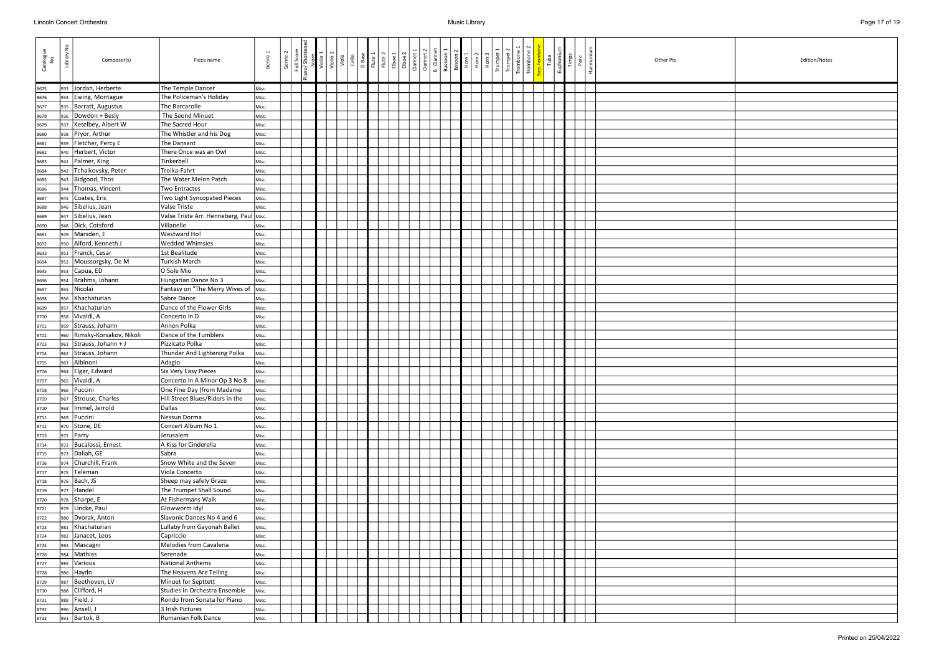| Catalogue<br>No | $\epsilon$<br>Library<br>Composer(s)   | Piece name                               | Genre 1        | Genre 2 | Full Score<br>no/Shorter | Violin <sub>2</sub> | Viola<br>Cello | D Base<br>Flute 1 | Flute 2<br>$\overline{Oboe 1}$ | Oboe 2 | Clarinet 1 | B. Clarinet<br>Clarinet 2 | Bassoon 1 | Basoon 2<br>Horn 1 | Horn <sub>2</sub> | Horn <sub>3</sub> | Trumpet | Trombo | Trombo | Tuba | Euphoniu<br>Timps | Perc | Harmoni | Other Pts | Edition/Notes |
|-----------------|----------------------------------------|------------------------------------------|----------------|---------|--------------------------|---------------------|----------------|-------------------|--------------------------------|--------|------------|---------------------------|-----------|--------------------|-------------------|-------------------|---------|--------|--------|------|-------------------|------|---------|-----------|---------------|
| 8675            | 933 Jordan, Herberte                   | The Temple Dancer                        | Misc.          |         |                          |                     |                |                   |                                |        |            |                           |           |                    |                   |                   |         |        |        |      |                   |      |         |           |               |
| 8676            | 934 Ewing, Montague                    | The Policeman's Holiday                  | Misc.          |         |                          |                     |                |                   |                                |        |            |                           |           |                    |                   |                   |         |        |        |      |                   |      |         |           |               |
| 8677            | Barratt, Augustus<br>935               | The Barcarolle                           | Misc.          |         |                          |                     |                |                   |                                |        |            |                           |           |                    |                   |                   |         |        |        |      |                   |      |         |           |               |
| 8678            | Dowdon + Besly<br>936                  | The Seond Minuet                         | Misc.          |         |                          |                     |                |                   |                                |        |            |                           |           |                    |                   |                   |         |        |        |      |                   |      |         |           |               |
| 8679            | Ketelbey, Albert W<br>937              | The Sacred Hour                          | Misc.          |         |                          |                     |                |                   |                                |        |            |                           |           |                    |                   |                   |         |        |        |      |                   |      |         |           |               |
| 8680            | Pryor, Arthur<br>938                   | The Whistler and his Dog                 | Misc.          |         |                          |                     |                |                   |                                |        |            |                           |           |                    |                   |                   |         |        |        |      |                   |      |         |           |               |
| 8681            | Fletcher, Percy E<br>939               | The Dansant                              | Misc.          |         |                          |                     |                |                   |                                |        |            |                           |           |                    |                   |                   |         |        |        |      |                   |      |         |           |               |
| 8682            | Herbert, Victor<br>940                 | There Once was an Owl                    | Misc.          |         |                          |                     |                |                   |                                |        |            |                           |           |                    |                   |                   |         |        |        |      |                   |      |         |           |               |
| 8683            | Palmer, King<br>941                    | Tinkerbell                               | Misc.          |         |                          |                     |                |                   |                                |        |            |                           |           |                    |                   |                   |         |        |        |      |                   |      |         |           |               |
| 8684            | Tchaikovsky, Peter<br>942              | Troika-Fahrt                             | Misc.          |         |                          |                     |                |                   |                                |        |            |                           |           |                    |                   |                   |         |        |        |      |                   |      |         |           |               |
| 8685            | Bidgood, Thos<br>943                   | The Water Melon Patch                    | Misc.          |         |                          |                     |                |                   |                                |        |            |                           |           |                    |                   |                   |         |        |        |      |                   |      |         |           |               |
| 8686            | Thomas, Vincent<br>944                 | <b>Two Entractes</b>                     | Misc.          |         |                          |                     |                |                   |                                |        |            |                           |           |                    |                   |                   |         |        |        |      |                   |      |         |           |               |
| 8687            | Coates, Eric<br>945                    | Two Light Syncopated Pieces              | Misc.          |         |                          |                     |                |                   |                                |        |            |                           |           |                    |                   |                   |         |        |        |      |                   |      |         |           |               |
| 8688            | Sibelius, Jean<br>946                  | Valse Triste                             | Misc.          |         |                          |                     |                |                   |                                |        |            |                           |           |                    |                   |                   |         |        |        |      |                   |      |         |           |               |
| 8689            | Sibelius, Jean<br>947                  | Valse Triste Arr. Henneberg, Paul Misc.  |                |         |                          |                     |                |                   |                                |        |            |                           |           |                    |                   |                   |         |        |        |      |                   |      |         |           |               |
| 8690            | Dick, Cotsford<br>948                  | Villanelle                               | Misc.          |         |                          |                     |                |                   |                                |        |            |                           |           |                    |                   |                   |         |        |        |      |                   |      |         |           |               |
| 8691            | Marsden, E<br>949<br>Alford, Kenneth J | Westward Ho!                             | Misc.          |         |                          |                     |                |                   |                                |        |            |                           |           |                    |                   |                   |         |        |        |      |                   |      |         |           |               |
| 8692            | 950<br>Franck, Cesar                   | <b>Wedded Whimsies</b><br>1st Bealitude  | Misc.<br>Misc. |         |                          |                     |                |                   |                                |        |            |                           |           |                    |                   |                   |         |        |        |      |                   |      |         |           |               |
| 8693<br>8694    | 951<br>Moussorgsky, De M<br>952        | <b>Turkish March</b>                     | Misc.          |         |                          |                     |                |                   |                                |        |            |                           |           |                    |                   |                   |         |        |        |      |                   |      |         |           |               |
| 8695            | Capua, ED<br>953                       | O Sole Mio                               | Misc.          |         |                          |                     |                |                   |                                |        |            |                           |           |                    |                   |                   |         |        |        |      |                   |      |         |           |               |
| 8696            | Brahms, Johann<br>954                  | Hungarian Dance No 3                     | Misc.          |         |                          |                     |                |                   |                                |        |            |                           |           |                    |                   |                   |         |        |        |      |                   |      |         |           |               |
| 8697            | Nicolai<br>955                         | Fantasy on "The Merry Wives of Misc.     |                |         |                          |                     |                |                   |                                |        |            |                           |           |                    |                   |                   |         |        |        |      |                   |      |         |           |               |
| 8698            | Khachaturian<br>956                    | Sabre Dance                              | Misc.          |         |                          |                     |                |                   |                                |        |            |                           |           |                    |                   |                   |         |        |        |      |                   |      |         |           |               |
| 8699            | Khachaturian<br>957                    | Dance of the Flower Girls                | Misc.          |         |                          |                     |                |                   |                                |        |            |                           |           |                    |                   |                   |         |        |        |      |                   |      |         |           |               |
| 8700            | Vivaldi, A<br>958                      | Concerto in D                            | Misc.          |         |                          |                     |                |                   |                                |        |            |                           |           |                    |                   |                   |         |        |        |      |                   |      |         |           |               |
| 8701            | 959 Strauss, Johann                    | Annen Polka                              | Misc.          |         |                          |                     |                |                   |                                |        |            |                           |           |                    |                   |                   |         |        |        |      |                   |      |         |           |               |
| 8702            | Rimsky-Korsakov, Nikoli<br>960         | Dance of the Tumblers                    | Misc.          |         |                          |                     |                |                   |                                |        |            |                           |           |                    |                   |                   |         |        |        |      |                   |      |         |           |               |
| 8703            | Strauss, Johann + J<br>961             | Pizzicato Polka                          | Misc.          |         |                          |                     |                |                   |                                |        |            |                           |           |                    |                   |                   |         |        |        |      |                   |      |         |           |               |
| 8704            | Strauss, Johann<br>962                 | Thunder And Lightening Polka             | Misc.          |         |                          |                     |                |                   |                                |        |            |                           |           |                    |                   |                   |         |        |        |      |                   |      |         |           |               |
| 8705            | Albinoni<br>963                        | Adagio                                   | Misc.          |         |                          |                     |                |                   |                                |        |            |                           |           |                    |                   |                   |         |        |        |      |                   |      |         |           |               |
| 8706            | Elgar, Edward<br>964                   | Six Very Easy Pieces                     | Misc.          |         |                          |                     |                |                   |                                |        |            |                           |           |                    |                   |                   |         |        |        |      |                   |      |         |           |               |
| 8707            | Vivaldi, A<br>965                      | Concerto In A Minor Op 3 No 8            | Misc.          |         |                          |                     |                |                   |                                |        |            |                           |           |                    |                   |                   |         |        |        |      |                   |      |         |           |               |
| 8708            | l <sub>966</sub>   Puccini             | One Fine Day (from Madame                | Misc.          |         |                          |                     |                |                   |                                |        |            |                           |           |                    |                   |                   |         |        |        |      |                   |      |         |           |               |
| 8709            | 967 Strouse, Charles                   | Hill Street Blues/Riders in the          | Misc.          |         |                          |                     |                |                   |                                |        |            |                           |           |                    |                   |                   |         |        |        |      |                   |      |         |           |               |
| 8710            | 968   Immel, Jerrold                   | Dallas                                   | Misc.          |         |                          |                     |                |                   |                                |        |            |                           |           |                    |                   |                   |         |        |        |      |                   |      |         |           |               |
| 8711            | 969 Puccini                            | Nessun Dorma                             | Misc.          |         |                          |                     |                |                   |                                |        |            |                           |           |                    |                   |                   |         |        |        |      |                   |      |         |           |               |
| 8712            | 970 Stone, DE                          | Concert Album No 1                       | Misc.          |         |                          |                     |                |                   |                                |        |            |                           |           |                    |                   |                   |         |        |        |      |                   |      |         |           |               |
| 8713            | $971$ Parry                            | Jerusalem                                | Misc.          |         |                          |                     |                |                   |                                |        |            |                           |           |                    |                   |                   |         |        |        |      |                   |      |         |           |               |
| 8714            | 972 Bucalossi, Ernest                  | A Kiss for Cinderella                    | Misc.          |         |                          |                     |                |                   |                                |        |            |                           |           |                    |                   |                   |         |        |        |      |                   |      |         |           |               |
| 8715            | 973 Daliah, GE<br>974 Churchill, Frank | Sabra                                    | Misc.          |         |                          |                     |                |                   |                                |        |            |                           |           |                    |                   |                   |         |        |        |      |                   |      |         |           |               |
| 8716            |                                        | Snow White and the Seven                 | Misc.          |         |                          |                     |                |                   |                                |        |            |                           |           |                    |                   |                   |         |        |        |      |                   |      |         |           |               |
| 8717            | 975   Teleman<br>976   Bach, JS        | Viola Concerto<br>Sheep may safely Graze | Misc.          |         |                          |                     |                |                   |                                |        |            |                           |           |                    |                   |                   |         |        |        |      |                   |      |         |           |               |
| 8718<br>8719    | $977$ Handel                           | The Trumpet Shall Sound                  | Misc.<br>Misc. |         |                          |                     |                |                   |                                |        |            |                           |           |                    |                   |                   |         |        |        |      |                   |      |         |           |               |
| 8720            | 978 Sharpe, E                          | At Fishermans Walk                       | Misc.          |         |                          |                     |                |                   |                                |        |            |                           |           |                    |                   |                   |         |        |        |      |                   |      |         |           |               |
| 8721            | 979 Lincke, Paul                       | Glowworm Idyl                            | Misc.          |         |                          |                     |                |                   |                                |        |            |                           |           |                    |                   |                   |         |        |        |      |                   |      |         |           |               |
| 8722            | 980   Dvorak, Anton                    | Slavonic Dances No 4 and 6               | Misc.          |         |                          |                     |                |                   |                                |        |            |                           |           |                    |                   |                   |         |        |        |      |                   |      |         |           |               |
| 8723            | Khachaturian<br>981                    | Lullaby from Gayonah Ballet              | Misc.          |         |                          |                     |                |                   |                                |        |            |                           |           |                    |                   |                   |         |        |        |      |                   |      |         |           |               |
| 8724            | 982 Janacet, Leos                      | Capriccio                                | Misc.          |         |                          |                     |                |                   |                                |        |            |                           |           |                    |                   |                   |         |        |        |      |                   |      |         |           |               |
| 8725            | 983   Mascagni                         | Melodies from Cavaleria                  | Misc.          |         |                          |                     |                |                   |                                |        |            |                           |           |                    |                   |                   |         |        |        |      |                   |      |         |           |               |
| 8726            | Mathias<br>984                         | Serenade                                 | Misc.          |         |                          |                     |                |                   |                                |        |            |                           |           |                    |                   |                   |         |        |        |      |                   |      |         |           |               |
| 8727            | Various<br>985                         | National Anthems                         | Misc.          |         |                          |                     |                |                   |                                |        |            |                           |           |                    |                   |                   |         |        |        |      |                   |      |         |           |               |
| 8728            | Haydn<br>986                           | The Heavens Are Telling                  | Misc.          |         |                          |                     |                |                   |                                |        |            |                           |           |                    |                   |                   |         |        |        |      |                   |      |         |           |               |
| 8729            | Beethoven, LV<br>987                   | Minuet for Septtett                      | Misc.          |         |                          |                     |                |                   |                                |        |            |                           |           |                    |                   |                   |         |        |        |      |                   |      |         |           |               |
| 8730            | Clifford, H<br>988                     | Studies in Orchestra Ensemble            | Misc.          |         |                          |                     |                |                   |                                |        |            |                           |           |                    |                   |                   |         |        |        |      |                   |      |         |           |               |
| 8731            | Field, J<br>989                        | Rondo from Sonata for Piano              | Misc.          |         |                          |                     |                |                   |                                |        |            |                           |           |                    |                   |                   |         |        |        |      |                   |      |         |           |               |
| 8732            | 990 Ansell, J                          | 3 Irish Pictures                         | Misc.          |         |                          |                     |                |                   |                                |        |            |                           |           |                    |                   |                   |         |        |        |      |                   |      |         |           |               |
| 8733            | 991   Bartok, B                        | Rumanian Folk Dance                      | Misc.          |         |                          |                     |                |                   |                                |        |            |                           |           |                    |                   |                   |         |        |        |      |                   |      |         |           |               |

| Edition/Notes |
|---------------|
|               |
|               |
|               |
|               |
|               |
|               |
|               |
|               |
|               |
|               |
|               |
|               |
|               |
|               |
|               |
|               |
|               |
|               |
|               |
|               |
|               |
|               |
|               |
|               |
|               |
|               |
|               |
|               |
|               |
|               |
|               |
|               |
|               |
|               |
|               |
|               |
|               |
|               |
|               |
|               |
|               |
|               |
|               |
|               |
|               |
|               |
|               |
|               |
|               |
|               |
|               |
|               |
|               |
|               |
|               |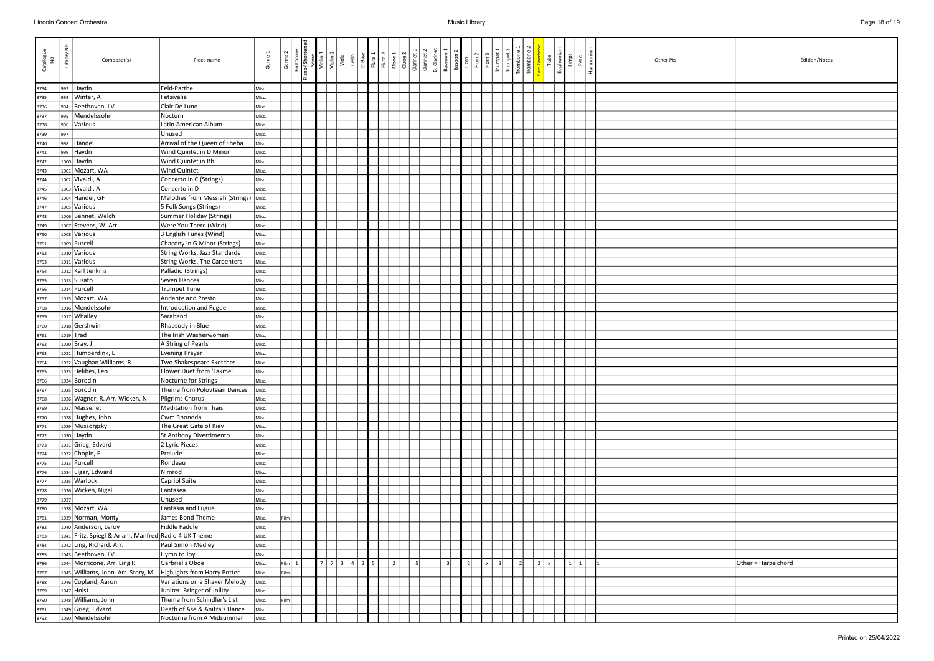| Catalogue<br>No | š<br>Library | Composer(s)                                          | Piece name                                        | Genre 1        | Genre 2 | Full Scor    | Violin <sup>2</sup><br>Viola | Cello          | D Base<br>Flute 1 | Flute 2<br>Oboe 1 | Oboe <sub>2</sub> | Clarinet: | Clarinet 2 | <b>B.</b> Clarinet<br>Bassoon | Basoon 2<br>Horn 1 |                          | Horn <sub>2</sub><br>Horn | Trumpe | Trombor<br>Trombol | Euphoniu<br>Tuba | Timps        | Perc | Harmoni | Other Pts<br>Edition/Notes |
|-----------------|--------------|------------------------------------------------------|---------------------------------------------------|----------------|---------|--------------|------------------------------|----------------|-------------------|-------------------|-------------------|-----------|------------|-------------------------------|--------------------|--------------------------|---------------------------|--------|--------------------|------------------|--------------|------|---------|----------------------------|
| 8734            | 992          | Haydn                                                | Feld-Parthe                                       | Misc.          |         |              |                              |                |                   |                   |                   |           |            |                               |                    |                          |                           |        |                    |                  |              |      |         |                            |
| 8735            | 993          | Winter, A                                            | Fetsivalia                                        | Misc.          |         |              |                              |                |                   |                   |                   |           |            |                               |                    |                          |                           |        |                    |                  |              |      |         |                            |
| 8736            | 994          | Beethoven, LV                                        | Clair De Lune                                     | Misc.          |         |              |                              |                |                   |                   |                   |           |            |                               |                    |                          |                           |        |                    |                  |              |      |         |                            |
| 8737            | 995          | Mendelssohn                                          | Nocturn                                           | Misc.          |         |              |                              |                |                   |                   |                   |           |            |                               |                    |                          |                           |        |                    |                  |              |      |         |                            |
| 8738            | 996          | Various                                              | Latin American Album                              | Misc.          |         |              |                              |                |                   |                   |                   |           |            |                               |                    |                          |                           |        |                    |                  |              |      |         |                            |
| 8739            | 997          |                                                      | Unused                                            | Misc.          |         |              |                              |                |                   |                   |                   |           |            |                               |                    |                          |                           |        |                    |                  |              |      |         |                            |
| 8740            | 998          | Handel                                               | Arrival of the Queen of Sheba                     | Misc.          |         |              |                              |                |                   |                   |                   |           |            |                               |                    |                          |                           |        |                    |                  |              |      |         |                            |
| 8741            | 999          | Haydn                                                | Wind Quintet in D Minor                           | Misc.          |         |              |                              |                |                   |                   |                   |           |            |                               |                    |                          |                           |        |                    |                  |              |      |         |                            |
| 8742            |              | 1000 Haydn                                           | Wind Quintet in Bb                                | Misc.          |         |              |                              |                |                   |                   |                   |           |            |                               |                    |                          |                           |        |                    |                  |              |      |         |                            |
| 8743            |              | 1001 Mozart, WA                                      | Wind Quintet                                      | Misc.          |         |              |                              |                |                   |                   |                   |           |            |                               |                    |                          |                           |        |                    |                  |              |      |         |                            |
| 8744            |              | 1002 Vivaldi, A                                      | Concerto in C (Strings)                           | Misc.          |         |              |                              |                |                   |                   |                   |           |            |                               |                    |                          |                           |        |                    |                  |              |      |         |                            |
| 8745            |              | 1003 Vivaldi, A                                      | Concerto in D                                     | Misc.          |         |              |                              |                |                   |                   |                   |           |            |                               |                    |                          |                           |        |                    |                  |              |      |         |                            |
| 8746            |              | 1004 Handel, GF                                      | Melodies from Messiah (Strings)   Misc.           |                |         |              |                              |                |                   |                   |                   |           |            |                               |                    |                          |                           |        |                    |                  |              |      |         |                            |
| 8747            |              | 1005 Various                                         | 5 Folk Songs (Strings)                            | Misc.          |         |              |                              |                |                   |                   |                   |           |            |                               |                    |                          |                           |        |                    |                  |              |      |         |                            |
| 8748            |              | 1006 Bennet, Welch                                   | Summer Holiday (Strings)                          | Misc.          |         |              |                              |                |                   |                   |                   |           |            |                               |                    |                          |                           |        |                    |                  |              |      |         |                            |
| 8749            |              | 1007 Stevens, W. Arr.                                | Were You There (Wind)                             | Misc.          |         |              |                              |                |                   |                   |                   |           |            |                               |                    |                          |                           |        |                    |                  |              |      |         |                            |
| 8750            |              | 1008 Various                                         | 3 English Tunes (Wind)                            | Misc.          |         |              |                              |                |                   |                   |                   |           |            |                               |                    |                          |                           |        |                    |                  |              |      |         |                            |
| 8751            |              | 1009 Purcell                                         | Chacony in G Minor (Strings)                      | Misc.          |         |              |                              |                |                   |                   |                   |           |            |                               |                    |                          |                           |        |                    |                  |              |      |         |                            |
| 8752            |              | 1010 Various                                         | String Works, Jazz Standards                      | Misc.          |         |              |                              |                |                   |                   |                   |           |            |                               |                    |                          |                           |        |                    |                  |              |      |         |                            |
| 8753            |              | 1011 Various                                         | String Works, The Carpenters                      | Misc.          |         |              |                              |                |                   |                   |                   |           |            |                               |                    |                          |                           |        |                    |                  |              |      |         |                            |
| 8754            |              | 1012 Karl Jenkins                                    | Palladio (Strings)                                | Misc.          |         |              |                              |                |                   |                   |                   |           |            |                               |                    |                          |                           |        |                    |                  |              |      |         |                            |
| 8755            |              | $1013$ Susato                                        | Seven Dances                                      | Misc.          |         |              |                              |                |                   |                   |                   |           |            |                               |                    |                          |                           |        |                    |                  |              |      |         |                            |
| 8756            |              | 1014 Purcell                                         | <b>Trumpet Tune</b>                               | Misc.          |         |              |                              |                |                   |                   |                   |           |            |                               |                    |                          |                           |        |                    |                  |              |      |         |                            |
| 8757            |              | 1015 Mozart, WA                                      | Andante and Presto                                | Misc.          |         |              |                              |                |                   |                   |                   |           |            |                               |                    |                          |                           |        |                    |                  |              |      |         |                            |
| 8758            |              | 1016 Mendelssohn                                     | Introduction and Fugue                            | Misc.          |         |              |                              |                |                   |                   |                   |           |            |                               |                    |                          |                           |        |                    |                  |              |      |         |                            |
| 8759            |              | 1017 Whalley                                         | Saraband                                          | Misc.          |         |              |                              |                |                   |                   |                   |           |            |                               |                    |                          |                           |        |                    |                  |              |      |         |                            |
| 8760            |              | 1018 Gershwin                                        | Rhapsody in Blue                                  | Misc.          |         |              |                              |                |                   |                   |                   |           |            |                               |                    |                          |                           |        |                    |                  |              |      |         |                            |
| 8761            |              | 1019 Trad                                            | The Irish Washerwoman                             | Misc.          |         |              |                              |                |                   |                   |                   |           |            |                               |                    |                          |                           |        |                    |                  |              |      |         |                            |
| 8762            |              | 1020 Bray, J<br>1021 Humperdink, E                   | A String of Pearls                                | Misc.          |         |              |                              |                |                   |                   |                   |           |            |                               |                    |                          |                           |        |                    |                  |              |      |         |                            |
| 8763            |              | 1022 Vaughan Williams, R                             | <b>Evening Prayer</b><br>Two Shakespeare Sketches | Misc.          |         |              |                              |                |                   |                   |                   |           |            |                               |                    |                          |                           |        |                    |                  |              |      |         |                            |
| 8764<br>8765    |              | 1023 Delibes, Leo                                    | Flower Duet from 'Lakme'                          | Misc.<br>Misc. |         |              |                              |                |                   |                   |                   |           |            |                               |                    |                          |                           |        |                    |                  |              |      |         |                            |
| 8766            |              | 1024 Borodin                                         | Nocturne for Strings                              | Misc.          |         |              |                              |                |                   |                   |                   |           |            |                               |                    |                          |                           |        |                    |                  |              |      |         |                            |
| 8767            |              | 1025 Borodin                                         | Theme from Polovtsian Dances                      | Misc.          |         |              |                              |                |                   |                   |                   |           |            |                               |                    |                          |                           |        |                    |                  |              |      |         |                            |
| 8768            |              | 1026 Wagner, R. Arr. Wicken, N                       | Pilgrims Chorus                                   | Misc.          |         |              |                              |                |                   |                   |                   |           |            |                               |                    |                          |                           |        |                    |                  |              |      |         |                            |
| 8769            |              | 1027 Massenet                                        | Meditation from Thais                             | Misc.          |         |              |                              |                |                   |                   |                   |           |            |                               |                    |                          |                           |        |                    |                  |              |      |         |                            |
| 8770            |              | 1028 Hughes, John                                    | Cwm Rhondda                                       | Misc.          |         |              |                              |                |                   |                   |                   |           |            |                               |                    |                          |                           |        |                    |                  |              |      |         |                            |
| 8771            |              | 1029 Mussorgsky                                      | The Great Gate of Kiev                            | Misc.          |         |              |                              |                |                   |                   |                   |           |            |                               |                    |                          |                           |        |                    |                  |              |      |         |                            |
| 8772            |              | $1030$ Haydn                                         | St Anthony Divertimento                           | Misc.          |         |              |                              |                |                   |                   |                   |           |            |                               |                    |                          |                           |        |                    |                  |              |      |         |                            |
| 8773            |              | 1031 Grieg, Edvard                                   | 2 Lyric Pieces                                    | Misc.          |         |              |                              |                |                   |                   |                   |           |            |                               |                    |                          |                           |        |                    |                  |              |      |         |                            |
| 8774            |              | 1032 Chopin, F                                       | Prelude                                           | Misc.          |         |              |                              |                |                   |                   |                   |           |            |                               |                    |                          |                           |        |                    |                  |              |      |         |                            |
| 8775            |              | 1033 Purcell                                         | Rondeau                                           | Misc.          |         |              |                              |                |                   |                   |                   |           |            |                               |                    |                          |                           |        |                    |                  |              |      |         |                            |
| 8776            |              | 1034 Elgar, Edward                                   | Nimrod                                            | Misc.          |         |              |                              |                |                   |                   |                   |           |            |                               |                    |                          |                           |        |                    |                  |              |      |         |                            |
| 8777            |              | 1035 Warlock                                         | Capriol Suite                                     | Misc.          |         |              |                              |                |                   |                   |                   |           |            |                               |                    |                          |                           |        |                    |                  |              |      |         |                            |
| 8778            |              | 1036 Wicken, Nigel                                   | Fantasea                                          | Misc.          |         |              |                              |                |                   |                   |                   |           |            |                               |                    |                          |                           |        |                    |                  |              |      |         |                            |
| 8779            | 1037         |                                                      | Unused                                            | Misc.          |         |              |                              |                |                   |                   |                   |           |            |                               |                    |                          |                           |        |                    |                  |              |      |         |                            |
| 8780            |              | 1038 Mozart, WA                                      | Fantasia and Fugue                                | Misc.          |         |              |                              |                |                   |                   |                   |           |            |                               |                    |                          |                           |        |                    |                  |              |      |         |                            |
| 8781            |              | 1039 Norman, Monty                                   | James Bond Theme                                  | Misc.          | ilm     |              |                              |                |                   |                   |                   |           |            |                               |                    |                          |                           |        |                    |                  |              |      |         |                            |
| 8782            |              | 1040 Anderson, Leroy                                 | Fiddle Faddle                                     | Misc.          |         |              |                              |                |                   |                   |                   |           |            |                               |                    |                          |                           |        |                    |                  |              |      |         |                            |
| 8783            |              | 1041 Fritz, Spiegl & Arlam, Manfred Radio 4 UK Theme |                                                   | Misc.          |         |              |                              |                |                   |                   |                   |           |            |                               |                    |                          |                           |        |                    |                  |              |      |         |                            |
| 8784            |              | 1042 Ling, Richard. Arr.                             | Paul Simon Medley                                 | Misc.          |         |              |                              |                |                   |                   |                   |           |            |                               |                    |                          |                           |        |                    |                  |              |      |         |                            |
| 8785            |              | 1043 Beethoven, LV                                   | Hymn to Joy                                       | Misc.          |         |              |                              |                |                   |                   |                   |           |            |                               |                    |                          |                           |        |                    |                  |              |      |         |                            |
| 8786            |              | 1044 Morricone. Arr. Ling R                          | Garbriel's Oboe                                   | Misc.          | ilm     | $\mathbf{1}$ | $7 \mid 3 \mid$              | $\overline{4}$ | 25                |                   | $\overline{2}$    |           |            | $\overline{\mathbf{3}}$       |                    | $\overline{\phantom{a}}$ |                           |        | $\overline{2}$     | $\mathbf{x}$     | $\mathbf{1}$ | 1    |         | Other = Harpsichord        |
| 8787            |              | 1045 Williams, John. Arr. Story, M                   | Highlights from Harry Potter                      | Misc.          | ilm     |              |                              |                |                   |                   |                   |           |            |                               |                    |                          |                           |        |                    |                  |              |      |         |                            |
| 8788            |              | 1046 Copland, Aaron                                  | Variations on a Shaker Melody                     | Misc.          |         |              |                              |                |                   |                   |                   |           |            |                               |                    |                          |                           |        |                    |                  |              |      |         |                            |
| 8789            |              | 1047 Holst                                           | Jupiter- Bringer of Jollity                       | Misc.          |         |              |                              |                |                   |                   |                   |           |            |                               |                    |                          |                           |        |                    |                  |              |      |         |                            |
| 8790            |              | 1048 Williams, John                                  | Theme from Schindler's List                       | Misc.          | ilm     |              |                              |                |                   |                   |                   |           |            |                               |                    |                          |                           |        |                    |                  |              |      |         |                            |
| 8791            |              | 1049 Grieg, Edvard                                   | Death of Ase & Anitra's Dance                     | Misc.          |         |              |                              |                |                   |                   |                   |           |            |                               |                    |                          |                           |        |                    |                  |              |      |         |                            |
| 8792            |              | 1050 Mendelssohn                                     | Nocturne from A Midsummer                         | Misc.          |         |              |                              |                |                   |                   |                   |           |            |                               |                    |                          |                           |        |                    |                  |              |      |         |                            |

| Edition/Notes       |
|---------------------|
|                     |
|                     |
|                     |
|                     |
|                     |
|                     |
|                     |
|                     |
|                     |
|                     |
|                     |
|                     |
|                     |
|                     |
|                     |
|                     |
|                     |
|                     |
|                     |
|                     |
|                     |
|                     |
|                     |
|                     |
|                     |
|                     |
|                     |
|                     |
|                     |
|                     |
|                     |
|                     |
|                     |
|                     |
|                     |
|                     |
|                     |
|                     |
|                     |
|                     |
|                     |
|                     |
|                     |
|                     |
|                     |
|                     |
|                     |
|                     |
|                     |
|                     |
|                     |
|                     |
| Other = Harpsichord |
|                     |
|                     |
|                     |
|                     |
|                     |
|                     |